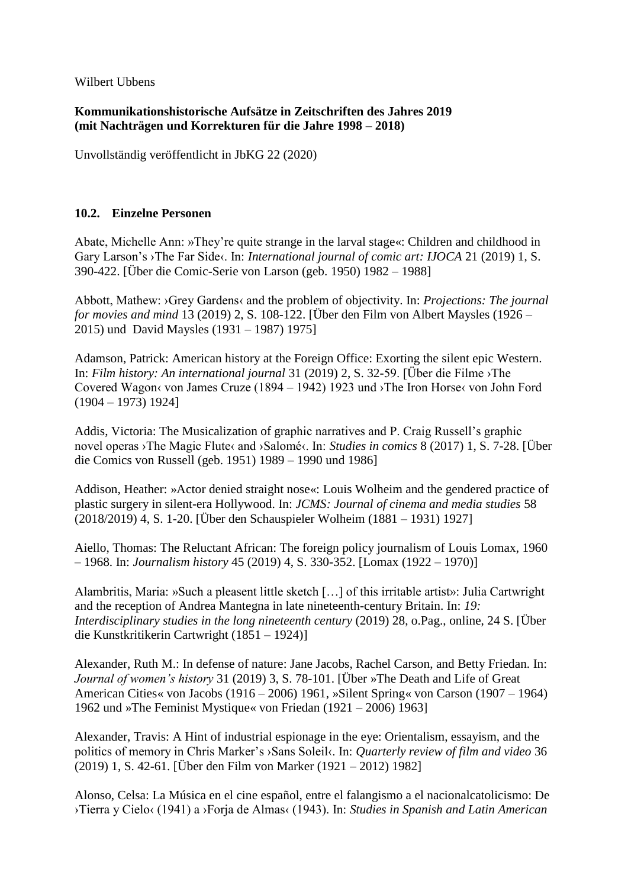Wilbert Ubbens

## **Kommunikationshistorische Aufsätze in Zeitschriften des Jahres 2019 (mit Nachträgen und Korrekturen für die Jahre 1998 – 2018)**

Unvollständig veröffentlicht in JbKG 22 (2020)

## **10.2. Einzelne Personen**

Abate, Michelle Ann: »They're quite strange in the larval stage«: Children and childhood in Gary Larson's ›The Far Side‹. In: *International journal of comic art: IJOCA* 21 (2019) 1, S. 390-422. [Über die Comic-Serie von Larson (geb. 1950) 1982 – 1988]

Abbott, Mathew: ›Grey Gardens‹ and the problem of objectivity. In: *Projections: The journal for movies and mind* 13 (2019) 2, S. 108-122. [Über den Film von Albert Maysles (1926 – 2015) und David Maysles (1931 – 1987) 1975]

Adamson, Patrick: American history at the Foreign Office: Exorting the silent epic Western. In: *Film history: An international journal* 31 (2019) 2, S. 32-59. [Über die Filme ›The Covered Wagon‹ von James Cruze (1894 – 1942) 1923 und ›The Iron Horse‹ von John Ford (1904 – 1973) 1924]

Addis, Victoria: The Musicalization of graphic narratives and P. Craig Russell's graphic novel operas ›The Magic Flute‹ and ›Salomé‹. In: *Studies in comics* 8 (2017) 1, S. 7-28. [Über die Comics von Russell (geb. 1951) 1989 – 1990 und 1986]

Addison, Heather: »Actor denied straight nose«: Louis Wolheim and the gendered practice of plastic surgery in silent-era Hollywood. In: *JCMS: Journal of cinema and media studies* 58 (2018/2019) 4, S. 1-20. [Über den Schauspieler Wolheim (1881 – 1931) 1927]

Aiello, Thomas: The Reluctant African: The foreign policy journalism of Louis Lomax, 1960 – 1968. In: *Journalism history* 45 (2019) 4, S. 330-352. [Lomax (1922 – 1970)]

Alambritis, Maria: »Such a pleasent little sketch […] of this irritable artist»: Julia Cartwright and the reception of Andrea Mantegna in late nineteenth-century Britain. In: *19: Interdisciplinary studies in the long nineteenth century* (2019) 28, o.Pag., online, 24 S. [Über die Kunstkritikerin Cartwright (1851 – 1924)]

Alexander, Ruth M.: In defense of nature: Jane Jacobs, Rachel Carson, and Betty Friedan. In: *Journal of women's history* 31 (2019) 3, S. 78-101. [Über »The Death and Life of Great American Cities« von Jacobs (1916 – 2006) 1961, »Silent Spring« von Carson (1907 – 1964) 1962 und »The Feminist Mystique« von Friedan (1921 – 2006) 1963]

Alexander, Travis: A Hint of industrial espionage in the eye: Orientalism, essayism, and the politics of memory in Chris Marker's ›Sans Soleil‹. In: *Quarterly review of film and video* 36 (2019) 1, S. 42-61. [Über den Film von Marker (1921 – 2012) 1982]

Alonso, Celsa: La Música en el cine español, entre el falangismo a el nacionalcatolicismo: De ›Tierra y Cielo‹ (1941) a ›Forja de Almas‹ (1943). In: *Studies in Spanish and Latin American*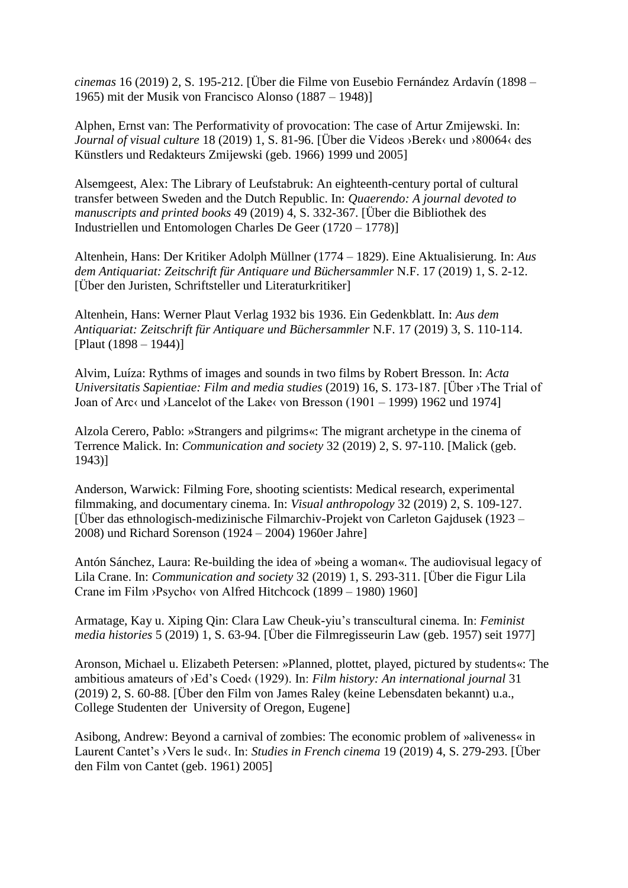*cinemas* 16 (2019) 2, S. 195-212. [Über die Filme von Eusebio Fernández Ardavín (1898 – 1965) mit der Musik von Francisco Alonso (1887 – 1948)]

Alphen, Ernst van: The Performativity of provocation: The case of Artur Zmijewski. In: *Journal of visual culture* 18 (2019) 1, S. 81-96. [Über die Videos ›Berek‹ und ›80064‹ des Künstlers und Redakteurs Zmijewski (geb. 1966) 1999 und 2005]

Alsemgeest, Alex: The Library of Leufstabruk: An eighteenth-century portal of cultural transfer between Sweden and the Dutch Republic. In: *Quaerendo: A journal devoted to manuscripts and printed books* 49 (2019) 4, S. 332-367. [Über die Bibliothek des Industriellen und Entomologen Charles De Geer (1720 – 1778)]

Altenhein, Hans: Der Kritiker Adolph Müllner (1774 – 1829). Eine Aktualisierung. In: *Aus dem Antiquariat: Zeitschrift für Antiquare und Büchersammler* N.F. 17 (2019) 1, S. 2-12. [Über den Juristen, Schriftsteller und Literaturkritiker]

Altenhein, Hans: Werner Plaut Verlag 1932 bis 1936. Ein Gedenkblatt. In: *Aus dem Antiquariat: Zeitschrift für Antiquare und Büchersammler* N.F. 17 (2019) 3, S. 110-114. [Plaut (1898 – 1944)]

Alvim, Luíza: Rythms of images and sounds in two films by Robert Bresson. In: *Acta Universitatis Sapientiae: Film and media studies* (2019) 16, S. 173-187. [Über ›The Trial of Joan of Arc‹ und ›Lancelot of the Lake‹ von Bresson (1901 – 1999) 1962 und 1974]

Alzola Cerero, Pablo: »Strangers and pilgrims«: The migrant archetype in the cinema of Terrence Malick. In: *Communication and society* 32 (2019) 2, S. 97-110. [Malick (geb. 1943)]

Anderson, Warwick: Filming Fore, shooting scientists: Medical research, experimental filmmaking, and documentary cinema. In: *Visual anthropology* 32 (2019) 2, S. 109-127. [Über das ethnologisch-medizinische Filmarchiv-Projekt von Carleton Gajdusek (1923 – 2008) und Richard Sorenson (1924 – 2004) 1960er Jahre]

Antón Sánchez, Laura: Re-building the idea of »being a woman«. The audiovisual legacy of Lila Crane. In: *Communication and society* 32 (2019) 1, S. 293-311. [Über die Figur Lila Crane im Film ›Psycho‹ von Alfred Hitchcock (1899 – 1980) 1960]

Armatage, Kay u. Xiping Qin: Clara Law Cheuk-yiu's transcultural cinema. In: *Feminist media histories* 5 (2019) 1, S. 63-94. [Über die Filmregisseurin Law (geb. 1957) seit 1977]

Aronson, Michael u. Elizabeth Petersen: »Planned, plottet, played, pictured by students«: The ambitious amateurs of ›Ed's Coed‹ (1929). In: *Film history: An international journal* 31 (2019) 2, S. 60-88. [Über den Film von James Raley (keine Lebensdaten bekannt) u.a., College Studenten der University of Oregon, Eugene]

Asibong, Andrew: Beyond a carnival of zombies: The economic problem of »aliveness« in Laurent Cantet's ›Vers le sud‹. In: *Studies in French cinema* 19 (2019) 4, S. 279-293. [Über den Film von Cantet (geb. 1961) 2005]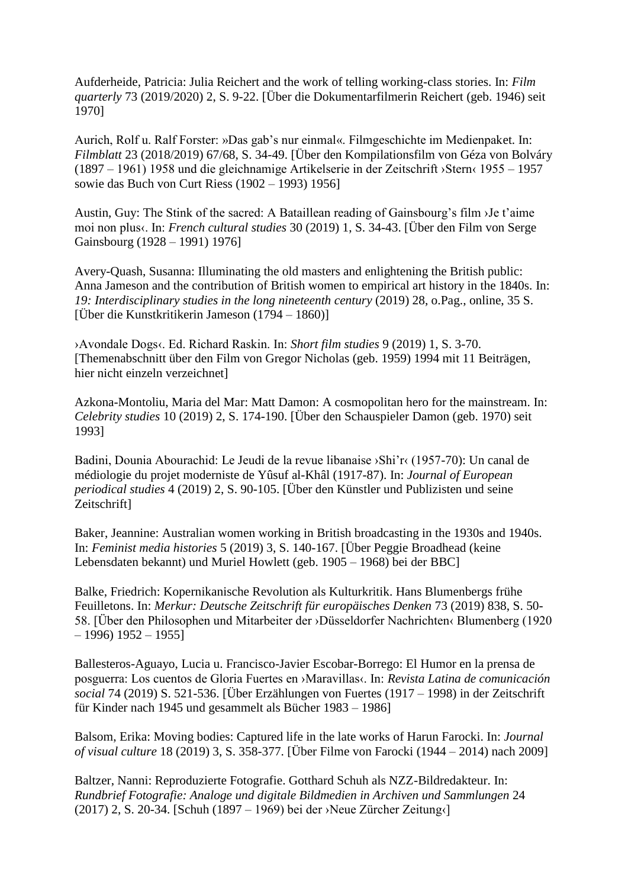Aufderheide, Patricia: Julia Reichert and the work of telling working-class stories. In: *Film quarterly* 73 (2019/2020) 2, S. 9-22. [Über die Dokumentarfilmerin Reichert (geb. 1946) seit 1970]

Aurich, Rolf u. Ralf Forster: »Das gab's nur einmal«. Filmgeschichte im Medienpaket. In: *Filmblatt* 23 (2018/2019) 67/68, S. 34-49. [Über den Kompilationsfilm von Géza von Bolváry (1897 – 1961) 1958 und die gleichnamige Artikelserie in der Zeitschrift ›Stern‹ 1955 – 1957 sowie das Buch von Curt Riess (1902 – 1993) 1956]

Austin, Guy: The Stink of the sacred: A Bataillean reading of Gainsbourg's film ›Je t'aime moi non plus‹. In: *French cultural studies* 30 (2019) 1, S. 34-43. [Über den Film von Serge Gainsbourg (1928 – 1991) 1976]

Avery-Quash, Susanna: Illuminating the old masters and enlightening the British public: Anna Jameson and the contribution of British women to empirical art history in the 1840s. In: *19: Interdisciplinary studies in the long nineteenth century* (2019) 28, o.Pag., online, 35 S. [Über die Kunstkritikerin Jameson (1794 – 1860)]

›Avondale Dogs‹. Ed. Richard Raskin. In: *Short film studies* 9 (2019) 1, S. 3-70. [Themenabschnitt über den Film von Gregor Nicholas (geb. 1959) 1994 mit 11 Beiträgen, hier nicht einzeln verzeichnet]

Azkona-Montoliu, Maria del Mar: Matt Damon: A cosmopolitan hero for the mainstream. In: *Celebrity studies* 10 (2019) 2, S. 174-190. [Über den Schauspieler Damon (geb. 1970) seit 1993]

Badini, Dounia Abourachid: Le Jeudi de la revue libanaise ›Shi'r‹ (1957-70): Un canal de médiologie du projet moderniste de Yûsuf al-Khâl (1917-87). In: *Journal of European periodical studies* 4 (2019) 2, S. 90-105. [Über den Künstler und Publizisten und seine Zeitschrift]

Baker, Jeannine: Australian women working in British broadcasting in the 1930s and 1940s. In: *Feminist media histories* 5 (2019) 3, S. 140-167. [Über Peggie Broadhead (keine Lebensdaten bekannt) und Muriel Howlett (geb. 1905 – 1968) bei der BBC]

Balke, Friedrich: Kopernikanische Revolution als Kulturkritik. Hans Blumenbergs frühe Feuilletons. In: *Merkur: Deutsche Zeitschrift für europäisches Denken* 73 (2019) 838, S. 50- 58. [Über den Philosophen und Mitarbeiter der ›Düsseldorfer Nachrichten‹ Blumenberg (1920  $-1996$ ) 1952 – 1955]

Ballesteros-Aguayo, Lucia u. Francisco-Javier Escobar-Borrego: El Humor en la prensa de posguerra: Los cuentos de Gloria Fuertes en ›Maravillas‹. In: *Revista Latina de comunicación social* 74 (2019) S. 521-536. [Über Erzählungen von Fuertes (1917 – 1998) in der Zeitschrift für Kinder nach 1945 und gesammelt als Bücher 1983 – 1986]

Balsom, Erika: Moving bodies: Captured life in the late works of Harun Farocki. In: *Journal of visual culture* 18 (2019) 3, S. 358-377. [Über Filme von Farocki (1944 – 2014) nach 2009]

Baltzer, Nanni: Reproduzierte Fotografie. Gotthard Schuh als NZZ-Bildredakteur. In: *Rundbrief Fotografie: Analoge und digitale Bildmedien in Archiven und Sammlungen* 24 (2017) 2, S. 20-34. [Schuh (1897 – 1969) bei der ›Neue Zürcher Zeitung‹]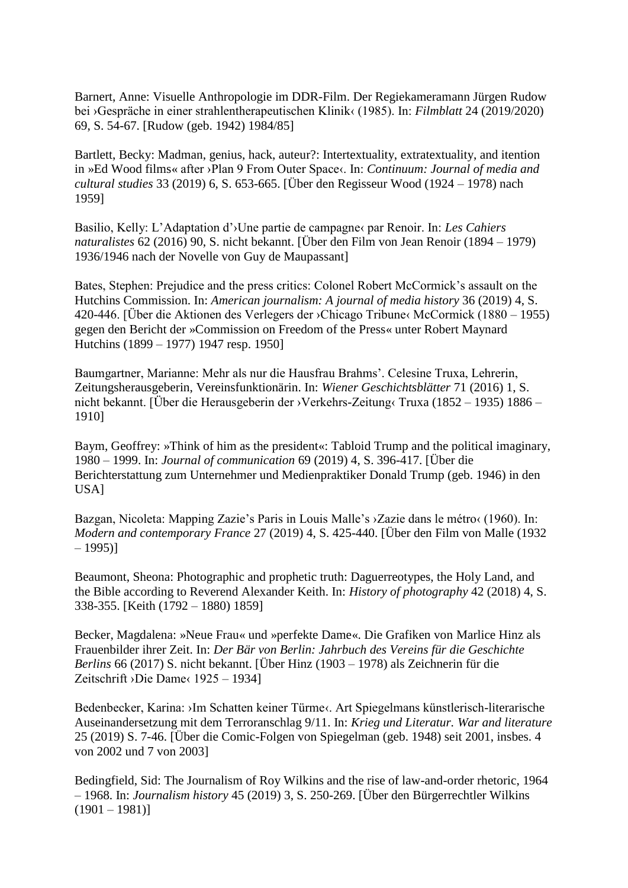Barnert, Anne: Visuelle Anthropologie im DDR-Film. Der Regiekameramann Jürgen Rudow bei ›Gespräche in einer strahlentherapeutischen Klinik‹ (1985). In: *Filmblatt* 24 (2019/2020) 69, S. 54-67. [Rudow (geb. 1942) 1984/85]

Bartlett, Becky: Madman, genius, hack, auteur?: Intertextuality, extratextuality, and itention in »Ed Wood films« after ›Plan 9 From Outer Space‹. In: *Continuum: Journal of media and cultural studies* 33 (2019) 6, S. 653-665. [Über den Regisseur Wood (1924 – 1978) nach 1959]

Basilio, Kelly: L'Adaptation d'›Une partie de campagne‹ par Renoir. In: *Les Cahiers naturalistes* 62 (2016) 90, S. nicht bekannt. [Über den Film von Jean Renoir (1894 – 1979) 1936/1946 nach der Novelle von Guy de Maupassant]

Bates, Stephen: Prejudice and the press critics: Colonel Robert McCormick's assault on the Hutchins Commission. In: *American journalism: A journal of media history* 36 (2019) 4, S. 420-446. [Über die Aktionen des Verlegers der ›Chicago Tribune‹ McCormick (1880 – 1955) gegen den Bericht der »Commission on Freedom of the Press« unter Robert Maynard Hutchins (1899 – 1977) 1947 resp. 1950]

Baumgartner, Marianne: Mehr als nur die Hausfrau Brahms'. Celesine Truxa, Lehrerin, Zeitungsherausgeberin, Vereinsfunktionärin. In: *Wiener Geschichtsblätter* 71 (2016) 1, S. nicht bekannt. [Über die Herausgeberin der ›Verkehrs-Zeitung‹ Truxa (1852 – 1935) 1886 – 1910]

Baym, Geoffrey: »Think of him as the president«: Tabloid Trump and the political imaginary, 1980 – 1999. In: *Journal of communication* 69 (2019) 4, S. 396-417. [Über die Berichterstattung zum Unternehmer und Medienpraktiker Donald Trump (geb. 1946) in den USA]

Bazgan, Nicoleta: Mapping Zazie's Paris in Louis Malle's >Zazie dans le métro (1960). In: *Modern and contemporary France* 27 (2019) 4, S. 425-440. [Über den Film von Malle (1932  $-1995$ )

Beaumont, Sheona: Photographic and prophetic truth: Daguerreotypes, the Holy Land, and the Bible according to Reverend Alexander Keith. In: *History of photography* 42 (2018) 4, S. 338-355. [Keith (1792 – 1880) 1859]

Becker, Magdalena: »Neue Frau« und »perfekte Dame«. Die Grafiken von Marlice Hinz als Frauenbilder ihrer Zeit. In: *Der Bär von Berlin: Jahrbuch des Vereins für die Geschichte Berlins* 66 (2017) S. nicht bekannt. [Über Hinz (1903 – 1978) als Zeichnerin für die Zeitschrift ›Die Dame‹ 1925 – 1934]

Bedenbecker, Karina: ›Im Schatten keiner Türme‹. Art Spiegelmans künstlerisch-literarische Auseinandersetzung mit dem Terroranschlag 9/11. In: *Krieg und Literatur. War and literature* 25 (2019) S. 7-46. [Über die Comic-Folgen von Spiegelman (geb. 1948) seit 2001, insbes. 4 von 2002 und 7 von 2003]

Bedingfield, Sid: The Journalism of Roy Wilkins and the rise of law-and-order rhetoric, 1964 – 1968. In: *Journalism history* 45 (2019) 3, S. 250-269. [Über den Bürgerrechtler Wilkins  $(1901 - 1981)$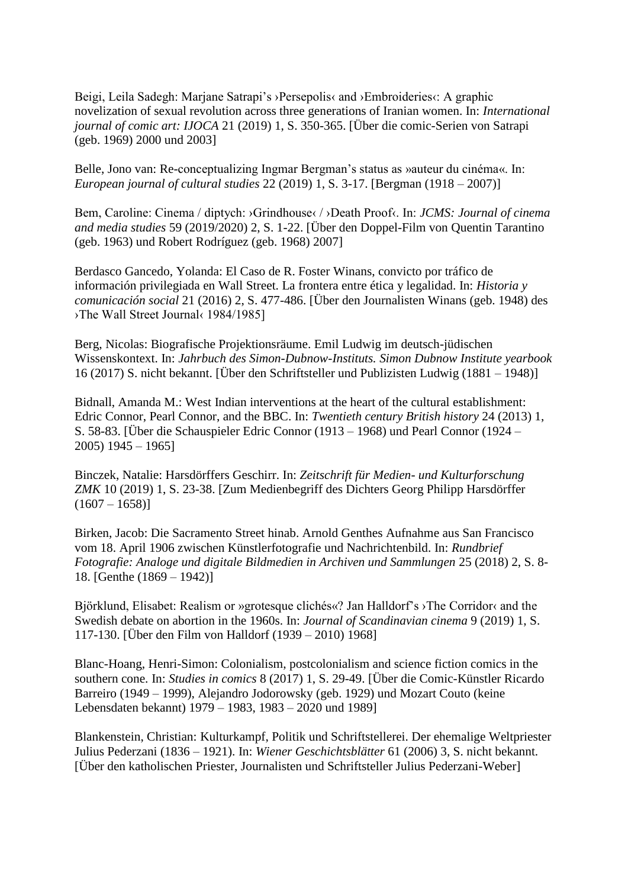Beigi, Leila Sadegh: Marjane Satrapi's >Persepolis< and >Embroideries<: A graphic novelization of sexual revolution across three generations of Iranian women. In: *International journal of comic art: IJOCA* 21 (2019) 1, S. 350-365. [Über die comic-Serien von Satrapi (geb. 1969) 2000 und 2003]

Belle, Jono van: Re-conceptualizing Ingmar Bergman's status as »auteur du cinéma«. In: *European journal of cultural studies* 22 (2019) 1, S. 3-17. [Bergman (1918 – 2007)]

Bem, Caroline: Cinema / diptych: ›Grindhouse‹ / ›Death Proof‹. In: *JCMS: Journal of cinema and media studies* 59 (2019/2020) 2, S. 1-22. [Über den Doppel-Film von Quentin Tarantino (geb. 1963) und Robert Rodríguez (geb. 1968) 2007]

Berdasco Gancedo, Yolanda: El Caso de R. Foster Winans, convicto por tráfico de información privilegiada en Wall Street. La frontera entre ética y legalidad. In: *Historia y comunicación social* 21 (2016) 2, S. 477-486. [Über den Journalisten Winans (geb. 1948) des ›The Wall Street Journal‹ 1984/1985]

Berg, Nicolas: Biografische Projektionsräume. Emil Ludwig im deutsch-jüdischen Wissenskontext. In: *Jahrbuch des Simon-Dubnow-Instituts. Simon Dubnow Institute yearbook* 16 (2017) S. nicht bekannt. [Über den Schriftsteller und Publizisten Ludwig (1881 – 1948)]

Bidnall, Amanda M.: West Indian interventions at the heart of the cultural establishment: Edric Connor, Pearl Connor, and the BBC. In: *Twentieth century British history* 24 (2013) 1, S. 58-83. [Über die Schauspieler Edric Connor (1913 – 1968) und Pearl Connor (1924 – 2005) 1945 – 1965]

Binczek, Natalie: Harsdörffers Geschirr. In: *Zeitschrift für Medien- und Kulturforschung ZMK* 10 (2019) 1, S. 23-38. [Zum Medienbegriff des Dichters Georg Philipp Harsdörffer  $(1607 - 1658)$ 

Birken, Jacob: Die Sacramento Street hinab. Arnold Genthes Aufnahme aus San Francisco vom 18. April 1906 zwischen Künstlerfotografie und Nachrichtenbild. In: *Rundbrief Fotografie: Analoge und digitale Bildmedien in Archiven und Sammlungen* 25 (2018) 2, S. 8- 18. [Genthe (1869 – 1942)]

Björklund, Elisabet: Realism or »grotesque clichés«? Jan Halldorf's ›The Corridor‹ and the Swedish debate on abortion in the 1960s. In: *Journal of Scandinavian cinema* 9 (2019) 1, S. 117-130. [Über den Film von Halldorf (1939 – 2010) 1968]

Blanc-Hoang, Henri-Simon: Colonialism, postcolonialism and science fiction comics in the southern cone. In: *Studies in comics* 8 (2017) 1, S. 29-49. [Über die Comic-Künstler Ricardo Barreiro (1949 – 1999), Alejandro Jodorowsky (geb. 1929) und Mozart Couto (keine Lebensdaten bekannt) 1979 – 1983, 1983 – 2020 und 1989]

Blankenstein, Christian: Kulturkampf, Politik und Schriftstellerei. Der ehemalige Weltpriester Julius Pederzani (1836 – 1921). In: *Wiener Geschichtsblätter* 61 (2006) 3, S. nicht bekannt. [Über den katholischen Priester, Journalisten und Schriftsteller Julius Pederzani-Weber]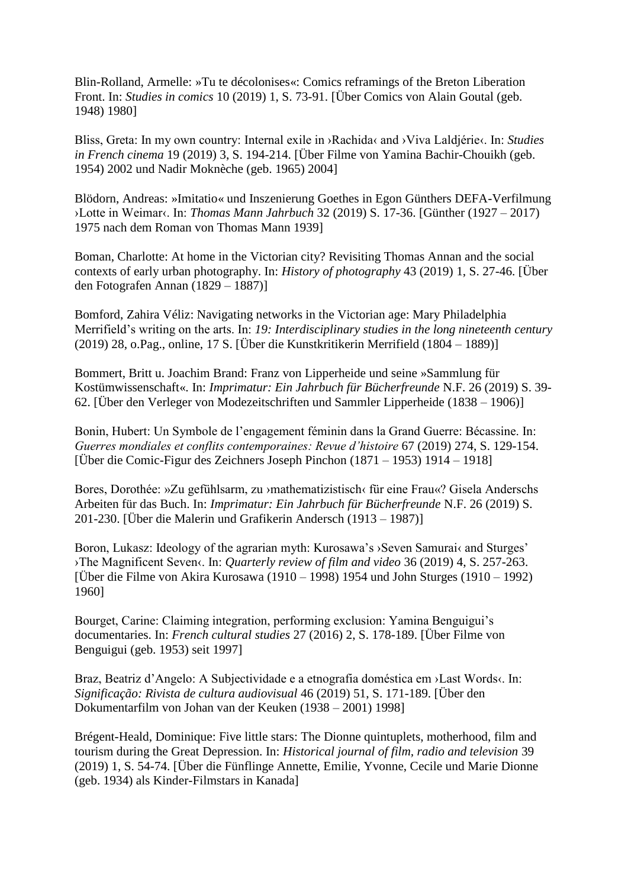Blin-Rolland, Armelle: »Tu te décolonises«: Comics reframings of the Breton Liberation Front. In: *Studies in comics* 10 (2019) 1, S. 73-91. [Über Comics von Alain Goutal (geb. 1948) 1980]

Bliss, Greta: In my own country: Internal exile in ›Rachida‹ and ›Viva Laldjérie‹. In: *Studies in French cinema* 19 (2019) 3, S. 194-214. [Über Filme von Yamina Bachir-Chouikh (geb. 1954) 2002 und Nadir Moknèche (geb. 1965) 2004]

Blödorn, Andreas: »Imitatio« und Inszenierung Goethes in Egon Günthers DEFA-Verfilmung ›Lotte in Weimar‹. In: *Thomas Mann Jahrbuch* 32 (2019) S. 17-36. [Günther (1927 – 2017) 1975 nach dem Roman von Thomas Mann 1939]

Boman, Charlotte: At home in the Victorian city? Revisiting Thomas Annan and the social contexts of early urban photography. In: *History of photography* 43 (2019) 1, S. 27-46. [Über den Fotografen Annan (1829 – 1887)]

Bomford, Zahira Véliz: Navigating networks in the Victorian age: Mary Philadelphia Merrifield's writing on the arts. In: *19: Interdisciplinary studies in the long nineteenth century* (2019) 28, o.Pag., online, 17 S. [Über die Kunstkritikerin Merrifield (1804 – 1889)]

Bommert, Britt u. Joachim Brand: Franz von Lipperheide und seine »Sammlung für Kostümwissenschaft«. In: *Imprimatur: Ein Jahrbuch für Bücherfreunde* N.F. 26 (2019) S. 39- 62. [Über den Verleger von Modezeitschriften und Sammler Lipperheide (1838 – 1906)]

Bonin, Hubert: Un Symbole de l'engagement féminin dans la Grand Guerre: Bécassine. In: *Guerres mondiales et conflits contemporaines: Revue d'histoire* 67 (2019) 274, S. 129-154. [Über die Comic-Figur des Zeichners Joseph Pinchon (1871 – 1953) 1914 – 1918]

Bores, Dorothée: »Zu gefühlsarm, zu ›mathematizistisch‹ für eine Frau«? Gisela Anderschs Arbeiten für das Buch. In: *Imprimatur: Ein Jahrbuch für Bücherfreunde* N.F. 26 (2019) S. 201-230. [Über die Malerin und Grafikerin Andersch (1913 – 1987)]

Boron, Lukasz: Ideology of the agrarian myth: Kurosawa's ›Seven Samurai‹ and Sturges' ›The Magnificent Seven‹. In: *Quarterly review of film and video* 36 (2019) 4, S. 257-263. [Über die Filme von Akira Kurosawa (1910 – 1998) 1954 und John Sturges (1910 – 1992) 1960]

Bourget, Carine: Claiming integration, performing exclusion: Yamina Benguigui's documentaries. In: *French cultural studies* 27 (2016) 2, S. 178-189. [Über Filme von Benguigui (geb. 1953) seit 1997]

Braz, Beatriz d'Angelo: A Subjectividade e a etnografia doméstica em >Last Words<. In: *Significação: Rivista de cultura audiovisual* 46 (2019) 51, S. 171-189. [Über den Dokumentarfilm von Johan van der Keuken (1938 – 2001) 1998]

Brégent-Heald, Dominique: Five little stars: The Dionne quintuplets, motherhood, film and tourism during the Great Depression. In: *Historical journal of film, radio and television* 39 (2019) 1, S. 54-74. [Über die Fünflinge Annette, Emilie, Yvonne, Cecile und Marie Dionne (geb. 1934) als Kinder-Filmstars in Kanada]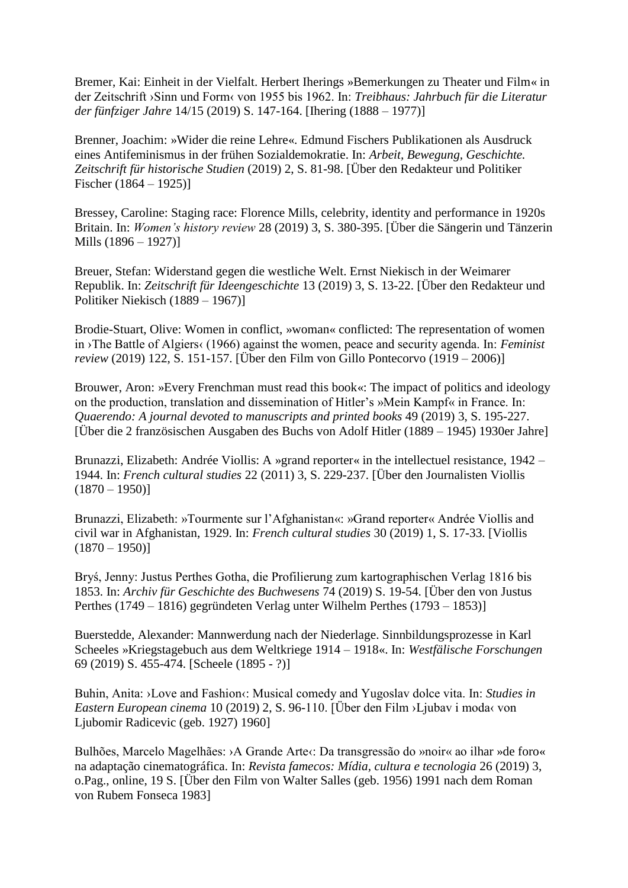Bremer, Kai: Einheit in der Vielfalt. Herbert Iherings »Bemerkungen zu Theater und Film« in der Zeitschrift ›Sinn und Form‹ von 1955 bis 1962. In: *Treibhaus: Jahrbuch für die Literatur der fünfziger Jahre* 14/15 (2019) S. 147-164. [Ihering (1888 – 1977)]

Brenner, Joachim: »Wider die reine Lehre«. Edmund Fischers Publikationen als Ausdruck eines Antifeminismus in der frühen Sozialdemokratie. In: *Arbeit, Bewegung, Geschichte. Zeitschrift für historische Studien* (2019) 2, S. 81-98. [Über den Redakteur und Politiker Fischer (1864 – 1925)]

Bressey, Caroline: Staging race: Florence Mills, celebrity, identity and performance in 1920s Britain. In: *Women's history review* 28 (2019) 3, S. 380-395. [Über die Sängerin und Tänzerin Mills (1896 – 1927)]

Breuer, Stefan: Widerstand gegen die westliche Welt. Ernst Niekisch in der Weimarer Republik. In: *Zeitschrift für Ideengeschichte* 13 (2019) 3, S. 13-22. [Über den Redakteur und Politiker Niekisch (1889 – 1967)]

Brodie-Stuart, Olive: Women in conflict, »woman« conflicted: The representation of women in ›The Battle of Algiers‹ (1966) against the women, peace and security agenda. In: *Feminist review* (2019) 122, S. 151-157. [Über den Film von Gillo Pontecorvo (1919 – 2006)]

Brouwer, Aron: »Every Frenchman must read this book«: The impact of politics and ideology on the production, translation and dissemination of Hitler's »Mein Kampf« in France. In: *Quaerendo: A journal devoted to manuscripts and printed books* 49 (2019) 3, S. 195-227. [Über die 2 französischen Ausgaben des Buchs von Adolf Hitler (1889 – 1945) 1930er Jahre]

Brunazzi, Elizabeth: Andrée Viollis: A »grand reporter« in the intellectuel resistance, 1942 – 1944. In: *French cultural studies* 22 (2011) 3, S. 229-237. [Über den Journalisten Viollis  $(1870 - 1950)$ 

Brunazzi, Elizabeth: »Tourmente sur l'Afghanistan«: »Grand reporter« Andrée Viollis and civil war in Afghanistan, 1929. In: *French cultural studies* 30 (2019) 1, S. 17-33. [Viollis  $(1870 - 1950)$ 

Bryś, Jenny: Justus Perthes Gotha, die Profilierung zum kartographischen Verlag 1816 bis 1853. In: *Archiv für Geschichte des Buchwesens* 74 (2019) S. 19-54. [Über den von Justus Perthes (1749 – 1816) gegründeten Verlag unter Wilhelm Perthes (1793 – 1853)]

Buerstedde, Alexander: Mannwerdung nach der Niederlage. Sinnbildungsprozesse in Karl Scheeles »Kriegstagebuch aus dem Weltkriege 1914 – 1918«. In: *Westfälische Forschungen* 69 (2019) S. 455-474. [Scheele (1895 - ?)]

Buhin, Anita: >Love and Fashion<: Musical comedy and Yugoslav dolce vita. In: *Studies in Eastern European cinema* 10 (2019) 2, S. 96-110. [Über den Film ›Ljubav i moda‹ von Ljubomir Radicevic (geb. 1927) 1960]

Bulhões, Marcelo Magelhães: > A Grande Arte<: Da transgressão do »noir« ao ilhar » de foro« na adaptação cinematográfica. In: *Revista famecos: Mídia, cultura e tecnologia* 26 (2019) 3, o.Pag., online, 19 S. [Über den Film von Walter Salles (geb. 1956) 1991 nach dem Roman von Rubem Fonseca 1983]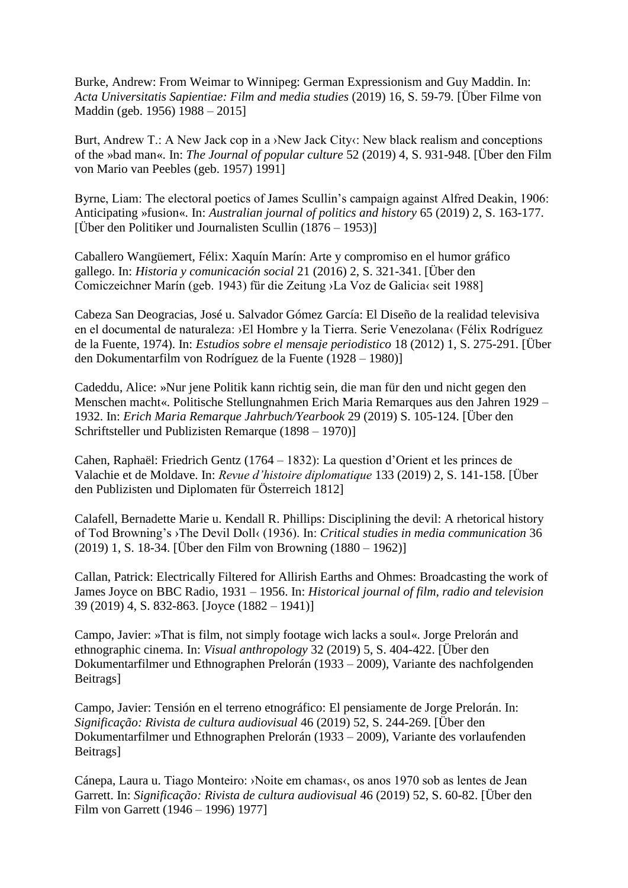Burke, Andrew: From Weimar to Winnipeg: German Expressionism and Guy Maddin. In: *Acta Universitatis Sapientiae: Film and media studies* (2019) 16, S. 59-79. [Über Filme von Maddin (geb. 1956) 1988 – 2015]

Burt, Andrew T.: A New Jack cop in a >New Jack City: New black realism and conceptions of the »bad man«. In: *The Journal of popular culture* 52 (2019) 4, S. 931-948. [Über den Film von Mario van Peebles (geb. 1957) 1991]

Byrne, Liam: The electoral poetics of James Scullin's campaign against Alfred Deakin, 1906: Anticipating »fusion«. In: *Australian journal of politics and history* 65 (2019) 2, S. 163-177. [Über den Politiker und Journalisten Scullin (1876 – 1953)]

Caballero Wangüemert, Félix: Xaquín Marín: Arte y compromiso en el humor gráfico gallego. In: *Historia y comunicación social* 21 (2016) 2, S. 321-341. [Über den Comiczeichner Marín (geb. 1943) für die Zeitung ›La Voz de Galicia‹ seit 1988]

Cabeza San Deogracias, José u. Salvador Gómez García: El Diseño de la realidad televisiva en el documental de naturaleza: ›El Hombre y la Tierra. Serie Venezolana‹ (Félix Rodríguez de la Fuente, 1974). In: *Estudios sobre el mensaje periodistico* 18 (2012) 1, S. 275-291. [Über den Dokumentarfilm von Rodríguez de la Fuente (1928 – 1980)]

Cadeddu, Alice: »Nur jene Politik kann richtig sein, die man für den und nicht gegen den Menschen macht«. Politische Stellungnahmen Erich Maria Remarques aus den Jahren 1929 – 1932. In: *Erich Maria Remarque Jahrbuch/Yearbook* 29 (2019) S. 105-124. [Über den Schriftsteller und Publizisten Remarque (1898 – 1970)]

Cahen, Raphaël: Friedrich Gentz (1764 – 1832): La question d'Orient et les princes de Valachie et de Moldave. In: *Revue d'histoire diplomatique* 133 (2019) 2, S. 141-158. [Über den Publizisten und Diplomaten für Österreich 1812]

Calafell, Bernadette Marie u. Kendall R. Phillips: Disciplining the devil: A rhetorical history of Tod Browning's ›The Devil Doll‹ (1936). In: *Critical studies in media communication* 36 (2019) 1, S. 18-34. [Über den Film von Browning (1880 – 1962)]

Callan, Patrick: Electrically Filtered for Allirish Earths and Ohmes: Broadcasting the work of James Joyce on BBC Radio, 1931 – 1956. In: *Historical journal of film, radio and television* 39 (2019) 4, S. 832-863. [Joyce (1882 – 1941)]

Campo, Javier: »That is film, not simply footage wich lacks a soul«. Jorge Prelorán and ethnographic cinema. In: *Visual anthropology* 32 (2019) 5, S. 404-422. [Über den Dokumentarfilmer und Ethnographen Prelorán (1933 – 2009), Variante des nachfolgenden Beitrags]

Campo, Javier: Tensión en el terreno etnográfico: El pensiamente de Jorge Prelorán. In: *Significação: Rivista de cultura audiovisual* 46 (2019) 52, S. 244-269. [Über den Dokumentarfilmer und Ethnographen Prelorán (1933 – 2009), Variante des vorlaufenden Beitrags]

Cánepa, Laura u. Tiago Monteiro: ›Noite em chamas‹, os anos 1970 sob as lentes de Jean Garrett. In: *Significação: Rivista de cultura audiovisual* 46 (2019) 52, S. 60-82. [Über den Film von Garrett (1946 – 1996) 1977]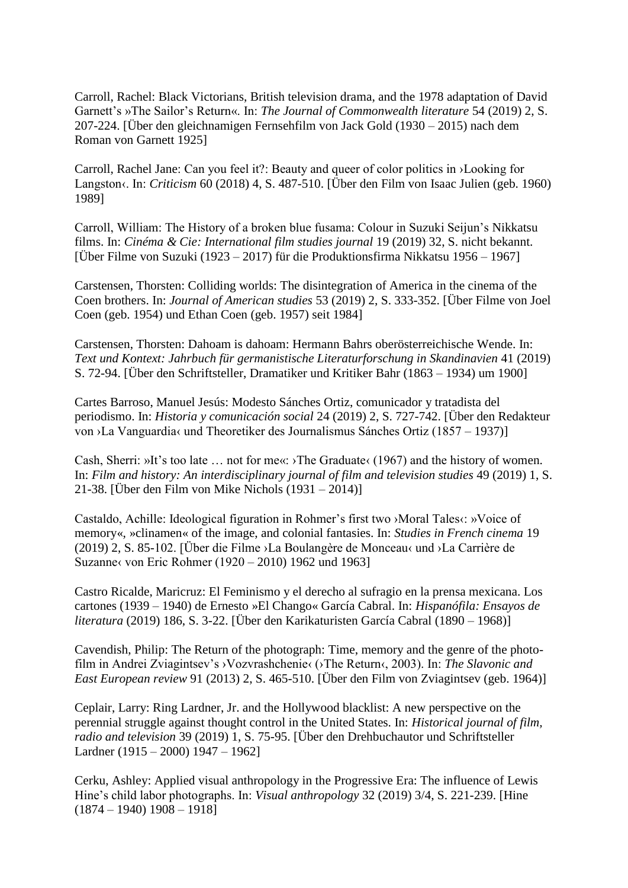Carroll, Rachel: Black Victorians, British television drama, and the 1978 adaptation of David Garnett's »The Sailor's Return«. In: *The Journal of Commonwealth literature* 54 (2019) 2, S. 207-224. [Über den gleichnamigen Fernsehfilm von Jack Gold (1930 – 2015) nach dem Roman von Garnett 1925]

Carroll, Rachel Jane: Can you feel it?: Beauty and queer of color politics in ›Looking for Langston‹. In: *Criticism* 60 (2018) 4, S. 487-510. [Über den Film von Isaac Julien (geb. 1960) 1989]

Carroll, William: The History of a broken blue fusama: Colour in Suzuki Seijun's Nikkatsu films. In: *Cinéma & Cie: International film studies journal* 19 (2019) 32, S. nicht bekannt. [Über Filme von Suzuki (1923 – 2017) für die Produktionsfirma Nikkatsu 1956 – 1967]

Carstensen, Thorsten: Colliding worlds: The disintegration of America in the cinema of the Coen brothers. In: *Journal of American studies* 53 (2019) 2, S. 333-352. [Über Filme von Joel Coen (geb. 1954) und Ethan Coen (geb. 1957) seit 1984]

Carstensen, Thorsten: Dahoam is dahoam: Hermann Bahrs oberösterreichische Wende. In: *Text und Kontext: Jahrbuch für germanistische Literaturforschung in Skandinavien* 41 (2019) S. 72-94. [Über den Schriftsteller, Dramatiker und Kritiker Bahr (1863 – 1934) um 1900]

Cartes Barroso, Manuel Jesús: Modesto Sánches Ortiz, comunicador y tratadista del periodismo. In: *Historia y comunicación social* 24 (2019) 2, S. 727-742. [Über den Redakteur von ›La Vanguardia‹ und Theoretiker des Journalismus Sánches Ortiz (1857 – 1937)]

Cash, Sherri: »It's too late ... not for me«: >The Graduate‹ (1967) and the history of women. In: *Film and history: An interdisciplinary journal of film and television studies* 49 (2019) 1, S. 21-38. [Über den Film von Mike Nichols (1931 – 2014)]

Castaldo, Achille: Ideological figuration in Rohmer's first two >Moral Tales‹: »Voice of memory«, »clinamen« of the image, and colonial fantasies. In: *Studies in French cinema* 19 (2019) 2, S. 85-102. [Über die Filme ›La Boulangère de Monceau‹ und ›La Carrière de Suzanne‹ von Eric Rohmer (1920 – 2010) 1962 und 1963]

Castro Ricalde, Maricruz: El Feminismo y el derecho al sufragio en la prensa mexicana. Los cartones (1939 – 1940) de Ernesto »El Chango« García Cabral. In: *Hispanófila: Ensayos de literatura* (2019) 186, S. 3-22. [Über den Karikaturisten García Cabral (1890 – 1968)]

Cavendish, Philip: The Return of the photograph: Time, memory and the genre of the photofilm in Andrei Zviagintsev's ›Vozvrashchenie‹ (›The Return‹, 2003). In: *The Slavonic and East European review* 91 (2013) 2, S. 465-510. [Über den Film von Zviagintsev (geb. 1964)]

Ceplair, Larry: Ring Lardner, Jr. and the Hollywood blacklist: A new perspective on the perennial struggle against thought control in the United States. In: *Historical journal of film, radio and television* 39 (2019) 1, S. 75-95. [Über den Drehbuchautor und Schriftsteller Lardner (1915 – 2000) 1947 – 1962]

Cerku, Ashley: Applied visual anthropology in the Progressive Era: The influence of Lewis Hine's child labor photographs. In: *Visual anthropology* 32 (2019) 3/4, S. 221-239. [Hine  $(1874 - 1940)$  1908 - 1918]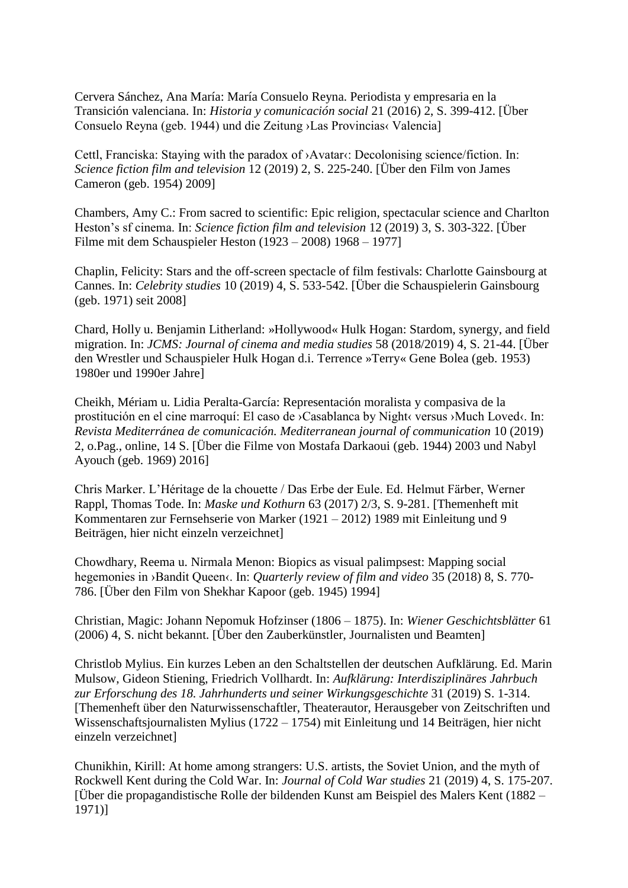Cervera Sánchez, Ana María: María Consuelo Reyna. Periodista y empresaria en la Transición valenciana. In: *Historia y comunicación social* 21 (2016) 2, S. 399-412. [Über Consuelo Reyna (geb. 1944) und die Zeitung ›Las Provincias‹ Valencia]

Cettl, Franciska: Staying with the paradox of >Avatar<: Decolonising science/fiction. In: *Science fiction film and television* 12 (2019) 2, S. 225-240. [Über den Film von James Cameron (geb. 1954) 2009]

Chambers, Amy C.: From sacred to scientific: Epic religion, spectacular science and Charlton Heston's sf cinema. In: *Science fiction film and television* 12 (2019) 3, S. 303-322. [Über Filme mit dem Schauspieler Heston (1923 – 2008) 1968 – 1977]

Chaplin, Felicity: Stars and the off-screen spectacle of film festivals: Charlotte Gainsbourg at Cannes. In: *Celebrity studies* 10 (2019) 4, S. 533-542. [Über die Schauspielerin Gainsbourg (geb. 1971) seit 2008]

Chard, Holly u. Benjamin Litherland: »Hollywood« Hulk Hogan: Stardom, synergy, and field migration. In: *JCMS: Journal of cinema and media studies* 58 (2018/2019) 4, S. 21-44. [Über den Wrestler und Schauspieler Hulk Hogan d.i. Terrence »Terry« Gene Bolea (geb. 1953) 1980er und 1990er Jahre]

Cheikh, Mériam u. Lidia Peralta-García: Representación moralista y compasiva de la prostitución en el cine marroquí: El caso de ›Casablanca by Night‹ versus ›Much Loved‹. In: *Revista Mediterránea de comunicación. Mediterranean journal of communication* 10 (2019) 2, o.Pag., online, 14 S. [Über die Filme von Mostafa Darkaoui (geb. 1944) 2003 und Nabyl Ayouch (geb. 1969) 2016]

Chris Marker. L'Héritage de la chouette / Das Erbe der Eule. Ed. Helmut Färber, Werner Rappl, Thomas Tode. In: *Maske und Kothurn* 63 (2017) 2/3, S. 9-281. [Themenheft mit Kommentaren zur Fernsehserie von Marker (1921 – 2012) 1989 mit Einleitung und 9 Beiträgen, hier nicht einzeln verzeichnet]

Chowdhary, Reema u. Nirmala Menon: Biopics as visual palimpsest: Mapping social hegemonies in ›Bandit Queen‹. In: *Quarterly review of film and video* 35 (2018) 8, S. 770- 786. [Über den Film von Shekhar Kapoor (geb. 1945) 1994]

Christian, Magic: Johann Nepomuk Hofzinser (1806 – 1875). In: *Wiener Geschichtsblätter* 61 (2006) 4, S. nicht bekannt. [Über den Zauberkünstler, Journalisten und Beamten]

Christlob Mylius. Ein kurzes Leben an den Schaltstellen der deutschen Aufklärung. Ed. Marin Mulsow, Gideon Stiening, Friedrich Vollhardt. In: *Aufklärung: Interdisziplinäres Jahrbuch zur Erforschung des 18. Jahrhunderts und seiner Wirkungsgeschichte* 31 (2019) S. 1-314. [Themenheft über den Naturwissenschaftler, Theaterautor, Herausgeber von Zeitschriften und Wissenschaftsjournalisten Mylius (1722 – 1754) mit Einleitung und 14 Beiträgen, hier nicht einzeln verzeichnet]

Chunikhin, Kirill: At home among strangers: U.S. artists, the Soviet Union, and the myth of Rockwell Kent during the Cold War. In: *Journal of Cold War studies* 21 (2019) 4, S. 175-207. [Über die propagandistische Rolle der bildenden Kunst am Beispiel des Malers Kent (1882 – 1971)]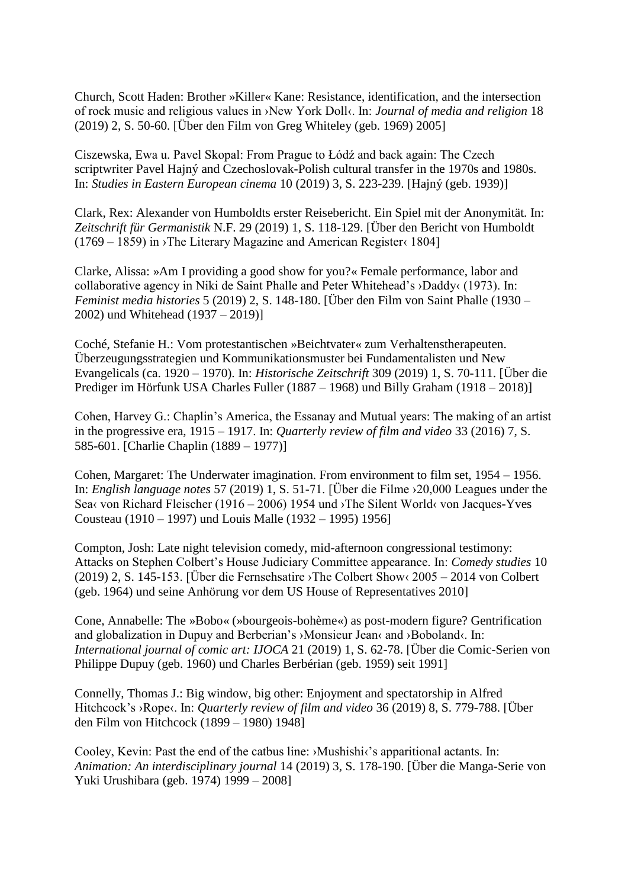Church, Scott Haden: Brother »Killer« Kane: Resistance, identification, and the intersection of rock music and religious values in ›New York Doll‹. In: *Journal of media and religion* 18 (2019) 2, S. 50-60. [Über den Film von Greg Whiteley (geb. 1969) 2005]

Ciszewska, Ewa u. Pavel Skopal: From Prague to Łódź and back again: The Czech scriptwriter Pavel Hajný and Czechoslovak-Polish cultural transfer in the 1970s and 1980s. In: *Studies in Eastern European cinema* 10 (2019) 3, S. 223-239. [Hajný (geb. 1939)]

Clark, Rex: Alexander von Humboldts erster Reisebericht. Ein Spiel mit der Anonymität. In: *Zeitschrift für Germanistik* N.F. 29 (2019) 1, S. 118-129. [Über den Bericht von Humboldt (1769 – 1859) in ›The Literary Magazine and American Register‹ 1804]

Clarke, Alissa: »Am I providing a good show for you?« Female performance, labor and collaborative agency in Niki de Saint Phalle and Peter Whitehead's ›Daddy‹ (1973). In: *Feminist media histories* 5 (2019) 2, S. 148-180. [Über den Film von Saint Phalle (1930 – 2002) und Whitehead (1937 – 2019)]

Coché, Stefanie H.: Vom protestantischen »Beichtvater« zum Verhaltenstherapeuten. Überzeugungsstrategien und Kommunikationsmuster bei Fundamentalisten und New Evangelicals (ca. 1920 – 1970). In: *Historische Zeitschrift* 309 (2019) 1, S. 70-111. [Über die Prediger im Hörfunk USA Charles Fuller (1887 – 1968) und Billy Graham (1918 – 2018)]

Cohen, Harvey G.: Chaplin's America, the Essanay and Mutual years: The making of an artist in the progressive era, 1915 – 1917. In: *Quarterly review of film and video* 33 (2016) 7, S. 585-601. [Charlie Chaplin (1889 – 1977)]

Cohen, Margaret: The Underwater imagination. From environment to film set, 1954 – 1956. In: *English language notes* 57 (2019) 1, S. 51-71. [Über die Filme ›20,000 Leagues under the Sea< von Richard Fleischer (1916 – 2006) 1954 und  $\lambda$ The Silent World< von Jacques-Yves Cousteau (1910 – 1997) und Louis Malle (1932 – 1995) 1956]

Compton, Josh: Late night television comedy, mid-afternoon congressional testimony: Attacks on Stephen Colbert's House Judiciary Committee appearance. In: *Comedy studies* 10 (2019) 2, S. 145-153. [Über die Fernsehsatire ›The Colbert Show‹ 2005 – 2014 von Colbert (geb. 1964) und seine Anhörung vor dem US House of Representatives 2010]

Cone, Annabelle: The »Bobo« (»bourgeois-bohème«) as post-modern figure? Gentrification and globalization in Dupuy and Berberian's ›Monsieur Jean‹ and ›Boboland‹. In: *International journal of comic art: IJOCA* 21 (2019) 1, S. 62-78. [Über die Comic-Serien von Philippe Dupuy (geb. 1960) und Charles Berbérian (geb. 1959) seit 1991]

Connelly, Thomas J.: Big window, big other: Enjoyment and spectatorship in Alfred Hitchcock's ›Rope‹. In: *Quarterly review of film and video* 36 (2019) 8, S. 779-788. [Über den Film von Hitchcock (1899 – 1980) 1948]

Cooley, Kevin: Past the end of the catbus line: ›Mushishi‹'s apparitional actants. In: *Animation: An interdisciplinary journal* 14 (2019) 3, S. 178-190. [Über die Manga-Serie von Yuki Urushibara (geb. 1974) 1999 – 2008]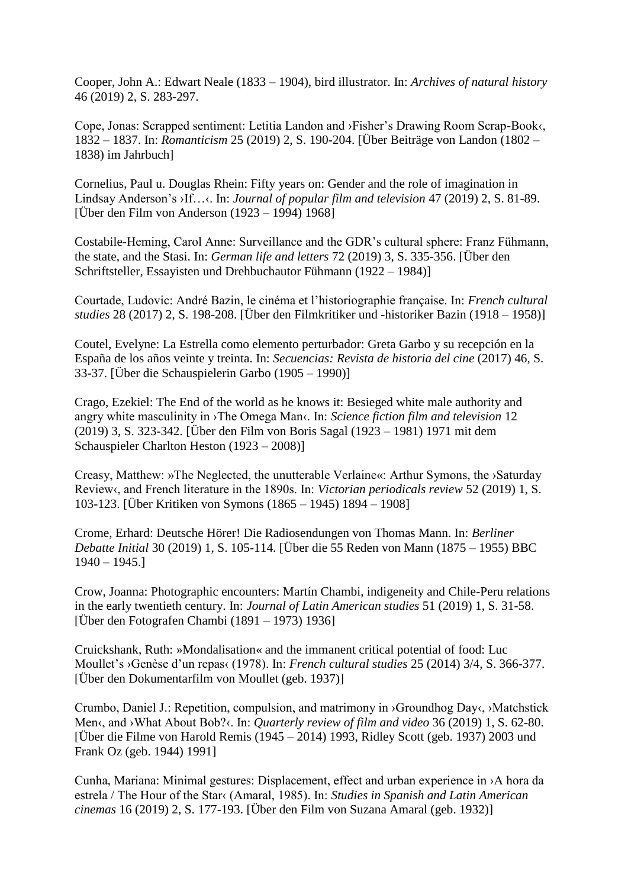Cooper, John A.: Edwart Neale (1833 – 1904), bird illustrator. In: *Archives of natural history* 46 (2019) 2, S. 283-297.

Cope, Jonas: Scrapped sentiment: Letitia Landon and ›Fisher's Drawing Room Scrap-Book‹, 1832 – 1837. In: *Romanticism* 25 (2019) 2, S. 190-204. [Über Beiträge von Landon (1802 – 1838) im Jahrbuch]

Cornelius, Paul u. Douglas Rhein: Fifty years on: Gender and the role of imagination in Lindsay Anderson's ›If…‹. In: *Journal of popular film and television* 47 (2019) 2, S. 81-89. [Über den Film von Anderson (1923 – 1994) 1968]

Costabile-Heming, Carol Anne: Surveillance and the GDR's cultural sphere: Franz Fühmann, the state, and the Stasi. In: *German life and letters* 72 (2019) 3, S. 335-356. [Über den Schriftsteller, Essayisten und Drehbuchautor Fühmann (1922 – 1984)]

Courtade, Ludovic: André Bazin, le cinéma et l'historiographie française. In: *French cultural studies* 28 (2017) 2, S. 198-208. [Über den Filmkritiker und -historiker Bazin (1918 – 1958)]

Coutel, Evelyne: La Estrella como elemento perturbador: Greta Garbo y su recepción en la España de los años veinte y treinta. In: *Secuencias: Revista de historia del cine* (2017) 46, S. 33-37. [Über die Schauspielerin Garbo (1905 – 1990)]

Crago, Ezekiel: The End of the world as he knows it: Besieged white male authority and angry white masculinity in ›The Omega Man‹. In: *Science fiction film and television* 12 (2019) 3, S. 323-342. [Über den Film von Boris Sagal (1923 – 1981) 1971 mit dem Schauspieler Charlton Heston (1923 – 2008)]

Creasy, Matthew: »The Neglected, the unutterable Verlaine«: Arthur Symons, the ›Saturday Review‹, and French literature in the 1890s. In: *Victorian periodicals review* 52 (2019) 1, S. 103-123. [Über Kritiken von Symons (1865 – 1945) 1894 – 1908]

Crome, Erhard: Deutsche Hörer! Die Radiosendungen von Thomas Mann. In: *Berliner Debatte Initial* 30 (2019) 1, S. 105-114. [Über die 55 Reden von Mann (1875 – 1955) BBC 1940 – 1945.]

Crow, Joanna: Photographic encounters: Martín Chambi, indigeneity and Chile-Peru relations in the early twentieth century. In: *Journal of Latin American studies* 51 (2019) 1, S. 31-58. [Über den Fotografen Chambi (1891 – 1973) 1936]

Cruickshank, Ruth: »Mondalisation« and the immanent critical potential of food: Luc Moullet's ›Genèse d'un repas‹ (1978). In: *French cultural studies* 25 (2014) 3/4, S. 366-377. [Über den Dokumentarfilm von Moullet (geb. 1937)]

Crumbo, Daniel J.: Repetition, compulsion, and matrimony in ›Groundhog Day‹, ›Matchstick Men‹, and ›What About Bob?‹. In: *Quarterly review of film and video* 36 (2019) 1, S. 62-80.  $\overline{C}$  [Über die Filme von Harold Remis (1945 – 2014) 1993, Ridley Scott (geb. 1937) 2003 und Frank Oz (geb. 1944) 1991]

Cunha, Mariana: Minimal gestures: Displacement, effect and urban experience in ›A hora da estrela / The Hour of the Star‹ (Amaral, 1985). In: *Studies in Spanish and Latin American cinemas* 16 (2019) 2, S. 177-193. [Über den Film von Suzana Amaral (geb. 1932)]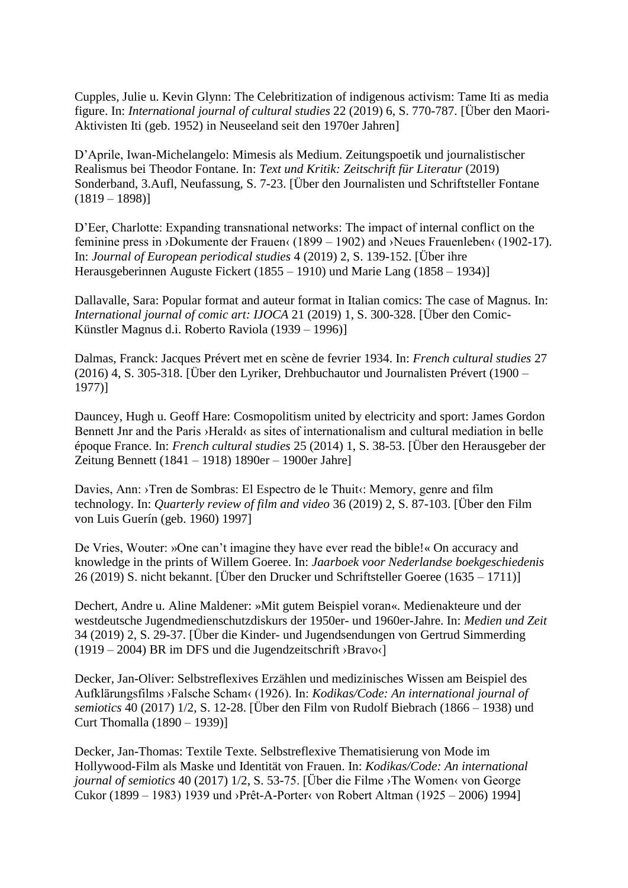Cupples, Julie u. Kevin Glynn: The Celebritization of indigenous activism: Tame Iti as media figure. In: *International journal of cultural studies* 22 (2019) 6, S. 770-787. [Über den Maori-Aktivisten Iti (geb. 1952) in Neuseeland seit den 1970er Jahren]

D'Aprile, Iwan-Michelangelo: Mimesis als Medium. Zeitungspoetik und journalistischer Realismus bei Theodor Fontane. In: *Text und Kritik: Zeitschrift für Literatur* (2019) Sonderband, 3.Aufl, Neufassung, S. 7-23. [Über den Journalisten und Schriftsteller Fontane  $(1819 - 1898)$ 

D'Eer, Charlotte: Expanding transnational networks: The impact of internal conflict on the feminine press in ›Dokumente der Frauen‹ (1899 – 1902) and ›Neues Frauenleben‹ (1902-17). In: *Journal of European periodical studies* 4 (2019) 2, S. 139-152. [Über ihre Herausgeberinnen Auguste Fickert (1855 – 1910) und Marie Lang (1858 – 1934)]

Dallavalle, Sara: Popular format and auteur format in Italian comics: The case of Magnus. In: *International journal of comic art: IJOCA* 21 (2019) 1, S. 300-328. [Über den Comic-Künstler Magnus d.i. Roberto Raviola (1939 – 1996)]

Dalmas, Franck: Jacques Prévert met en scène de fevrier 1934. In: *French cultural studies* 27 (2016) 4, S. 305-318. [Über den Lyriker, Drehbuchautor und Journalisten Prévert (1900 – 1977)]

Dauncey, Hugh u. Geoff Hare: Cosmopolitism united by electricity and sport: James Gordon Bennett Jnr and the Paris ›Herald‹ as sites of internationalism and cultural mediation in belle époque France. In: *French cultural studies* 25 (2014) 1, S. 38-53. [Über den Herausgeber der Zeitung Bennett (1841 – 1918) 1890er – 1900er Jahre]

Davies, Ann: >Tren de Sombras: El Espectro de le Thuit‹: Memory, genre and film technology. In: *Quarterly review of film and video* 36 (2019) 2, S. 87-103. [Über den Film von Luis Guerín (geb. 1960) 1997]

De Vries, Wouter: »One can't imagine they have ever read the bible!« On accuracy and knowledge in the prints of Willem Goeree. In: *Jaarboek voor Nederlandse boekgeschiedenis* 26 (2019) S. nicht bekannt. [Über den Drucker und Schriftsteller Goeree (1635 – 1711)]

Dechert, Andre u. Aline Maldener: »Mit gutem Beispiel voran«. Medienakteure und der westdeutsche Jugendmedienschutzdiskurs der 1950er- und 1960er-Jahre. In: *Medien und Zeit* 34 (2019) 2, S. 29-37. [Über die Kinder- und Jugendsendungen von Gertrud Simmerding (1919 – 2004) BR im DFS und die Jugendzeitschrift ›Bravo‹]

Decker, Jan-Oliver: Selbstreflexives Erzählen und medizinisches Wissen am Beispiel des Aufklärungsfilms ›Falsche Scham‹ (1926). In: *Kodikas/Code: An international journal of semiotics* 40 (2017) 1/2, S. 12-28. [Über den Film von Rudolf Biebrach (1866 – 1938) und Curt Thomalla (1890 – 1939)]

Decker, Jan-Thomas: Textile Texte. Selbstreflexive Thematisierung von Mode im Hollywood-Film als Maske und Identität von Frauen. In: *Kodikas/Code: An international journal of semiotics* 40 (2017) 1/2, S. 53-75. [Über die Filme ›The Women‹ von George Cukor (1899 – 1983) 1939 und ›Prêt-A-Porter‹ von Robert Altman (1925 – 2006) 1994]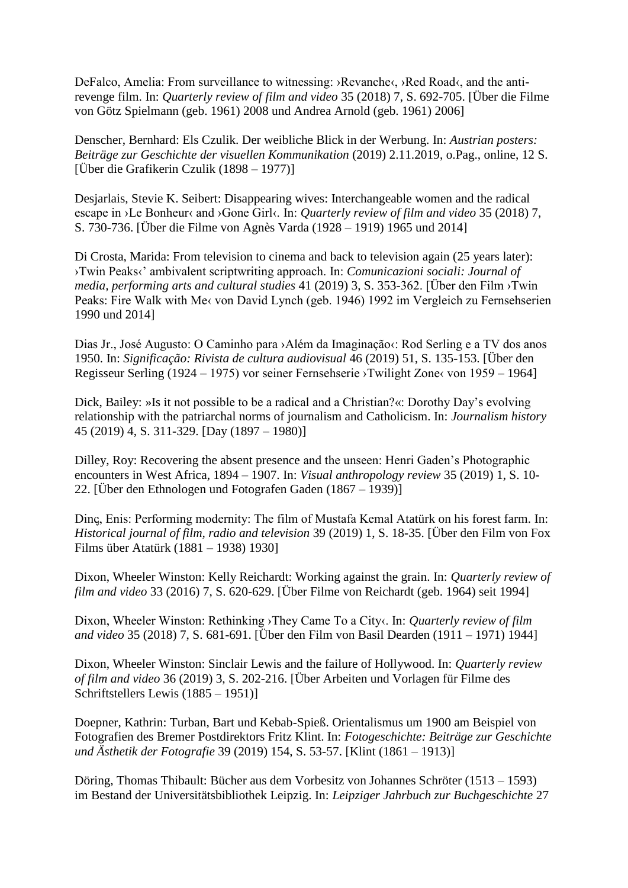DeFalco, Amelia: From surveillance to witnessing: ›Revanche‹, ›Red Road‹, and the antirevenge film. In: *Quarterly review of film and video* 35 (2018) 7, S. 692-705. [Über die Filme von Götz Spielmann (geb. 1961) 2008 und Andrea Arnold (geb. 1961) 2006]

Denscher, Bernhard: Els Czulik. Der weibliche Blick in der Werbung. In: *Austrian posters: Beiträge zur Geschichte der visuellen Kommunikation* (2019) 2.11.2019, o.Pag., online, 12 S. [Über die Grafikerin Czulik (1898 – 1977)]

Desjarlais, Stevie K. Seibert: Disappearing wives: Interchangeable women and the radical escape in ›Le Bonheur‹ and ›Gone Girl‹. In: *Quarterly review of film and video* 35 (2018) 7, S. 730-736. [Über die Filme von Agnès Varda (1928 – 1919) 1965 und 2014]

Di Crosta, Marida: From television to cinema and back to television again (25 years later): ›Twin Peaks‹' ambivalent scriptwriting approach. In: *Comunicazioni sociali: Journal of media, performing arts and cultural studies* 41 (2019) 3, S. 353-362. [Über den Film ›Twin Peaks: Fire Walk with Me‹ von David Lynch (geb. 1946) 1992 im Vergleich zu Fernsehserien 1990 und 2014]

Dias Jr., José Augusto: O Caminho para > Além da Imaginação<: Rod Serling e a TV dos anos 1950. In: *Significação: Rivista de cultura audiovisual* 46 (2019) 51, S. 135-153. [Über den Regisseur Serling (1924 – 1975) vor seiner Fernsehserie ›Twilight Zone‹ von 1959 – 1964]

Dick, Bailey: »Is it not possible to be a radical and a Christian?«: Dorothy Day's evolving relationship with the patriarchal norms of journalism and Catholicism. In: *Journalism history* 45 (2019) 4, S. 311-329. [Day (1897 – 1980)]

Dilley, Roy: Recovering the absent presence and the unseen: Henri Gaden's Photographic encounters in West Africa, 1894 – 1907. In: *Visual anthropology review* 35 (2019) 1, S. 10- 22. [Über den Ethnologen und Fotografen Gaden (1867 – 1939)]

Dinc, Enis: Performing modernity: The film of Mustafa Kemal Atatürk on his forest farm. In: *Historical journal of film, radio and television* 39 (2019) 1, S. 18-35. [Über den Film von Fox Films über Atatürk (1881 – 1938) 1930]

Dixon, Wheeler Winston: Kelly Reichardt: Working against the grain. In: *Quarterly review of film and video* 33 (2016) 7, S. 620-629. [Über Filme von Reichardt (geb. 1964) seit 1994]

Dixon, Wheeler Winston: Rethinking >They Came To a City<. In: *Quarterly review of film and video* 35 (2018) 7, S. 681-691. [Über den Film von Basil Dearden (1911 – 1971) 1944]

Dixon, Wheeler Winston: Sinclair Lewis and the failure of Hollywood. In: *Quarterly review of film and video* 36 (2019) 3, S. 202-216. [Über Arbeiten und Vorlagen für Filme des Schriftstellers Lewis (1885 – 1951)]

Doepner, Kathrin: Turban, Bart und Kebab-Spieß. Orientalismus um 1900 am Beispiel von Fotografien des Bremer Postdirektors Fritz Klint. In: *Fotogeschichte: Beiträge zur Geschichte und Ästhetik der Fotografie* 39 (2019) 154, S. 53-57. [Klint (1861 – 1913)]

Döring, Thomas Thibault: Bücher aus dem Vorbesitz von Johannes Schröter (1513 – 1593) im Bestand der Universitätsbibliothek Leipzig. In: *Leipziger Jahrbuch zur Buchgeschichte* 27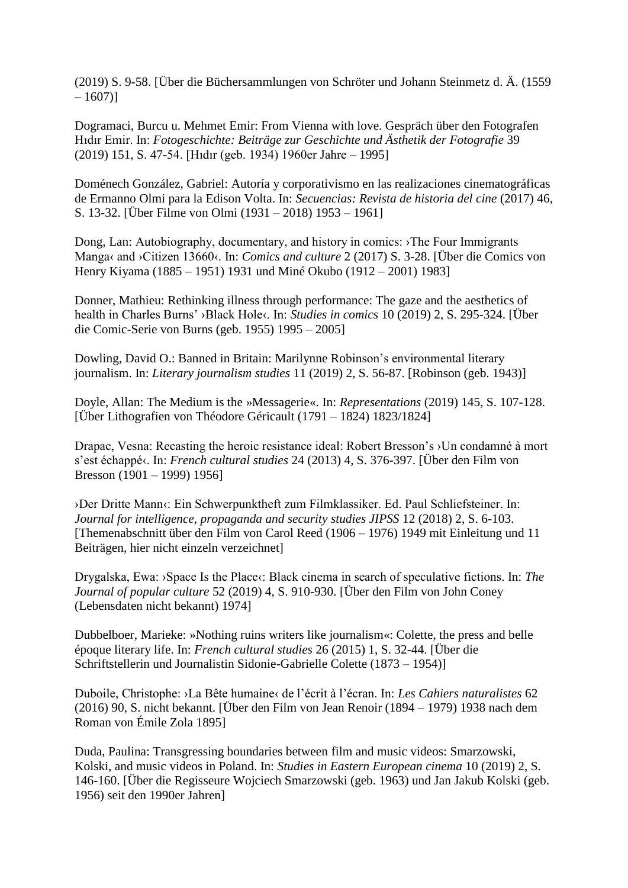(2019) S. 9-58. [Über die Büchersammlungen von Schröter und Johann Steinmetz d. Ä. (1559  $-1607$ ]

Dogramaci, Burcu u. Mehmet Emir: From Vienna with love. Gespräch über den Fotografen Hıdır Emir. In: *Fotogeschichte: Beiträge zur Geschichte und Ästhetik der Fotografie* 39 (2019) 151, S. 47-54. [Hıdır (geb. 1934) 1960er Jahre – 1995]

Doménech González, Gabriel: Autoría y corporativismo en las realizaciones cinematográficas de Ermanno Olmi para la Edison Volta. In: *Secuencias: Revista de historia del cine* (2017) 46, S. 13-32. [Über Filme von Olmi (1931 – 2018) 1953 – 1961]

Dong, Lan: Autobiography, documentary, and history in comics: ›The Four Immigrants Manga‹ and ›Citizen 13660‹. In: *Comics and culture* 2 (2017) S. 3-28. [Über die Comics von Henry Kiyama (1885 – 1951) 1931 und Miné Okubo (1912 – 2001) 1983]

Donner, Mathieu: Rethinking illness through performance: The gaze and the aesthetics of health in Charles Burns' >Black Hole<. In: *Studies in comics* 10 (2019) 2, S. 295-324. [Über die Comic-Serie von Burns (geb. 1955) 1995 – 2005]

Dowling, David O.: Banned in Britain: Marilynne Robinson's environmental literary journalism. In: *Literary journalism studies* 11 (2019) 2, S. 56-87. [Robinson (geb. 1943)]

Doyle, Allan: The Medium is the »Messagerie«. In: *Representations* (2019) 145, S. 107-128. [Über Lithografien von Théodore Géricault (1791 – 1824) 1823/1824]

Drapac, Vesna: Recasting the heroic resistance ideal: Robert Bresson's ›Un condamné à mort s'est échappé‹. In: *French cultural studies* 24 (2013) 4, S. 376-397. [Über den Film von Bresson (1901 – 1999) 1956]

›Der Dritte Mann‹: Ein Schwerpunktheft zum Filmklassiker. Ed. Paul Schliefsteiner. In: *Journal for intelligence, propaganda and security studies JIPSS* 12 (2018) 2, S. 6-103. [Themenabschnitt über den Film von Carol Reed (1906 – 1976) 1949 mit Einleitung und 11 Beiträgen, hier nicht einzeln verzeichnet]

Drygalska, Ewa: ›Space Is the Place‹: Black cinema in search of speculative fictions. In: *The Journal of popular culture* 52 (2019) 4, S. 910-930. [Über den Film von John Coney (Lebensdaten nicht bekannt) 1974]

Dubbelboer, Marieke: »Nothing ruins writers like journalism«: Colette, the press and belle époque literary life. In: *French cultural studies* 26 (2015) 1, S. 32-44. [Über die Schriftstellerin und Journalistin Sidonie-Gabrielle Colette (1873 – 1954)]

Duboile, Christophe: ›La Bête humaine‹ de l'écrit à l'écran. In: *Les Cahiers naturalistes* 62 (2016) 90, S. nicht bekannt. [Über den Film von Jean Renoir (1894 – 1979) 1938 nach dem Roman von Émile Zola 1895]

Duda, Paulina: Transgressing boundaries between film and music videos: Smarzowski, Kolski, and music videos in Poland. In: *Studies in Eastern European cinema* 10 (2019) 2, S. 146-160. [Über die Regisseure Wojciech Smarzowski (geb. 1963) und Jan Jakub Kolski (geb. 1956) seit den 1990er Jahren]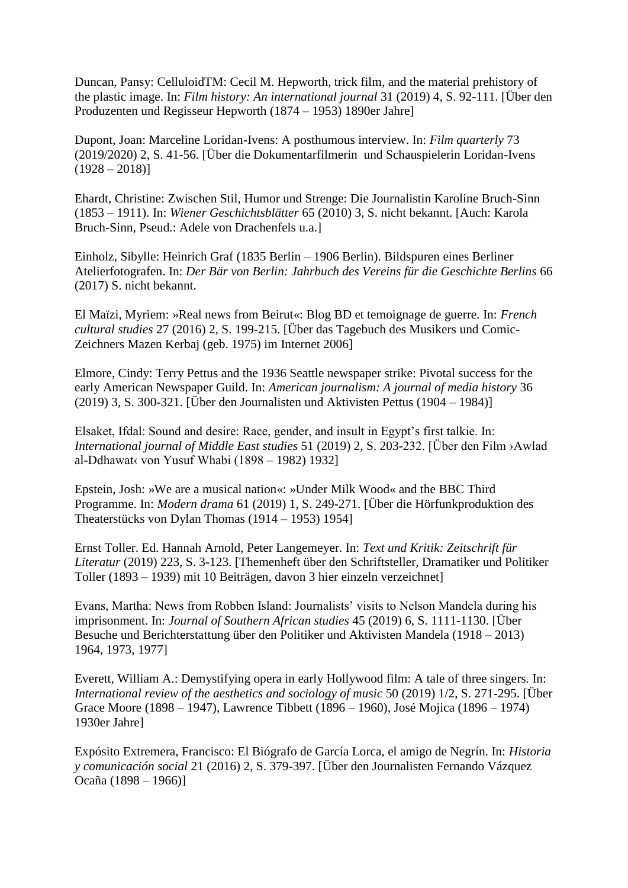Duncan, Pansy: CelluloidTM: Cecil M. Hepworth, trick film, and the material prehistory of the plastic image. In: *Film history: An international journal* 31 (2019) 4, S. 92-111. [Über den Produzenten und Regisseur Hepworth (1874 – 1953) 1890er Jahre]

Dupont, Joan: Marceline Loridan-Ivens: A posthumous interview. In: *Film quarterly* 73 (2019/2020) 2, S. 41-56. [Über die Dokumentarfilmerin und Schauspielerin Loridan-Ivens  $(1928 - 2018)$ 

Ehardt, Christine: Zwischen Stil, Humor und Strenge: Die Journalistin Karoline Bruch-Sinn (1853 – 1911). In: *Wiener Geschichtsblätter* 65 (2010) 3, S. nicht bekannt. [Auch: Karola Bruch-Sinn, Pseud.: Adele von Drachenfels u.a.]

Einholz, Sibylle: Heinrich Graf (1835 Berlin – 1906 Berlin). Bildspuren eines Berliner Atelierfotografen. In: *Der Bär von Berlin: Jahrbuch des Vereins für die Geschichte Berlins* 66 (2017) S. nicht bekannt.

El Maïzi, Myriem: »Real news from Beirut«: Blog BD et temoignage de guerre. In: *French cultural studies* 27 (2016) 2, S. 199-215. [Über das Tagebuch des Musikers und Comic-Zeichners Mazen Kerbaj (geb. 1975) im Internet 2006]

Elmore, Cindy: Terry Pettus and the 1936 Seattle newspaper strike: Pivotal success for the early American Newspaper Guild. In: *American journalism: A journal of media history* 36 (2019) 3, S. 300-321. [Über den Journalisten und Aktivisten Pettus (1904 – 1984)]

Elsaket, Ifdal: Sound and desire: Race, gender, and insult in Egypt's first talkie. In: *International journal of Middle East studies* 51 (2019) 2, S. 203-232. [Über den Film ›Awlad al-Ddhawat‹ von Yusuf Whabi (1898 – 1982) 1932]

Epstein, Josh: »We are a musical nation«: »Under Milk Wood« and the BBC Third Programme. In: *Modern drama* 61 (2019) 1, S. 249-271. [Über die Hörfunkproduktion des Theaterstücks von Dylan Thomas (1914 – 1953) 1954]

Ernst Toller. Ed. Hannah Arnold, Peter Langemeyer. In: *Text und Kritik: Zeitschrift für Literatur* (2019) 223, S. 3-123. [Themenheft über den Schriftsteller, Dramatiker und Politiker Toller (1893 – 1939) mit 10 Beiträgen, davon 3 hier einzeln verzeichnet]

Evans, Martha: News from Robben Island: Journalists' visits to Nelson Mandela during his imprisonment. In: *Journal of Southern African studies* 45 (2019) 6, S. 1111-1130. [Über Besuche und Berichterstattung über den Politiker und Aktivisten Mandela (1918 – 2013) 1964, 1973, 1977]

Everett, William A.: Demystifying opera in early Hollywood film: A tale of three singers. In: *International review of the aesthetics and sociology of music* 50 (2019) 1/2, S. 271-295. [Über Grace Moore (1898 – 1947), Lawrence Tibbett (1896 – 1960), José Mojica (1896 – 1974) 1930er Jahre]

Expósito Extremera, Francisco: El Biógrafo de García Lorca, el amigo de Negrín. In: *Historia y comunicación social* 21 (2016) 2, S. 379-397. [Über den Journalisten Fernando Vázquez Ocaña (1898 – 1966)]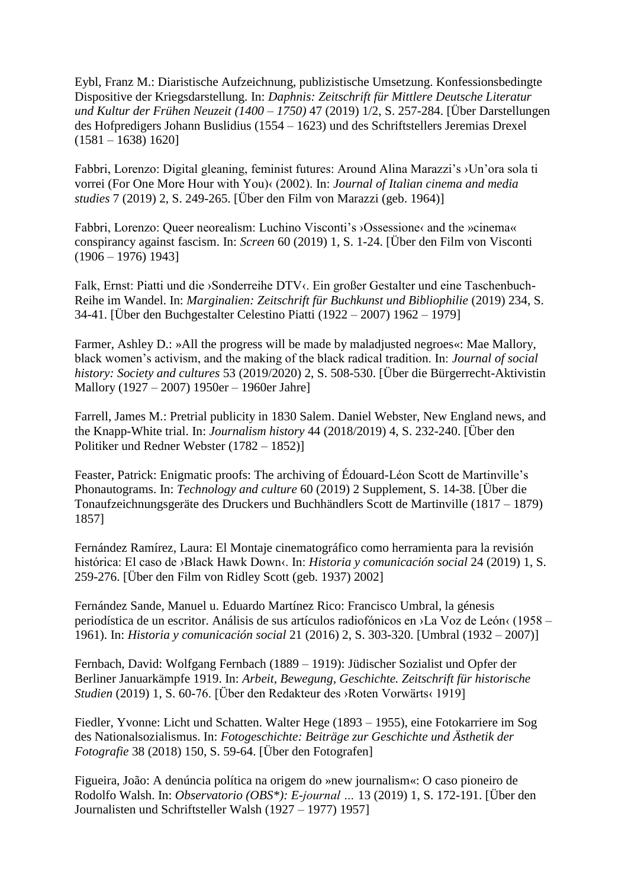Eybl, Franz M.: Diaristische Aufzeichnung, publizistische Umsetzung. Konfessionsbedingte Dispositive der Kriegsdarstellung. In: *Daphnis: Zeitschrift für Mittlere Deutsche Literatur und Kultur der Frühen Neuzeit (1400 – 1750)* 47 (2019) 1/2, S. 257-284. [Über Darstellungen des Hofpredigers Johann Buslidius (1554 – 1623) und des Schriftstellers Jeremias Drexel  $(1581 - 1638) 1620$ 

Fabbri, Lorenzo: Digital gleaning, feminist futures: Around Alina Marazzi's ›Un'ora sola ti vorrei (For One More Hour with You)‹ (2002). In: *Journal of Italian cinema and media studies* 7 (2019) 2, S. 249-265. [Über den Film von Marazzi (geb. 1964)]

Fabbri, Lorenzo: Queer neorealism: Luchino Visconti's ›Ossessione‹ and the »cinema« conspirancy against fascism. In: *Screen* 60 (2019) 1, S. 1-24. [Über den Film von Visconti  $(1906 - 1976)$  1943]

Falk, Ernst: Piatti und die ›Sonderreihe DTV‹. Ein großer Gestalter und eine Taschenbuch-Reihe im Wandel. In: *Marginalien: Zeitschrift für Buchkunst und Bibliophilie* (2019) 234, S. 34-41. [Über den Buchgestalter Celestino Piatti (1922 – 2007) 1962 – 1979]

Farmer, Ashley D.: »All the progress will be made by maladjusted negroes«: Mae Mallory, black women's activism, and the making of the black radical tradition. In: *Journal of social history: Society and cultures* 53 (2019/2020) 2, S. 508-530. [Über die Bürgerrecht-Aktivistin Mallory (1927 – 2007) 1950er – 1960er Jahre]

Farrell, James M.: Pretrial publicity in 1830 Salem. Daniel Webster, New England news, and the Knapp-White trial. In: *Journalism history* 44 (2018/2019) 4, S. 232-240. [Über den Politiker und Redner Webster (1782 – 1852)]

Feaster, Patrick: Enigmatic proofs: The archiving of Édouard-Léon Scott de Martinville's Phonautograms. In: *Technology and culture* 60 (2019) 2 Supplement, S. 14-38. [Über die Tonaufzeichnungsgeräte des Druckers und Buchhändlers Scott de Martinville (1817 – 1879) 1857]

Fernández Ramírez, Laura: El Montaje cinematográfico como herramienta para la revisión histórica: El caso de ›Black Hawk Down‹. In: *Historia y comunicación social* 24 (2019) 1, S. 259-276. [Über den Film von Ridley Scott (geb. 1937) 2002]

Fernández Sande, Manuel u. Eduardo Martínez Rico: Francisco Umbral, la génesis periodística de un escritor. Análisis de sus artículos radiofónicos en ›La Voz de León‹ (1958 – 1961). In: *Historia y comunicación social* 21 (2016) 2, S. 303-320. [Umbral (1932 – 2007)]

Fernbach, David: Wolfgang Fernbach (1889 – 1919): Jüdischer Sozialist und Opfer der Berliner Januarkämpfe 1919. In: *Arbeit, Bewegung, Geschichte. Zeitschrift für historische Studien* (2019) 1, S. 60-76. [Über den Redakteur des ›Roten Vorwärts‹ 1919]

Fiedler, Yvonne: Licht und Schatten. Walter Hege (1893 – 1955), eine Fotokarriere im Sog des Nationalsozialismus. In: *Fotogeschichte: Beiträge zur Geschichte und Ästhetik der Fotografie* 38 (2018) 150, S. 59-64. [Über den Fotografen]

Figueira, João: A denúncia política na origem do »new journalism«: O caso pioneiro de Rodolfo Walsh. In: *Observatorio (OBS\*): E-journal …* 13 (2019) 1, S. 172-191. [Über den Journalisten und Schriftsteller Walsh (1927 – 1977) 1957]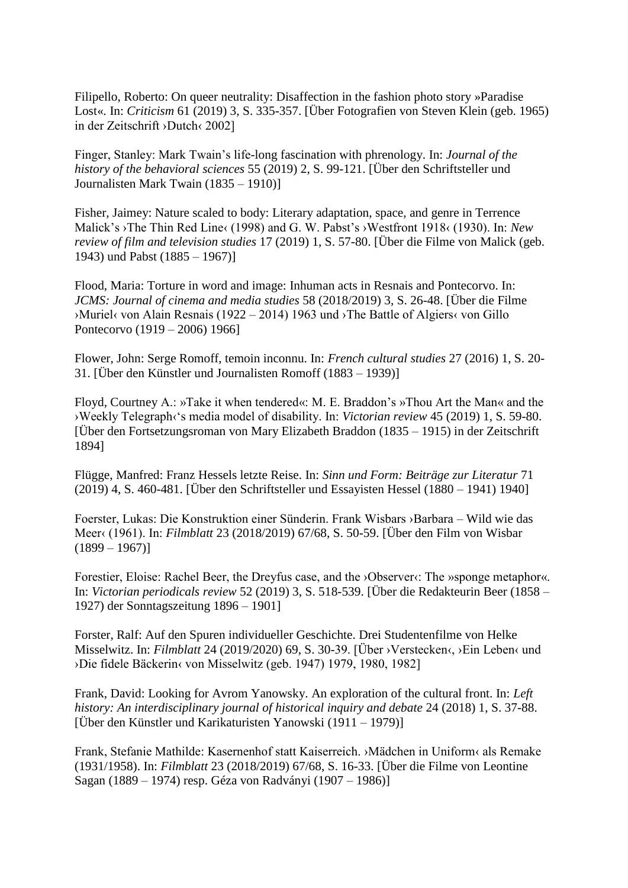Filipello, Roberto: On queer neutrality: Disaffection in the fashion photo story »Paradise Lost«. In: *Criticism* 61 (2019) 3, S. 335-357. [Über Fotografien von Steven Klein (geb. 1965) in der Zeitschrift ›Dutch‹ 2002]

Finger, Stanley: Mark Twain's life-long fascination with phrenology. In: *Journal of the history of the behavioral sciences* 55 (2019) 2, S. 99-121. [Über den Schriftsteller und Journalisten Mark Twain (1835 – 1910)]

Fisher, Jaimey: Nature scaled to body: Literary adaptation, space, and genre in Terrence Malick's ›The Thin Red Line‹ (1998) and G. W. Pabst's ›Westfront 1918‹ (1930). In: *New review of film and television studies* 17 (2019) 1, S. 57-80. [Über die Filme von Malick (geb. 1943) und Pabst (1885 – 1967)]

Flood, Maria: Torture in word and image: Inhuman acts in Resnais and Pontecorvo. In: *JCMS: Journal of cinema and media studies* 58 (2018/2019) 3, S. 26-48. [Über die Filme ›Muriel‹ von Alain Resnais (1922 – 2014) 1963 und ›The Battle of Algiers‹ von Gillo Pontecorvo (1919 – 2006) 1966]

Flower, John: Serge Romoff, temoin inconnu. In: *French cultural studies* 27 (2016) 1, S. 20- 31. [Über den Künstler und Journalisten Romoff (1883 – 1939)]

Floyd, Courtney A.: »Take it when tendered«: M. E. Braddon's »Thou Art the Man« and the ›Weekly Telegraph‹'s media model of disability. In: *Victorian review* 45 (2019) 1, S. 59-80. [Über den Fortsetzungsroman von Mary Elizabeth Braddon (1835 – 1915) in der Zeitschrift 1894]

Flügge, Manfred: Franz Hessels letzte Reise. In: *Sinn und Form: Beiträge zur Literatur* 71 (2019) 4, S. 460-481. [Über den Schriftsteller und Essayisten Hessel (1880 – 1941) 1940]

Foerster, Lukas: Die Konstruktion einer Sünderin. Frank Wisbars ›Barbara – Wild wie das Meer‹ (1961). In: *Filmblatt* 23 (2018/2019) 67/68, S. 50-59. [Über den Film von Wisbar  $(1899 - 1967)$ 

Forestier, Eloise: Rachel Beer, the Dreyfus case, and the *>Observer* at The *»sponge* metaphor«. In: *Victorian periodicals review* 52 (2019) 3, S. 518-539. [Über die Redakteurin Beer (1858 – 1927) der Sonntagszeitung 1896 – 1901]

Forster, Ralf: Auf den Spuren individueller Geschichte. Drei Studentenfilme von Helke Misselwitz. In: *Filmblatt* 24 (2019/2020) 69, S. 30-39. [Über ›Verstecken‹, ›Ein Leben‹ und ›Die fidele Bäckerin‹ von Misselwitz (geb. 1947) 1979, 1980, 1982]

Frank, David: Looking for Avrom Yanowsky. An exploration of the cultural front. In: *Left history: An interdisciplinary journal of historical inquiry and debate* 24 (2018) 1, S. 37-88.  $\overline{E}$ [Über den Künstler und Karikaturisten Yanowski (1911 – 1979)]

Frank, Stefanie Mathilde: Kasernenhof statt Kaiserreich. ›Mädchen in Uniform‹ als Remake (1931/1958). In: *Filmblatt* 23 (2018/2019) 67/68, S. 16-33. [Über die Filme von Leontine Sagan (1889 – 1974) resp. Géza von Radványi (1907 – 1986)]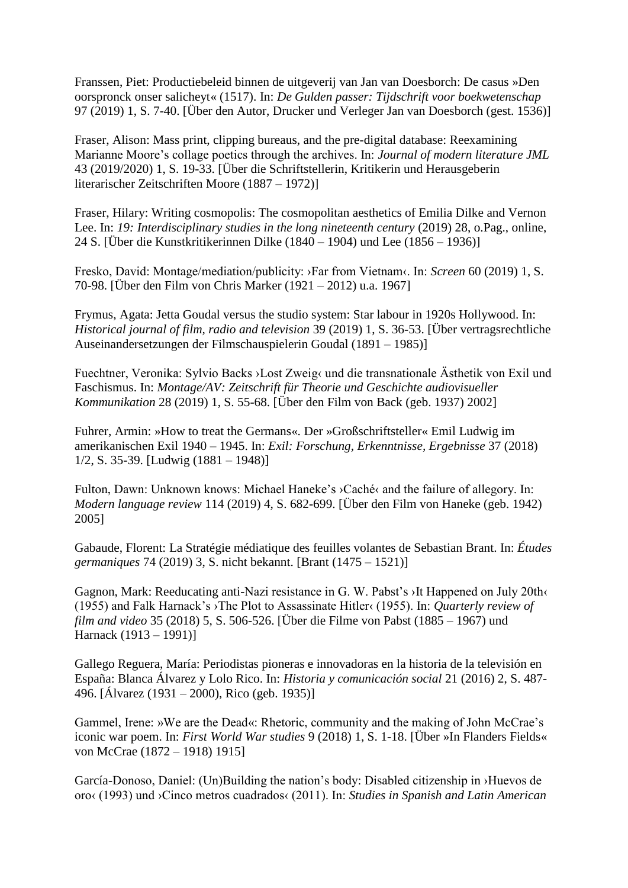Franssen, Piet: Productiebeleid binnen de uitgeverij van Jan van Doesborch: De casus »Den oorspronck onser salicheyt« (1517). In: *De Gulden passer: Tijdschrift voor boekwetenschap* 97 (2019) 1, S. 7-40. [Über den Autor, Drucker und Verleger Jan van Doesborch (gest. 1536)]

Fraser, Alison: Mass print, clipping bureaus, and the pre-digital database: Reexamining Marianne Moore's collage poetics through the archives. In: *Journal of modern literature JML* 43 (2019/2020) 1, S. 19-33. [Über die Schriftstellerin, Kritikerin und Herausgeberin literarischer Zeitschriften Moore (1887 – 1972)]

Fraser, Hilary: Writing cosmopolis: The cosmopolitan aesthetics of Emilia Dilke and Vernon Lee. In: *19: Interdisciplinary studies in the long nineteenth century* (2019) 28, o.Pag., online, 24 S. [Über die Kunstkritikerinnen Dilke (1840 – 1904) und Lee (1856 – 1936)]

Fresko, David: Montage/mediation/publicity: ›Far from Vietnam‹. In: *Screen* 60 (2019) 1, S. 70-98. [Über den Film von Chris Marker (1921 – 2012) u.a. 1967]

Frymus, Agata: Jetta Goudal versus the studio system: Star labour in 1920s Hollywood. In: *Historical journal of film, radio and television* 39 (2019) 1, S. 36-53. [Über vertragsrechtliche Auseinandersetzungen der Filmschauspielerin Goudal (1891 – 1985)]

Fuechtner, Veronika: Sylvio Backs ›Lost Zweig‹ und die transnationale Ästhetik von Exil und Faschismus. In: *Montage/AV: Zeitschrift für Theorie und Geschichte audiovisueller Kommunikation* 28 (2019) 1, S. 55-68. [Über den Film von Back (geb. 1937) 2002]

Fuhrer, Armin: »How to treat the Germans«. Der »Großschriftsteller« Emil Ludwig im amerikanischen Exil 1940 – 1945. In: *Exil: Forschung, Erkenntnisse, Ergebnisse* 37 (2018) 1/2, S. 35-39. [Ludwig (1881 – 1948)]

Fulton, Dawn: Unknown knows: Michael Haneke's ›Caché‹ and the failure of allegory. In: *Modern language review* 114 (2019) 4, S. 682-699. [Über den Film von Haneke (geb. 1942) 2005]

Gabaude, Florent: La Stratégie médiatique des feuilles volantes de Sebastian Brant. In: *Études germaniques* 74 (2019) 3, S. nicht bekannt. [Brant (1475 – 1521)]

Gagnon, Mark: Reeducating anti-Nazi resistance in G. W. Pabst's ›It Happened on July 20th‹ (1955) and Falk Harnack's ›The Plot to Assassinate Hitler‹ (1955). In: *Quarterly review of film and video* 35 (2018) 5, S. 506-526. [Über die Filme von Pabst (1885 – 1967) und Harnack (1913 – 1991)]

Gallego Reguera, María: Periodistas pioneras e innovadoras en la historia de la televisión en España: Blanca Álvarez y Lolo Rico. In: *Historia y comunicación social* 21 (2016) 2, S. 487- 496. [Álvarez (1931 – 2000), Rico (geb. 1935)]

Gammel, Irene: »We are the Dead«: Rhetoric, community and the making of John McCrae's iconic war poem. In: *First World War studies* 9 (2018) 1, S. 1-18. [Über »In Flanders Fields« von McCrae (1872 – 1918) 1915]

García-Donoso, Daniel: (Un)Building the nation's body: Disabled citizenship in ›Huevos de oro‹ (1993) und ›Cinco metros cuadrados‹ (2011). In: *Studies in Spanish and Latin American*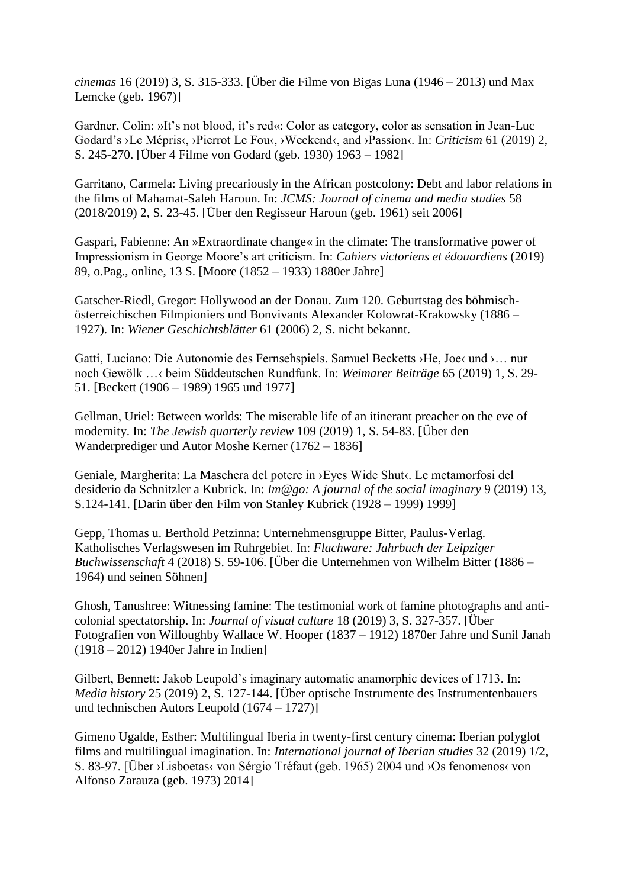*cinemas* 16 (2019) 3, S. 315-333. [Über die Filme von Bigas Luna (1946 – 2013) und Max Lemcke (geb. 1967)]

Gardner, Colin: »It's not blood, it's red«: Color as category, color as sensation in Jean-Luc Godard's ›Le Mépris‹, ›Pierrot Le Fou‹, ›Weekend‹, and ›Passion‹. In: *Criticism* 61 (2019) 2, S. 245-270. [Über 4 Filme von Godard (geb. 1930) 1963 – 1982]

Garritano, Carmela: Living precariously in the African postcolony: Debt and labor relations in the films of Mahamat-Saleh Haroun. In: *JCMS: Journal of cinema and media studies* 58 (2018/2019) 2, S. 23-45. [Über den Regisseur Haroun (geb. 1961) seit 2006]

Gaspari, Fabienne: An »Extraordinate change« in the climate: The transformative power of Impressionism in George Moore's art criticism. In: *Cahiers victoriens et édouardiens* (2019) 89, o.Pag., online, 13 S. [Moore (1852 – 1933) 1880er Jahre]

Gatscher-Riedl, Gregor: Hollywood an der Donau. Zum 120. Geburtstag des böhmischösterreichischen Filmpioniers und Bonvivants Alexander Kolowrat-Krakowsky (1886 – 1927). In: *Wiener Geschichtsblätter* 61 (2006) 2, S. nicht bekannt.

Gatti, Luciano: Die Autonomie des Fernsehspiels. Samuel Becketts ›He, Joe‹ und ›… nur noch Gewölk …‹ beim Süddeutschen Rundfunk. In: *Weimarer Beiträge* 65 (2019) 1, S. 29- 51. [Beckett (1906 – 1989) 1965 und 1977]

Gellman, Uriel: Between worlds: The miserable life of an itinerant preacher on the eve of modernity. In: *The Jewish quarterly review* 109 (2019) 1, S. 54-83. [Über den Wanderprediger und Autor Moshe Kerner (1762 – 1836]

Geniale, Margherita: La Maschera del potere in ›Eyes Wide Shut‹. Le metamorfosi del desiderio da Schnitzler a Kubrick. In: *Im@go: A journal of the social imaginary* 9 (2019) 13, S.124-141. [Darin über den Film von Stanley Kubrick (1928 – 1999) 1999]

Gepp, Thomas u. Berthold Petzinna: Unternehmensgruppe Bitter, Paulus-Verlag. Katholisches Verlagswesen im Ruhrgebiet. In: *Flachware: Jahrbuch der Leipziger Buchwissenschaft* 4 (2018) S. 59-106. [Über die Unternehmen von Wilhelm Bitter (1886 – 1964) und seinen Söhnen]

Ghosh, Tanushree: Witnessing famine: The testimonial work of famine photographs and anticolonial spectatorship. In: *Journal of visual culture* 18 (2019) 3, S. 327-357. [Über Fotografien von Willoughby Wallace W. Hooper (1837 – 1912) 1870er Jahre und Sunil Janah (1918 – 2012) 1940er Jahre in Indien]

Gilbert, Bennett: Jakob Leupold's imaginary automatic anamorphic devices of 1713. In: *Media history* 25 (2019) 2, S. 127-144. [Über optische Instrumente des Instrumentenbauers und technischen Autors Leupold (1674 – 1727)]

Gimeno Ugalde, Esther: Multilingual Iberia in twenty-first century cinema: Iberian polyglot films and multilingual imagination. In: *International journal of Iberian studies* 32 (2019) 1/2, S. 83-97. [Über ›Lisboetas‹ von Sérgio Tréfaut (geb. 1965) 2004 und ›Os fenomenos‹ von Alfonso Zarauza (geb. 1973) 2014]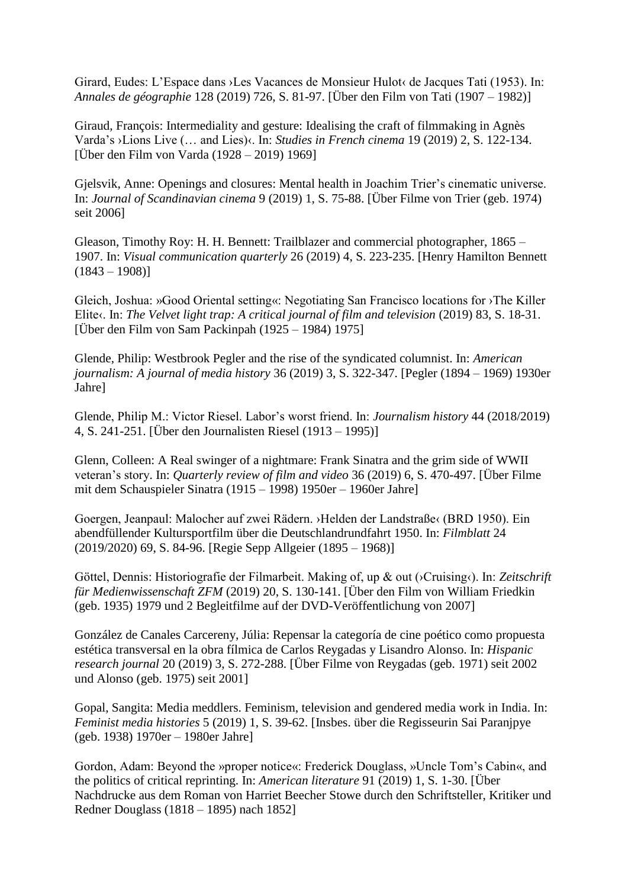Girard, Eudes: L'Espace dans ›Les Vacances de Monsieur Hulot‹ de Jacques Tati (1953). In: *Annales de géographie* 128 (2019) 726, S. 81-97. [Über den Film von Tati (1907 – 1982)]

Giraud, François: Intermediality and gesture: Idealising the craft of filmmaking in Agnès Varda's ›Lions Live (… and Lies)‹. In: *Studies in French cinema* 19 (2019) 2, S. 122-134. [Über den Film von Varda (1928 – 2019) 1969]

Gjelsvik, Anne: Openings and closures: Mental health in Joachim Trier's cinematic universe. In: *Journal of Scandinavian cinema* 9 (2019) 1, S. 75-88. [Über Filme von Trier (geb. 1974) seit 2006]

Gleason, Timothy Roy: H. H. Bennett: Trailblazer and commercial photographer, 1865 – 1907. In: *Visual communication quarterly* 26 (2019) 4, S. 223-235. [Henry Hamilton Bennett  $(1843 - 1908)$ 

Gleich, Joshua: »Good Oriental setting«: Negotiating San Francisco locations for ›The Killer Elite«. In: *The Velvet light trap: A critical journal of film and television* (2019) 83, S. 18-31. [Über den Film von Sam Packinpah (1925 – 1984) 1975]

Glende, Philip: Westbrook Pegler and the rise of the syndicated columnist. In: *American journalism: A journal of media history* 36 (2019) 3, S. 322-347. [Pegler (1894 – 1969) 1930er Jahre]

Glende, Philip M.: Victor Riesel. Labor's worst friend. In: *Journalism history* 44 (2018/2019) 4, S. 241-251. [Über den Journalisten Riesel (1913 – 1995)]

Glenn, Colleen: A Real swinger of a nightmare: Frank Sinatra and the grim side of WWII veteran's story. In: *Quarterly review of film and video* 36 (2019) 6, S. 470-497. [Über Filme mit dem Schauspieler Sinatra (1915 – 1998) 1950er – 1960er Jahre]

Goergen, Jeanpaul: Malocher auf zwei Rädern. ›Helden der Landstraße‹ (BRD 1950). Ein abendfüllender Kultursportfilm über die Deutschlandrundfahrt 1950. In: *Filmblatt* 24 (2019/2020) 69, S. 84-96. [Regie Sepp Allgeier (1895 – 1968)]

Göttel, Dennis: Historiografie der Filmarbeit. Making of, up & out (›Cruising‹). In: *Zeitschrift für Medienwissenschaft ZFM* (2019) 20, S. 130-141. [Über den Film von William Friedkin (geb. 1935) 1979 und 2 Begleitfilme auf der DVD-Veröffentlichung von 2007]

González de Canales Carcereny, Júlia: Repensar la categoría de cine poético como propuesta estética transversal en la obra fílmica de Carlos Reygadas y Lisandro Alonso. In: *Hispanic research journal* 20 (2019) 3, S. 272-288. [Über Filme von Reygadas (geb. 1971) seit 2002 und Alonso (geb. 1975) seit 2001]

Gopal, Sangita: Media meddlers. Feminism, television and gendered media work in India. In: *Feminist media histories* 5 (2019) 1, S. 39-62. [Insbes. über die Regisseurin Sai Paranjpye (geb. 1938) 1970er – 1980er Jahre]

Gordon, Adam: Beyond the »proper notice«: Frederick Douglass, »Uncle Tom's Cabin«, and the politics of critical reprinting. In: *American literature* 91 (2019) 1, S. 1-30. [Über Nachdrucke aus dem Roman von Harriet Beecher Stowe durch den Schriftsteller, Kritiker und Redner Douglass (1818 – 1895) nach 1852]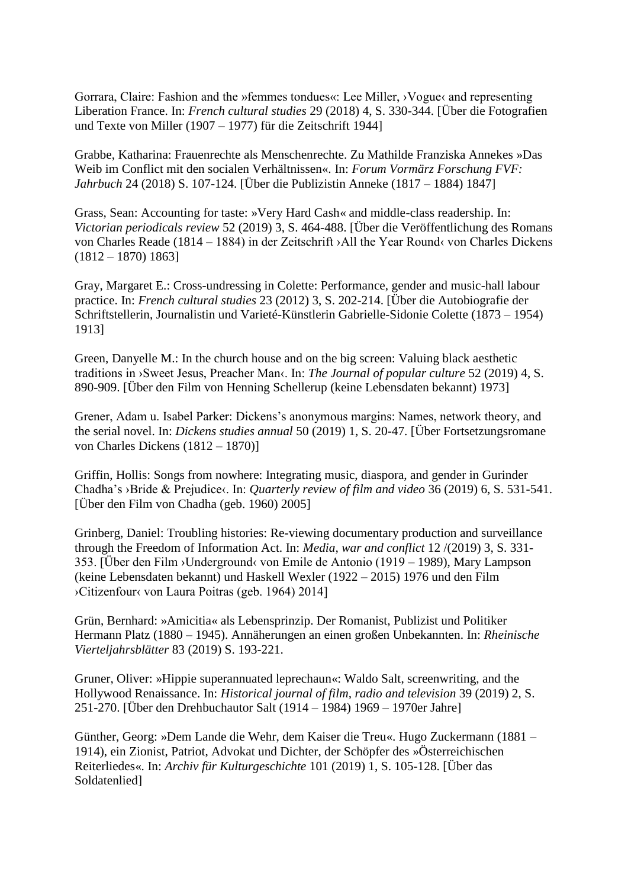Gorrara, Claire: Fashion and the »femmes tondues«: Lee Miller, ›Vogue‹ and representing Liberation France. In: *French cultural studies* 29 (2018) 4, S. 330-344. [Über die Fotografien und Texte von Miller (1907 – 1977) für die Zeitschrift 1944]

Grabbe, Katharina: Frauenrechte als Menschenrechte. Zu Mathilde Franziska Annekes »Das Weib im Conflict mit den socialen Verhältnissen«. In: *Forum Vormärz Forschung FVF: Jahrbuch* 24 (2018) S. 107-124. [Über die Publizistin Anneke (1817 – 1884) 1847]

Grass, Sean: Accounting for taste: »Very Hard Cash« and middle-class readership. In: *Victorian periodicals review* 52 (2019) 3, S. 464-488. [Über die Veröffentlichung des Romans von Charles Reade (1814 – 1884) in der Zeitschrift ›All the Year Round‹ von Charles Dickens  $(1812 - 1870) 1863$ 

Gray, Margaret E.: Cross-undressing in Colette: Performance, gender and music-hall labour practice. In: *French cultural studies* 23 (2012) 3, S. 202-214. [Über die Autobiografie der Schriftstellerin, Journalistin und Varieté-Künstlerin Gabrielle-Sidonie Colette (1873 – 1954) 1913]

Green, Danyelle M.: In the church house and on the big screen: Valuing black aesthetic traditions in ›Sweet Jesus, Preacher Man‹. In: *The Journal of popular culture* 52 (2019) 4, S. 890-909. [Über den Film von Henning Schellerup (keine Lebensdaten bekannt) 1973]

Grener, Adam u. Isabel Parker: Dickens's anonymous margins: Names, network theory, and the serial novel. In: *Dickens studies annual* 50 (2019) 1, S. 20-47. [Über Fortsetzungsromane von Charles Dickens (1812 – 1870)]

Griffin, Hollis: Songs from nowhere: Integrating music, diaspora, and gender in Gurinder Chadha's ›Bride & Prejudice‹. In: *Quarterly review of film and video* 36 (2019) 6, S. 531-541. [Über den Film von Chadha (geb. 1960) 2005]

Grinberg, Daniel: Troubling histories: Re-viewing documentary production and surveillance through the Freedom of Information Act. In: *Media, war and conflict* 12 /(2019) 3, S. 331- 353. [Über den Film ›Underground‹ von Emile de Antonio (1919 – 1989), Mary Lampson (keine Lebensdaten bekannt) und Haskell Wexler (1922 – 2015) 1976 und den Film ›Citizenfour‹ von Laura Poitras (geb. 1964) 2014]

Grün, Bernhard: »Amicitia« als Lebensprinzip. Der Romanist, Publizist und Politiker Hermann Platz (1880 – 1945). Annäherungen an einen großen Unbekannten. In: *Rheinische Vierteljahrsblätter* 83 (2019) S. 193-221.

Gruner, Oliver: »Hippie superannuated leprechaun«: Waldo Salt, screenwriting, and the Hollywood Renaissance. In: *Historical journal of film, radio and television* 39 (2019) 2, S. 251-270. [Über den Drehbuchautor Salt (1914 – 1984) 1969 – 1970er Jahre]

Günther, Georg: »Dem Lande die Wehr, dem Kaiser die Treu«. Hugo Zuckermann (1881 – 1914), ein Zionist, Patriot, Advokat und Dichter, der Schöpfer des »Österreichischen Reiterliedes«. In: *Archiv für Kulturgeschichte* 101 (2019) 1, S. 105-128. [Über das Soldatenlied]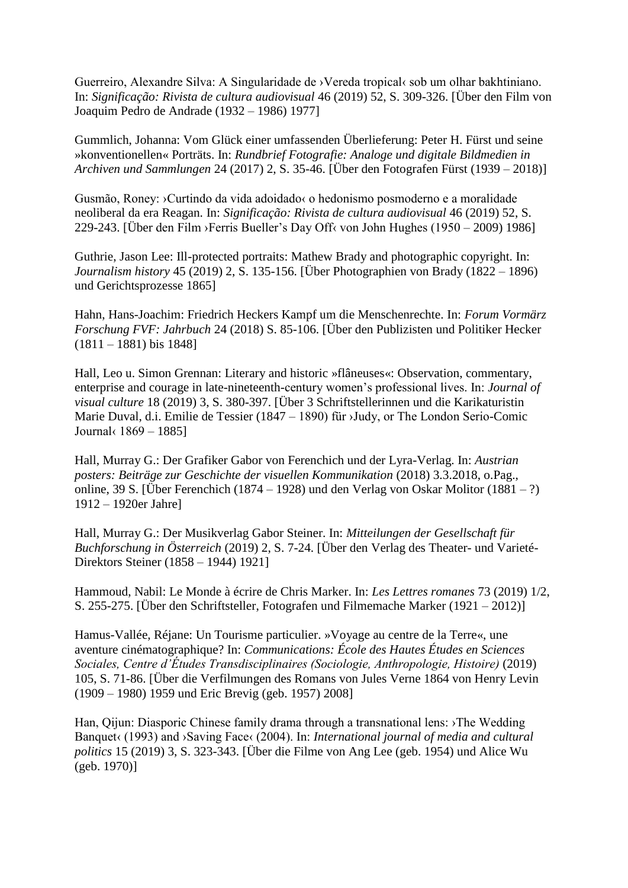Guerreiro, Alexandre Silva: A Singularidade de ›Vereda tropical‹ sob um olhar bakhtiniano. In: *Significação: Rivista de cultura audiovisual* 46 (2019) 52, S. 309-326. [Über den Film von Joaquim Pedro de Andrade (1932 – 1986) 1977]

Gummlich, Johanna: Vom Glück einer umfassenden Überlieferung: Peter H. Fürst und seine »konventionellen« Porträts. In: *Rundbrief Fotografie: Analoge und digitale Bildmedien in Archiven und Sammlungen* 24 (2017) 2, S. 35-46. [Über den Fotografen Fürst (1939 – 2018)]

Gusmão, Roney: ›Curtindo da vida adoidado‹ o hedonismo posmoderno e a moralidade neoliberal da era Reagan. In: *Significação: Rivista de cultura audiovisual* 46 (2019) 52, S. 229-243. [Über den Film ›Ferris Bueller's Day Off‹ von John Hughes (1950 – 2009) 1986]

Guthrie, Jason Lee: Ill-protected portraits: Mathew Brady and photographic copyright. In: *Journalism history* 45 (2019) 2, S. 135-156. [Über Photographien von Brady (1822 – 1896) und Gerichtsprozesse 1865]

Hahn, Hans-Joachim: Friedrich Heckers Kampf um die Menschenrechte. In: *Forum Vormärz Forschung FVF: Jahrbuch* 24 (2018) S. 85-106. [Über den Publizisten und Politiker Hecker (1811 – 1881) bis 1848]

Hall, Leo u. Simon Grennan: Literary and historic »flâneuses«: Observation, commentary, enterprise and courage in late-nineteenth-century women's professional lives. In: *Journal of visual culture* 18 (2019) 3, S. 380-397. [Über 3 Schriftstellerinnen und die Karikaturistin Marie Duval, d.i. Emilie de Tessier (1847 – 1890) für ›Judy, or The London Serio-Comic Journal‹ 1869 – 1885]

Hall, Murray G.: Der Grafiker Gabor von Ferenchich und der Lyra-Verlag. In: *Austrian posters: Beiträge zur Geschichte der visuellen Kommunikation* (2018) 3.3.2018, o.Pag., online, 39 S. [Über Ferenchich (1874 – 1928) und den Verlag von Oskar Molitor (1881 – ?) 1912 – 1920er Jahre]

Hall, Murray G.: Der Musikverlag Gabor Steiner. In: *Mitteilungen der Gesellschaft für Buchforschung in Österreich* (2019) 2, S. 7-24. [Über den Verlag des Theater- und Varieté-Direktors Steiner (1858 – 1944) 1921]

Hammoud, Nabil: Le Monde à écrire de Chris Marker. In: *Les Lettres romanes* 73 (2019) 1/2, S. 255-275. [Über den Schriftsteller, Fotografen und Filmemache Marker (1921 – 2012)]

Hamus-Vallée, Réjane: Un Tourisme particulier. »Voyage au centre de la Terre«, une aventure cinématographique? In: *Communications: École des Hautes Études en Sciences Sociales, Centre d'Études Transdisciplinaires (Sociologie, Anthropologie, Histoire)* (2019) 105, S. 71-86. [Über die Verfilmungen des Romans von Jules Verne 1864 von Henry Levin (1909 – 1980) 1959 und Eric Brevig (geb. 1957) 2008]

Han, Qijun: Diasporic Chinese family drama through a transnational lens: ›The Wedding Banquet< (1993) and >Saving Face< (2004). In: *International journal of media and cultural politics* 15 (2019) 3, S. 323-343. [Über die Filme von Ang Lee (geb. 1954) und Alice Wu (geb. 1970)]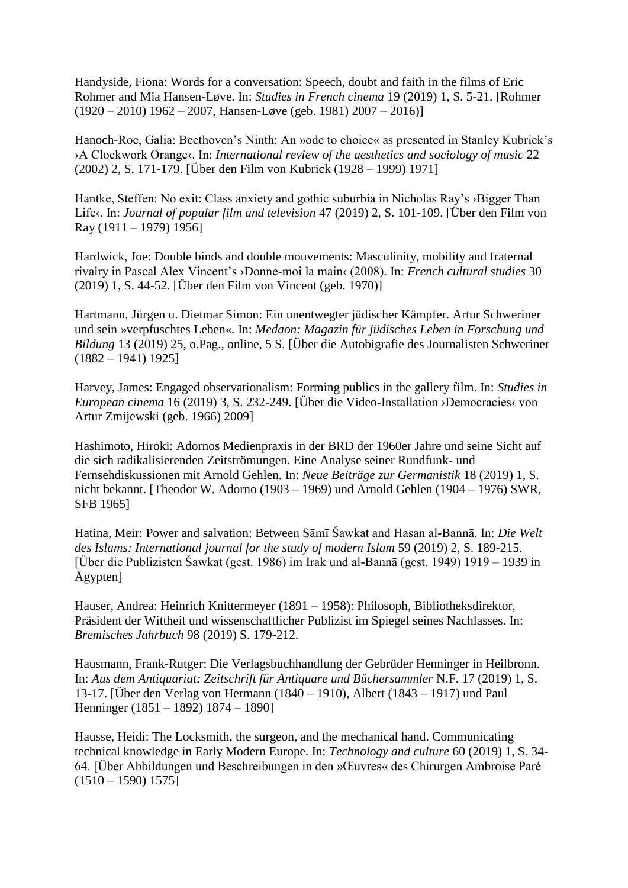Handyside, Fiona: Words for a conversation: Speech, doubt and faith in the films of Eric Rohmer and Mia Hansen-Løve. In: *Studies in French cinema* 19 (2019) 1, S. 5-21. [Rohmer  $(1920 - 2010)$  1962 – 2007, Hansen-Løve (geb. 1981) 2007 – 2016)]

Hanoch-Roe, Galia: Beethoven's Ninth: An »ode to choice« as presented in Stanley Kubrick's ›A Clockwork Orange‹. In: *International review of the aesthetics and sociology of music* 22 (2002) 2, S. 171-179. [Über den Film von Kubrick (1928 – 1999) 1971]

Hantke, Steffen: No exit: Class anxiety and gothic suburbia in Nicholas Ray's > Bigger Than Life‹. In: *Journal of popular film and television* 47 (2019) 2, S. 101-109. [Über den Film von Ray (1911 – 1979) 1956]

Hardwick, Joe: Double binds and double mouvements: Masculinity, mobility and fraternal rivalry in Pascal Alex Vincent's ›Donne-moi la main‹ (2008). In: *French cultural studies* 30 (2019) 1, S. 44-52. [Über den Film von Vincent (geb. 1970)]

Hartmann, Jürgen u. Dietmar Simon: Ein unentwegter jüdischer Kämpfer. Artur Schweriner und sein »verpfuschtes Leben«. In: *Medaon: Magazin für jüdisches Leben in Forschung und Bildung* 13 (2019) 25, o.Pag., online, 5 S. [Über die Autobigrafie des Journalisten Schweriner  $(1882 - 1941)$  1925]

Harvey, James: Engaged observationalism: Forming publics in the gallery film. In: *Studies in European cinema* 16 (2019) 3, S. 232-249. [Über die Video-Installation ›Democracies‹ von Artur Zmijewski (geb. 1966) 2009]

Hashimoto, Hiroki: Adornos Medienpraxis in der BRD der 1960er Jahre und seine Sicht auf die sich radikalisierenden Zeitströmungen. Eine Analyse seiner Rundfunk- und Fernsehdiskussionen mit Arnold Gehlen. In: *Neue Beiträge zur Germanistik* 18 (2019) 1, S. nicht bekannt. [Theodor W. Adorno (1903 – 1969) und Arnold Gehlen (1904 – 1976) SWR, SFB 1965]

Hatina, Meir: Power and salvation: Between Sāmī Šawkat and Hasan al-Bannā. In: *Die Welt des Islams: International journal for the study of modern Islam* 59 (2019) 2, S. 189-215. [Über die Publizisten Šawkat (gest. 1986) im Irak und al-Bannā (gest. 1949) 1919 – 1939 in Ägypten]

Hauser, Andrea: Heinrich Knittermeyer (1891 – 1958): Philosoph, Bibliotheksdirektor, Präsident der Wittheit und wissenschaftlicher Publizist im Spiegel seines Nachlasses. In: *Bremisches Jahrbuch* 98 (2019) S. 179-212.

Hausmann, Frank-Rutger: Die Verlagsbuchhandlung der Gebrüder Henninger in Heilbronn. In: *Aus dem Antiquariat: Zeitschrift für Antiquare und Büchersammler* N.F. 17 (2019) 1, S. 13-17. [Über den Verlag von Hermann (1840 – 1910), Albert (1843 – 1917) und Paul Henninger (1851 – 1892) 1874 – 1890]

Hausse, Heidi: The Locksmith, the surgeon, and the mechanical hand. Communicating technical knowledge in Early Modern Europe. In: *Technology and culture* 60 (2019) 1, S. 34- 64. [Über Abbildungen und Beschreibungen in den »Œuvres« des Chirurgen Ambroise Paré  $(1510 - 1590) 1575$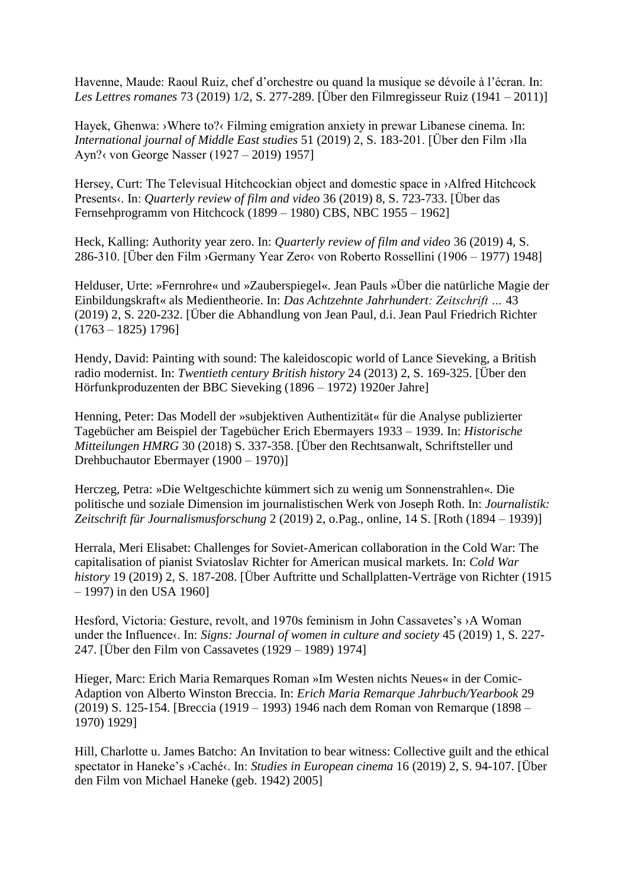Havenne, Maude: Raoul Ruiz, chef d'orchestre ou quand la musique se dévoile à l'écran. In: *Les Lettres romanes* 73 (2019) 1/2, S. 277-289. [Über den Filmregisseur Ruiz (1941 – 2011)]

Hayek, Ghenwa: >Where to?< Filming emigration anxiety in prewar Libanese cinema. In: *International journal of Middle East studies* 51 (2019) 2, S. 183-201. [Über den Film ›Ila Ayn?‹ von George Nasser (1927 – 2019) 1957]

Hersey, Curt: The Televisual Hitchcockian object and domestic space in >Alfred Hitchcock Presents‹. In: *Quarterly review of film and video* 36 (2019) 8, S. 723-733. [Über das Fernsehprogramm von Hitchcock (1899 – 1980) CBS, NBC 1955 – 1962]

Heck, Kalling: Authority year zero. In: *Quarterly review of film and video* 36 (2019) 4, S. 286-310. [Über den Film ›Germany Year Zero‹ von Roberto Rossellini (1906 – 1977) 1948]

Helduser, Urte: »Fernrohre« und »Zauberspiegel«. Jean Pauls »Über die natürliche Magie der Einbildungskraft« als Medientheorie. In: *Das Achtzehnte Jahrhundert: Zeitschrift …* 43 (2019) 2, S. 220-232. [Über die Abhandlung von Jean Paul, d.i. Jean Paul Friedrich Richter  $(1763 - 1825)$  1796]

Hendy, David: Painting with sound: The kaleidoscopic world of Lance Sieveking, a British radio modernist. In: *Twentieth century British history* 24 (2013) 2, S. 169-325. [Über den Hörfunkproduzenten der BBC Sieveking (1896 – 1972) 1920er Jahre]

Henning, Peter: Das Modell der »subjektiven Authentizität« für die Analyse publizierter Tagebücher am Beispiel der Tagebücher Erich Ebermayers 1933 – 1939. In: *Historische Mitteilungen HMRG* 30 (2018) S. 337-358. [Über den Rechtsanwalt, Schriftsteller und Drehbuchautor Ebermayer (1900 – 1970)]

Herczeg, Petra: »Die Weltgeschichte kümmert sich zu wenig um Sonnenstrahlen«. Die politische und soziale Dimension im journalistischen Werk von Joseph Roth. In: *Journalistik: Zeitschrift für Journalismusforschung* 2 (2019) 2, o.Pag., online, 14 S. [Roth (1894 – 1939)]

Herrala, Meri Elisabet: Challenges for Soviet-American collaboration in the Cold War: The capitalisation of pianist Sviatoslav Richter for American musical markets. In: *Cold War history* 19 (2019) 2, S. 187-208. [Über Auftritte und Schallplatten-Verträge von Richter (1915 – 1997) in den USA 1960]

Hesford, Victoria: Gesture, revolt, and 1970s feminism in John Cassavetes's ›A Woman under the Influence (. In: *Signs: Journal of women in culture and society* 45 (2019) 1, S. 227-247. [Über den Film von Cassavetes (1929 – 1989) 1974]

Hieger, Marc: Erich Maria Remarques Roman »Im Westen nichts Neues« in der Comic-Adaption von Alberto Winston Breccia. In: *Erich Maria Remarque Jahrbuch/Yearbook* 29 (2019) S. 125-154. [Breccia (1919 – 1993) 1946 nach dem Roman von Remarque (1898 – 1970) 1929]

Hill, Charlotte u. James Batcho: An Invitation to bear witness: Collective guilt and the ethical spectator in Haneke's ›Caché‹. In: *Studies in European cinema* 16 (2019) 2, S. 94-107. [Über den Film von Michael Haneke (geb. 1942) 2005]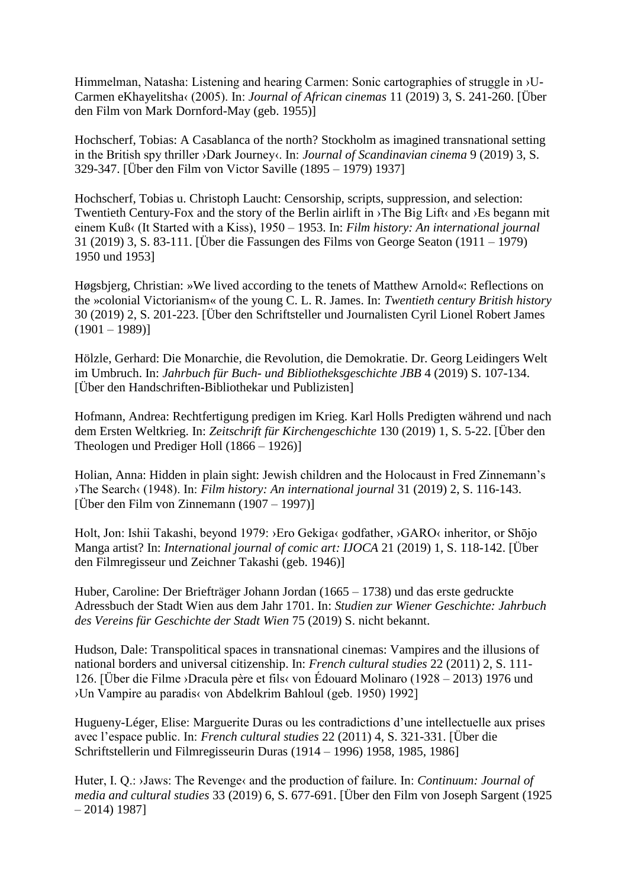Himmelman, Natasha: Listening and hearing Carmen: Sonic cartographies of struggle in ›U-Carmen eKhayelitsha‹ (2005). In: *Journal of African cinemas* 11 (2019) 3, S. 241-260. [Über den Film von Mark Dornford-May (geb. 1955)]

Hochscherf, Tobias: A Casablanca of the north? Stockholm as imagined transnational setting in the British spy thriller ›Dark Journey‹. In: *Journal of Scandinavian cinema* 9 (2019) 3, S. 329-347. [Über den Film von Victor Saville (1895 – 1979) 1937]

Hochscherf, Tobias u. Christoph Laucht: Censorship, scripts, suppression, and selection: Twentieth Century-Fox and the story of the Berlin airlift in  $\Delta$ The Big Lift $\langle$  and  $\rangle$ Es begann mit einem Kuß‹ (It Started with a Kiss), 1950 – 1953. In: *Film history: An international journal* 31 (2019) 3, S. 83-111. [Über die Fassungen des Films von George Seaton (1911 – 1979) 1950 und 1953]

Høgsbjerg, Christian: »We lived according to the tenets of Matthew Arnold«: Reflections on the »colonial Victorianism« of the young C. L. R. James. In: *Twentieth century British history* 30 (2019) 2, S. 201-223. [Über den Schriftsteller und Journalisten Cyril Lionel Robert James  $(1901 - 1989)$ 

Hölzle, Gerhard: Die Monarchie, die Revolution, die Demokratie. Dr. Georg Leidingers Welt im Umbruch. In: *Jahrbuch für Buch- und Bibliotheksgeschichte JBB* 4 (2019) S. 107-134. [Über den Handschriften-Bibliothekar und Publizisten]

Hofmann, Andrea: Rechtfertigung predigen im Krieg. Karl Holls Predigten während und nach dem Ersten Weltkrieg. In: *Zeitschrift für Kirchengeschichte* 130 (2019) 1, S. 5-22. [Über den Theologen und Prediger Holl (1866 – 1926)]

Holian, Anna: Hidden in plain sight: Jewish children and the Holocaust in Fred Zinnemann's ›The Search‹ (1948). In: *Film history: An international journal* 31 (2019) 2, S. 116-143. [Über den Film von Zinnemann  $(1907 - 1997)$ ]

Holt, Jon: Ishii Takashi, beyond 1979: ›Ero Gekiga‹ godfather, ›GARO‹ inheritor, or Shōjo Manga artist? In: *International journal of comic art: IJOCA* 21 (2019) 1, S. 118-142. [Über den Filmregisseur und Zeichner Takashi (geb. 1946)]

Huber, Caroline: Der Briefträger Johann Jordan (1665 – 1738) und das erste gedruckte Adressbuch der Stadt Wien aus dem Jahr 1701. In: *Studien zur Wiener Geschichte: Jahrbuch des Vereins für Geschichte der Stadt Wien* 75 (2019) S. nicht bekannt.

Hudson, Dale: Transpolitical spaces in transnational cinemas: Vampires and the illusions of national borders and universal citizenship. In: *French cultural studies* 22 (2011) 2, S. 111- 126. [Über die Filme ›Dracula père et fils‹ von Édouard Molinaro (1928 – 2013) 1976 und ›Un Vampire au paradis‹ von Abdelkrim Bahloul (geb. 1950) 1992]

Hugueny-Léger, Elise: Marguerite Duras ou les contradictions d'une intellectuelle aux prises avec l'espace public. In: *French cultural studies* 22 (2011) 4, S. 321-331. [Über die Schriftstellerin und Filmregisseurin Duras (1914 – 1996) 1958, 1985, 1986]

Huter, I. Q.: >Jaws: The Revenge< and the production of failure. In: *Continuum: Journal of media and cultural studies* 33 (2019) 6, S. 677-691. [Über den Film von Joseph Sargent (1925 – 2014) 1987]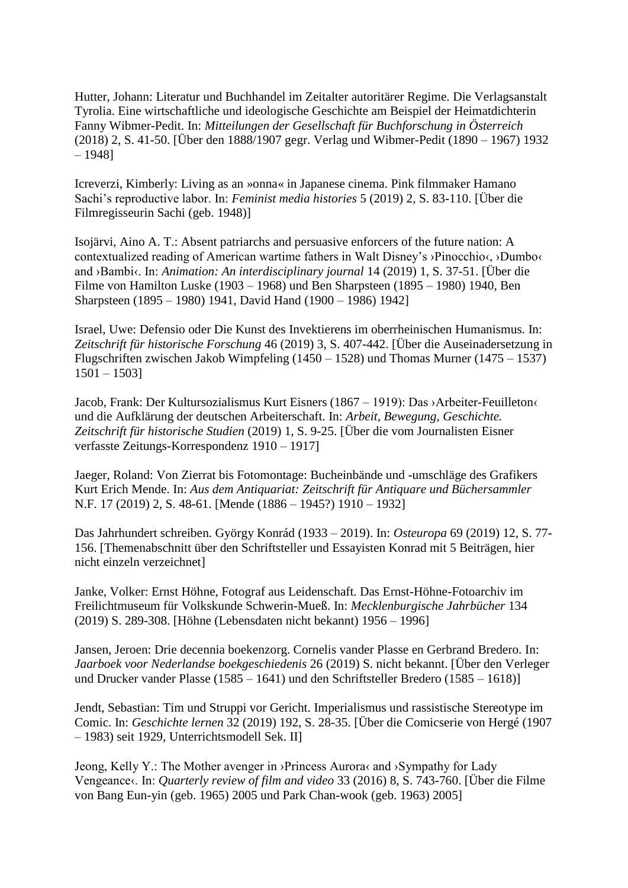Hutter, Johann: Literatur und Buchhandel im Zeitalter autoritärer Regime. Die Verlagsanstalt Tyrolia. Eine wirtschaftliche und ideologische Geschichte am Beispiel der Heimatdichterin Fanny Wibmer-Pedit. In: *Mitteilungen der Gesellschaft für Buchforschung in Österreich* (2018) 2, S. 41-50. [Über den 1888/1907 gegr. Verlag und Wibmer-Pedit (1890 – 1967) 1932 – 1948]

Icreverzi, Kimberly: Living as an »onna« in Japanese cinema. Pink filmmaker Hamano Sachi's reproductive labor. In: *Feminist media histories* 5 (2019) 2, S. 83-110. [Über die Filmregisseurin Sachi (geb. 1948)]

Isojärvi, Aino A. T.: Absent patriarchs and persuasive enforcers of the future nation: A contextualized reading of American wartime fathers in Walt Disney's ›Pinocchio‹, ›Dumbo‹ and ›Bambi‹. In: *Animation: An interdisciplinary journal* 14 (2019) 1, S. 37-51. [Über die Filme von Hamilton Luske (1903 – 1968) und Ben Sharpsteen (1895 – 1980) 1940, Ben Sharpsteen (1895 – 1980) 1941, David Hand (1900 – 1986) 1942]

Israel, Uwe: Defensio oder Die Kunst des Invektierens im oberrheinischen Humanismus. In: *Zeitschrift für historische Forschung* 46 (2019) 3, S. 407-442. [Über die Auseinadersetzung in Flugschriften zwischen Jakob Wimpfeling (1450 – 1528) und Thomas Murner (1475 – 1537) 1501 – 1503]

Jacob, Frank: Der Kultursozialismus Kurt Eisners (1867 – 1919): Das ›Arbeiter-Feuilleton‹ und die Aufklärung der deutschen Arbeiterschaft. In: *Arbeit, Bewegung, Geschichte. Zeitschrift für historische Studien* (2019) 1, S. 9-25. [Über die vom Journalisten Eisner verfasste Zeitungs-Korrespondenz 1910 – 1917]

Jaeger, Roland: Von Zierrat bis Fotomontage: Bucheinbände und -umschläge des Grafikers Kurt Erich Mende. In: *Aus dem Antiquariat: Zeitschrift für Antiquare und Büchersammler* N.F. 17 (2019) 2, S. 48-61. [Mende (1886 – 1945?) 1910 – 1932]

Das Jahrhundert schreiben. György Konrád (1933 – 2019). In: *Osteuropa* 69 (2019) 12, S. 77- 156. [Themenabschnitt über den Schriftsteller und Essayisten Konrad mit 5 Beiträgen, hier nicht einzeln verzeichnet]

Janke, Volker: Ernst Höhne, Fotograf aus Leidenschaft. Das Ernst-Höhne-Fotoarchiv im Freilichtmuseum für Volkskunde Schwerin-Mueß. In: *Mecklenburgische Jahrbücher* 134 (2019) S. 289-308. [Höhne (Lebensdaten nicht bekannt) 1956 – 1996]

Jansen, Jeroen: Drie decennia boekenzorg. Cornelis vander Plasse en Gerbrand Bredero. In: *Jaarboek voor Nederlandse boekgeschiedenis* 26 (2019) S. nicht bekannt. [Über den Verleger und Drucker vander Plasse (1585 – 1641) und den Schriftsteller Bredero (1585 – 1618)]

Jendt, Sebastian: Tim und Struppi vor Gericht. Imperialismus und rassistische Stereotype im Comic. In: *Geschichte lernen* 32 (2019) 192, S. 28-35. [Über die Comicserie von Hergé (1907 – 1983) seit 1929, Unterrichtsmodell Sek. II]

Jeong, Kelly Y.: The Mother avenger in ›Princess Aurora‹ and ›Sympathy for Lady Vengeance‹. In: *Quarterly review of film and video* 33 (2016) 8, S. 743-760. [Über die Filme von Bang Eun-yin (geb. 1965) 2005 und Park Chan-wook (geb. 1963) 2005]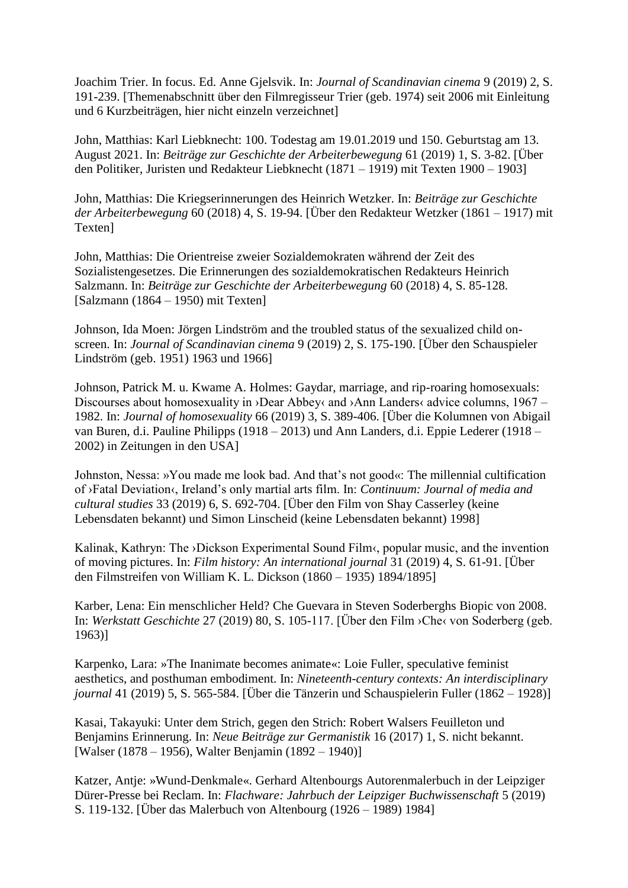Joachim Trier. In focus. Ed. Anne Gjelsvik. In: *Journal of Scandinavian cinema* 9 (2019) 2, S. 191-239. [Themenabschnitt über den Filmregisseur Trier (geb. 1974) seit 2006 mit Einleitung und 6 Kurzbeiträgen, hier nicht einzeln verzeichnet]

John, Matthias: Karl Liebknecht: 100. Todestag am 19.01.2019 und 150. Geburtstag am 13. August 2021. In: *Beiträge zur Geschichte der Arbeiterbewegung* 61 (2019) 1, S. 3-82. [Über den Politiker, Juristen und Redakteur Liebknecht (1871 – 1919) mit Texten 1900 – 1903]

John, Matthias: Die Kriegserinnerungen des Heinrich Wetzker. In: *Beiträge zur Geschichte der Arbeiterbewegung* 60 (2018) 4, S. 19-94. [Über den Redakteur Wetzker (1861 – 1917) mit Texten]

John, Matthias: Die Orientreise zweier Sozialdemokraten während der Zeit des Sozialistengesetzes. Die Erinnerungen des sozialdemokratischen Redakteurs Heinrich Salzmann. In: *Beiträge zur Geschichte der Arbeiterbewegung* 60 (2018) 4, S. 85-128. [Salzmann (1864 – 1950) mit Texten]

Johnson, Ida Moen: Jörgen Lindström and the troubled status of the sexualized child onscreen. In: *Journal of Scandinavian cinema* 9 (2019) 2, S. 175-190. [Über den Schauspieler Lindström (geb. 1951) 1963 und 1966]

Johnson, Patrick M. u. Kwame A. Holmes: Gaydar, marriage, and rip-roaring homosexuals: Discourses about homosexuality in  $\Delta$ Dear Abbey $\alpha$  and  $\Delta$ Ann Landers $\alpha$  advice columns, 1967 – 1982. In: *Journal of homosexuality* 66 (2019) 3, S. 389-406. [Über die Kolumnen von Abigail van Buren, d.i. Pauline Philipps (1918 – 2013) und Ann Landers, d.i. Eppie Lederer (1918 – 2002) in Zeitungen in den USA]

Johnston, Nessa: »You made me look bad. And that's not good«: The millennial cultification of ›Fatal Deviation‹, Ireland's only martial arts film. In: *Continuum: Journal of media and cultural studies* 33 (2019) 6, S. 692-704. [Über den Film von Shay Casserley (keine Lebensdaten bekannt) und Simon Linscheid (keine Lebensdaten bekannt) 1998]

Kalinak, Kathryn: The ›Dickson Experimental Sound Film‹, popular music, and the invention of moving pictures. In: *Film history: An international journal* 31 (2019) 4, S. 61-91. [Über den Filmstreifen von William K. L. Dickson (1860 – 1935) 1894/1895]

Karber, Lena: Ein menschlicher Held? Che Guevara in Steven Soderberghs Biopic von 2008. In: *Werkstatt Geschichte* 27 (2019) 80, S. 105-117. [Über den Film ›Che‹ von Soderberg (geb. 1963)]

Karpenko, Lara: »The Inanimate becomes animate«: Loie Fuller, speculative feminist aesthetics, and posthuman embodiment. In: *Nineteenth-century contexts: An interdisciplinary journal* 41 (2019) 5, S. 565-584. [Über die Tänzerin und Schauspielerin Fuller (1862 – 1928)]

Kasai, Takayuki: Unter dem Strich, gegen den Strich: Robert Walsers Feuilleton und Benjamins Erinnerung. In: *Neue Beiträge zur Germanistik* 16 (2017) 1, S. nicht bekannt. [Walser (1878 – 1956), Walter Benjamin (1892 – 1940)]

Katzer, Antje: »Wund-Denkmale«. Gerhard Altenbourgs Autorenmalerbuch in der Leipziger Dürer-Presse bei Reclam. In: *Flachware: Jahrbuch der Leipziger Buchwissenschaft* 5 (2019) S. 119-132. [Über das Malerbuch von Altenbourg (1926 – 1989) 1984]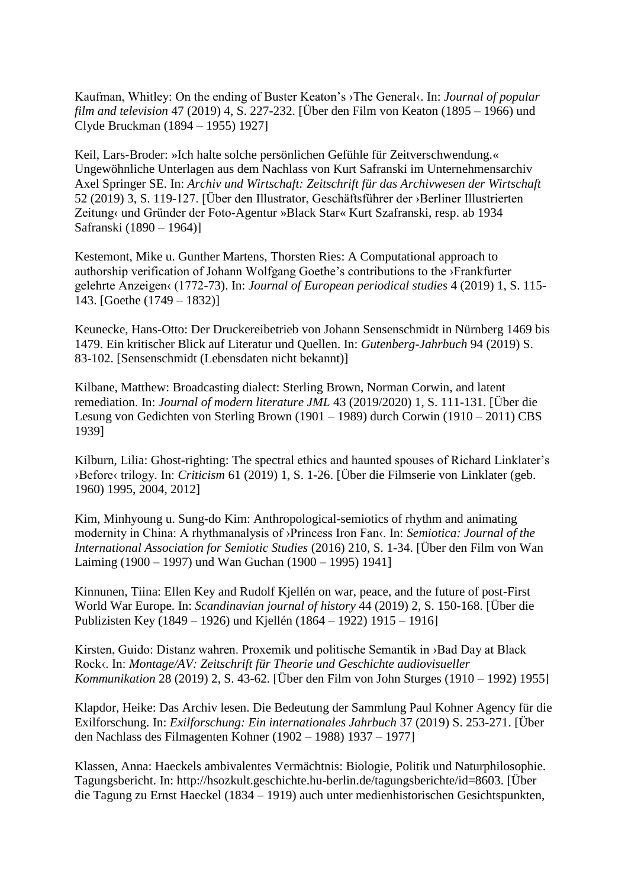Kaufman, Whitley: On the ending of Buster Keaton's ›The General‹. In: *Journal of popular film and television* 47 (2019) 4, S. 227-232. [Über den Film von Keaton (1895 – 1966) und Clyde Bruckman (1894 – 1955) 1927]

Keil, Lars-Broder: »Ich halte solche persönlichen Gefühle für Zeitverschwendung.« Ungewöhnliche Unterlagen aus dem Nachlass von Kurt Safranski im Unternehmensarchiv Axel Springer SE. In: *Archiv und Wirtschaft: Zeitschrift für das Archivwesen der Wirtschaft* 52 (2019) 3, S. 119-127. [Über den Illustrator, Geschäftsführer der ›Berliner Illustrierten Zeitung« und Gründer der Foto-Agentur »Black Star« Kurt Szafranski, resp. ab 1934 Safranski (1890 – 1964)]

Kestemont, Mike u. Gunther Martens, Thorsten Ries: A Computational approach to authorship verification of Johann Wolfgang Goethe's contributions to the ›Frankfurter gelehrte Anzeigen‹ (1772-73). In: *Journal of European periodical studies* 4 (2019) 1, S. 115- 143. [Goethe (1749 – 1832)]

Keunecke, Hans-Otto: Der Druckereibetrieb von Johann Sensenschmidt in Nürnberg 1469 bis 1479. Ein kritischer Blick auf Literatur und Quellen. In: *Gutenberg-Jahrbuch* 94 (2019) S. 83-102. [Sensenschmidt (Lebensdaten nicht bekannt)]

Kilbane, Matthew: Broadcasting dialect: Sterling Brown, Norman Corwin, and latent remediation. In: *Journal of modern literature JML* 43 (2019/2020) 1, S. 111-131. [Über die Lesung von Gedichten von Sterling Brown (1901 – 1989) durch Corwin (1910 – 2011) CBS 1939]

Kilburn, Lilia: Ghost-righting: The spectral ethics and haunted spouses of Richard Linklater's ›Before‹ trilogy. In: *Criticism* 61 (2019) 1, S. 1-26. [Über die Filmserie von Linklater (geb. 1960) 1995, 2004, 2012]

Kim, Minhyoung u. Sung-do Kim: Anthropological-semiotics of rhythm and animating modernity in China: A rhythmanalysis of ›Princess Iron Fan‹. In: *Semiotica: Journal of the International Association for Semiotic Studies* (2016) 210, S. 1-34. [Über den Film von Wan Laiming (1900 – 1997) und Wan Guchan (1900 – 1995) 1941]

Kinnunen, Tiina: Ellen Key and Rudolf Kjellén on war, peace, and the future of post-First World War Europe. In: *Scandinavian journal of history* 44 (2019) 2, S. 150-168. [Über die Publizisten Key (1849 – 1926) und Kjellén (1864 – 1922) 1915 – 1916]

Kirsten, Guido: Distanz wahren. Proxemik und politische Semantik in ›Bad Day at Black Rock‹. In: *Montage/AV: Zeitschrift für Theorie und Geschichte audiovisueller Kommunikation* 28 (2019) 2, S. 43-62. [Über den Film von John Sturges (1910 – 1992) 1955]

Klapdor, Heike: Das Archiv lesen. Die Bedeutung der Sammlung Paul Kohner Agency für die Exilforschung. In: *Exilforschung: Ein internationales Jahrbuch* 37 (2019) S. 253-271. [Über den Nachlass des Filmagenten Kohner (1902 – 1988) 1937 – 1977]

Klassen, Anna: Haeckels ambivalentes Vermächtnis: Biologie, Politik und Naturphilosophie. Tagungsbericht. In: http://hsozkult.geschichte.hu-berlin.de/tagungsberichte/id=8603. [Über die Tagung zu Ernst Haeckel (1834 – 1919) auch unter medienhistorischen Gesichtspunkten,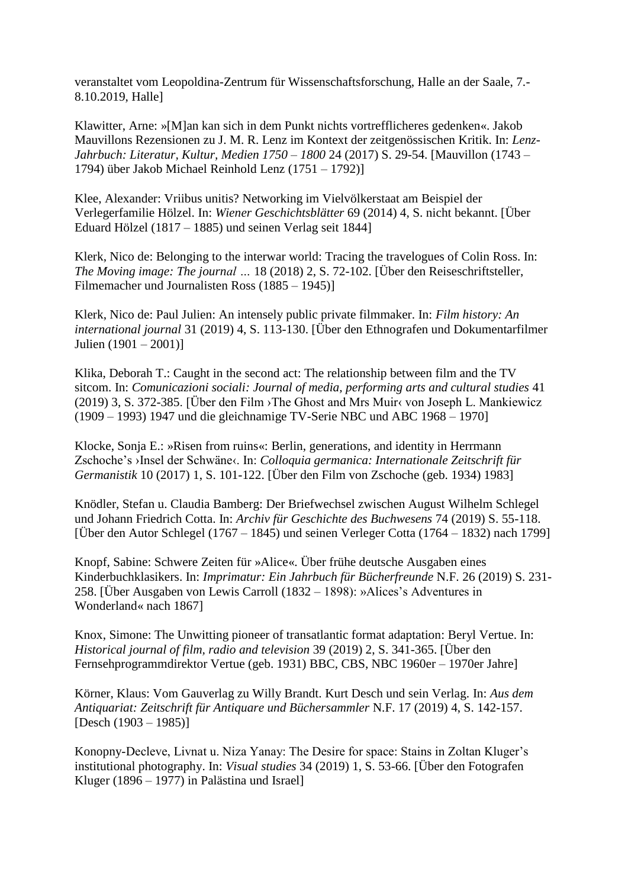veranstaltet vom Leopoldina-Zentrum für Wissenschaftsforschung, Halle an der Saale, 7.- 8.10.2019, Halle]

Klawitter, Arne: »[M]an kan sich in dem Punkt nichts vortrefflicheres gedenken«. Jakob Mauvillons Rezensionen zu J. M. R. Lenz im Kontext der zeitgenössischen Kritik. In: *Lenz-Jahrbuch: Literatur, Kultur, Medien 1750 – 1800* 24 (2017) S. 29-54. [Mauvillon (1743 – 1794) über Jakob Michael Reinhold Lenz (1751 – 1792)]

Klee, Alexander: Vriibus unitis? Networking im Vielvölkerstaat am Beispiel der Verlegerfamilie Hölzel. In: *Wiener Geschichtsblätter* 69 (2014) 4, S. nicht bekannt. [Über Eduard Hölzel (1817 – 1885) und seinen Verlag seit 1844]

Klerk, Nico de: Belonging to the interwar world: Tracing the travelogues of Colin Ross. In: *The Moving image: The journal …* 18 (2018) 2, S. 72-102. [Über den Reiseschriftsteller, Filmemacher und Journalisten Ross (1885 – 1945)]

Klerk, Nico de: Paul Julien: An intensely public private filmmaker. In: *Film history: An international journal* 31 (2019) 4, S. 113-130. [Über den Ethnografen und Dokumentarfilmer Julien (1901 – 2001)]

Klika, Deborah T.: Caught in the second act: The relationship between film and the TV sitcom. In: *Comunicazioni sociali: Journal of media, performing arts and cultural studies* 41 (2019) 3, S. 372-385. [Über den Film ›The Ghost and Mrs Muir‹ von Joseph L. Mankiewicz (1909 – 1993) 1947 und die gleichnamige TV-Serie NBC und ABC 1968 – 1970]

Klocke, Sonja E.: »Risen from ruins«: Berlin, generations, and identity in Herrmann Zschoche's ›Insel der Schwäne‹. In: *Colloquia germanica: Internationale Zeitschrift für Germanistik* 10 (2017) 1, S. 101-122. [Über den Film von Zschoche (geb. 1934) 1983]

Knödler, Stefan u. Claudia Bamberg: Der Briefwechsel zwischen August Wilhelm Schlegel und Johann Friedrich Cotta. In: *Archiv für Geschichte des Buchwesens* 74 (2019) S. 55-118. [Über den Autor Schlegel (1767 – 1845) und seinen Verleger Cotta (1764 – 1832) nach 1799]

Knopf, Sabine: Schwere Zeiten für »Alice«. Über frühe deutsche Ausgaben eines Kinderbuchklasikers. In: *Imprimatur: Ein Jahrbuch für Bücherfreunde* N.F. 26 (2019) S. 231- 258. [Über Ausgaben von Lewis Carroll (1832 – 1898): »Alices's Adventures in Wonderland« nach 1867]

Knox, Simone: The Unwitting pioneer of transatlantic format adaptation: Beryl Vertue. In: *Historical journal of film, radio and television* 39 (2019) 2, S. 341-365. [Über den Fernsehprogrammdirektor Vertue (geb. 1931) BBC, CBS, NBC 1960er – 1970er Jahre]

Körner, Klaus: Vom Gauverlag zu Willy Brandt. Kurt Desch und sein Verlag. In: *Aus dem Antiquariat: Zeitschrift für Antiquare und Büchersammler* N.F. 17 (2019) 4, S. 142-157.  $[Desch (1903 – 1985)]$ 

Konopny-Decleve, Livnat u. Niza Yanay: The Desire for space: Stains in Zoltan Kluger's institutional photography. In: *Visual studies* 34 (2019) 1, S. 53-66. [Über den Fotografen Kluger (1896 – 1977) in Palästina und Israel]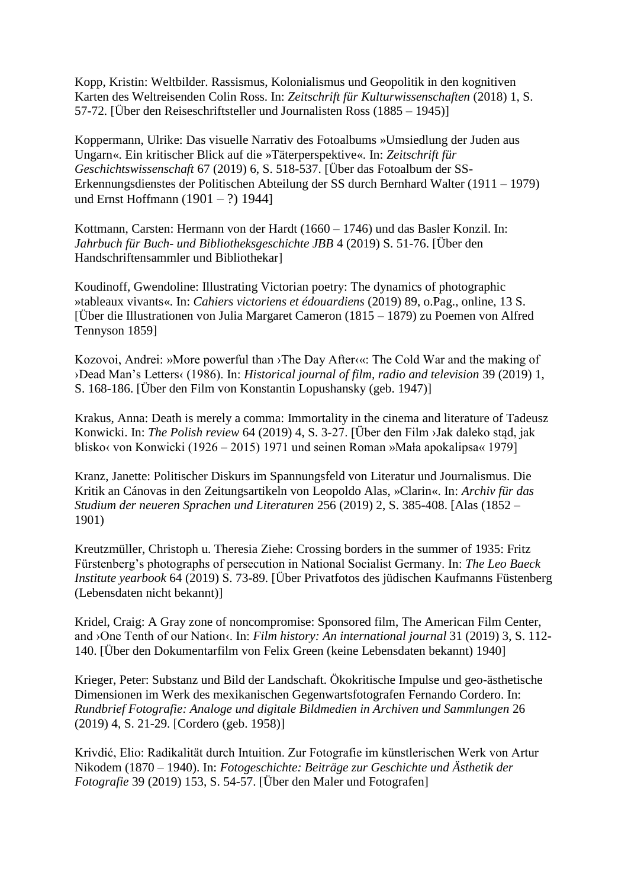Kopp, Kristin: Weltbilder. Rassismus, Kolonialismus und Geopolitik in den kognitiven Karten des Weltreisenden Colin Ross. In: *Zeitschrift für Kulturwissenschaften* (2018) 1, S. 57-72. [Über den Reiseschriftsteller und Journalisten Ross (1885 – 1945)]

Koppermann, Ulrike: Das visuelle Narrativ des Fotoalbums »Umsiedlung der Juden aus Ungarn«. Ein kritischer Blick auf die »Täterperspektive«. In: *Zeitschrift für Geschichtswissenschaft* 67 (2019) 6, S. 518-537. [Über das Fotoalbum der SS-Erkennungsdienstes der Politischen Abteilung der SS durch Bernhard Walter (1911 – 1979) und Ernst Hoffmann (1901 – ?) 1944]

Kottmann, Carsten: Hermann von der Hardt (1660 – 1746) und das Basler Konzil. In: *Jahrbuch für Buch- und Bibliotheksgeschichte JBB* 4 (2019) S. 51-76. [Über den Handschriftensammler und Bibliothekar]

Koudinoff, Gwendoline: Illustrating Victorian poetry: The dynamics of photographic »tableaux vivants«. In: *Cahiers victoriens et édouardiens* (2019) 89, o.Pag., online, 13 S. [Über die Illustrationen von Julia Margaret Cameron (1815 – 1879) zu Poemen von Alfred Tennyson 1859]

Kozovoi, Andrei: »More powerful than ›The Day After‹«: The Cold War and the making of ›Dead Man's Letters‹ (1986). In: *Historical journal of film, radio and television* 39 (2019) 1, S. 168-186. [Über den Film von Konstantin Lopushansky (geb. 1947)]

Krakus, Anna: Death is merely a comma: Immortality in the cinema and literature of Tadeusz Konwicki. In: *The Polish review* 64 (2019) 4, S. 3-27. [Über den Film ›Jak daleko stąd, jak blisko< von Konwicki (1926 – 2015) 1971 und seinen Roman »Mała apokalipsa« 1979]

Kranz, Janette: Politischer Diskurs im Spannungsfeld von Literatur und Journalismus. Die Kritik an Cánovas in den Zeitungsartikeln von Leopoldo Alas, »Clarin«. In: *Archiv für das Studium der neueren Sprachen und Literaturen* 256 (2019) 2, S. 385-408. [Alas (1852 – 1901)

Kreutzmüller, Christoph u. Theresia Ziehe: Crossing borders in the summer of 1935: Fritz Fürstenberg's photographs of persecution in National Socialist Germany. In: *The Leo Baeck Institute yearbook* 64 (2019) S. 73-89. [Über Privatfotos des jüdischen Kaufmanns Füstenberg (Lebensdaten nicht bekannt)]

Kridel, Craig: A Gray zone of noncompromise: Sponsored film, The American Film Center, and ›One Tenth of our Nation‹. In: *Film history: An international journal* 31 (2019) 3, S. 112- 140. [Über den Dokumentarfilm von Felix Green (keine Lebensdaten bekannt) 1940]

Krieger, Peter: Substanz und Bild der Landschaft. Ökokritische Impulse und geo-ästhetische Dimensionen im Werk des mexikanischen Gegenwartsfotografen Fernando Cordero. In: *Rundbrief Fotografie: Analoge und digitale Bildmedien in Archiven und Sammlungen* 26 (2019) 4, S. 21-29. [Cordero (geb. 1958)]

Krivdić, Elio: Radikalität durch Intuition. Zur Fotografie im künstlerischen Werk von Artur Nikodem (1870 – 1940). In: *Fotogeschichte: Beiträge zur Geschichte und Ästhetik der Fotografie* 39 (2019) 153, S. 54-57. [Über den Maler und Fotografen]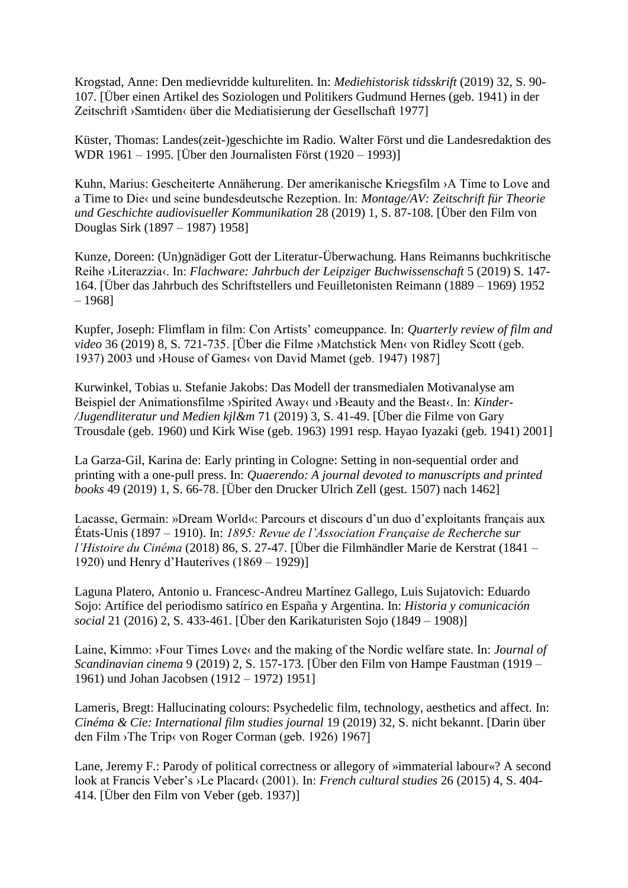Krogstad, Anne: Den medievridde kultureliten. In: *Mediehistorisk tidsskrift* (2019) 32, S. 90- 107. [Über einen Artikel des Soziologen und Politikers Gudmund Hernes (geb. 1941) in der Zeitschrift ›Samtiden‹ über die Mediatisierung der Gesellschaft 1977]

Küster, Thomas: Landes(zeit-)geschichte im Radio. Walter Först und die Landesredaktion des WDR 1961 – 1995. [Über den Journalisten Först (1920 – 1993)]

Kuhn, Marius: Gescheiterte Annäherung. Der amerikanische Kriegsfilm ›A Time to Love and a Time to Die‹ und seine bundesdeutsche Rezeption. In: *Montage/AV: Zeitschrift für Theorie und Geschichte audiovisueller Kommunikation* 28 (2019) 1, S. 87-108. [Über den Film von Douglas Sirk (1897 – 1987) 1958]

Kunze, Doreen: (Un)gnädiger Gott der Literatur-Überwachung. Hans Reimanns buchkritische Reihe ›Literazzia‹. In: *Flachware: Jahrbuch der Leipziger Buchwissenschaft* 5 (2019) S. 147- 164. [Über das Jahrbuch des Schriftstellers und Feuilletonisten Reimann (1889 – 1969) 1952 – 1968]

Kupfer, Joseph: Flimflam in film: Con Artists' comeuppance. In: *Quarterly review of film and video* 36 (2019) 8, S. 721-735. [Über die Filme ›Matchstick Men‹ von Ridley Scott (geb. 1937) 2003 und ›House of Games‹ von David Mamet (geb. 1947) 1987]

Kurwinkel, Tobias u. Stefanie Jakobs: Das Modell der transmedialen Motivanalyse am Beispiel der Animationsfilme >Spirited Away‹ und >Beauty and the Beast‹. In: *Kinder-/Jugendliteratur und Medien kjl&m* 71 (2019) 3, S. 41-49. [Über die Filme von Gary Trousdale (geb. 1960) und Kirk Wise (geb. 1963) 1991 resp. Hayao Iyazaki (geb. 1941) 2001]

La Garza-Gil, Karina de: Early printing in Cologne: Setting in non-sequential order and printing with a one-pull press. In: *Quaerendo: A journal devoted to manuscripts and printed books* 49 (2019) 1, S. 66-78. [Über den Drucker Ulrich Zell (gest. 1507) nach 1462]

Lacasse, Germain: »Dream World«: Parcours et discours d'un duo d'exploitants français aux États-Unis (1897 – 1910). In: *1895: Revue de l'Association Française de Recherche sur l'Histoire du Cinéma* (2018) 86, S. 27-47. [Über die Filmhändler Marie de Kerstrat (1841 – 1920) und Henry d'Hauterives (1869 – 1929)]

Laguna Platero, Antonio u. Francesc-Andreu Martínez Gallego, Luis Sujatovich: Eduardo Sojo: Artífice del periodismo satírico en España y Argentina. In: *Historia y comunicación social* 21 (2016) 2, S. 433-461. [Über den Karikaturisten Sojo (1849 – 1908)]

Laine, Kimmo: >Four Times Love< and the making of the Nordic welfare state. In: *Journal of Scandinavian cinema* 9 (2019) 2, S. 157-173. [Über den Film von Hampe Faustman (1919 – 1961) und Johan Jacobsen (1912 – 1972) 1951]

Lameris, Bregt: Hallucinating colours: Psychedelic film, technology, aesthetics and affect. In: *Cinéma & Cie: International film studies journal* 19 (2019) 32, S. nicht bekannt. [Darin über den Film ›The Trip‹ von Roger Corman (geb. 1926) 1967]

Lane, Jeremy F.: Parody of political correctness or allegory of »immaterial labour«? A second look at Francis Veber's ›Le Placard‹ (2001). In: *French cultural studies* 26 (2015) 4, S. 404- 414. [Über den Film von Veber (geb. 1937)]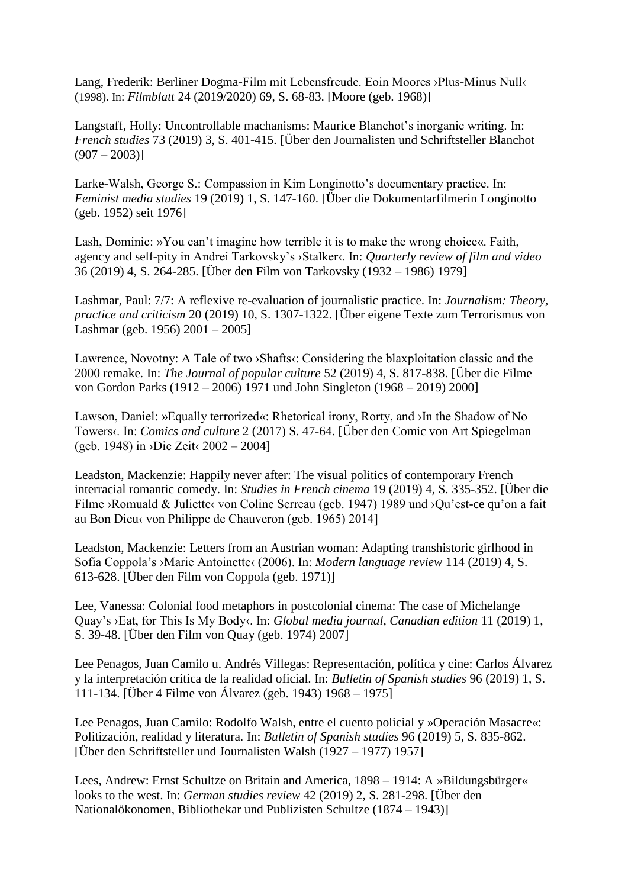Lang, Frederik: Berliner Dogma-Film mit Lebensfreude. Eoin Moores ›Plus-Minus Null‹ (1998). In: *Filmblatt* 24 (2019/2020) 69, S. 68-83. [Moore (geb. 1968)]

Langstaff, Holly: Uncontrollable machanisms: Maurice Blanchot's inorganic writing. In: *French studies* 73 (2019) 3, S. 401-415. [Über den Journalisten und Schriftsteller Blanchot  $(907 - 2003)$ ]

Larke-Walsh, George S.: Compassion in Kim Longinotto's documentary practice. In: *Feminist media studies* 19 (2019) 1, S. 147-160. [Über die Dokumentarfilmerin Longinotto (geb. 1952) seit 1976]

Lash, Dominic: »You can't imagine how terrible it is to make the wrong choice«. Faith, agency and self-pity in Andrei Tarkovsky's ›Stalker‹. In: *Quarterly review of film and video* 36 (2019) 4, S. 264-285. [Über den Film von Tarkovsky (1932 – 1986) 1979]

Lashmar, Paul: 7/7: A reflexive re-evaluation of journalistic practice. In: *Journalism: Theory, practice and criticism* 20 (2019) 10, S. 1307-1322. [Über eigene Texte zum Terrorismus von Lashmar (geb. 1956) 2001 – 2005]

Lawrence, Novotny: A Tale of two >Shafts: Considering the blaxploitation classic and the 2000 remake. In: *The Journal of popular culture* 52 (2019) 4, S. 817-838. [Über die Filme von Gordon Parks (1912 – 2006) 1971 und John Singleton (1968 – 2019) 2000]

Lawson, Daniel: »Equally terrorized«: Rhetorical irony, Rorty, and ›In the Shadow of No Towers‹. In: *Comics and culture* 2 (2017) S. 47-64. [Über den Comic von Art Spiegelman (geb. 1948) in ›Die Zeit‹ 2002 – 2004]

Leadston, Mackenzie: Happily never after: The visual politics of contemporary French interracial romantic comedy. In: *Studies in French cinema* 19 (2019) 4, S. 335-352. [Über die Filme ›Romuald & Juliette‹ von Coline Serreau (geb. 1947) 1989 und ›Qu'est-ce qu'on a fait au Bon Dieu‹ von Philippe de Chauveron (geb. 1965) 2014]

Leadston, Mackenzie: Letters from an Austrian woman: Adapting transhistoric girlhood in Sofia Coppola's ›Marie Antoinette‹ (2006). In: *Modern language review* 114 (2019) 4, S. 613-628. [Über den Film von Coppola (geb. 1971)]

Lee, Vanessa: Colonial food metaphors in postcolonial cinema: The case of Michelange Quay's ›Eat, for This Is My Body‹. In: *Global media journal, Canadian edition* 11 (2019) 1, S. 39-48. [Über den Film von Quay (geb. 1974) 2007]

Lee Penagos, Juan Camilo u. Andrés Villegas: Representación, política y cine: Carlos Álvarez y la interpretación crítica de la realidad oficial. In: *Bulletin of Spanish studies* 96 (2019) 1, S. 111-134. [Über 4 Filme von Álvarez (geb. 1943) 1968 – 1975]

Lee Penagos, Juan Camilo: Rodolfo Walsh, entre el cuento policial y »Operación Masacre«: Politización, realidad y literatura. In: *Bulletin of Spanish studies* 96 (2019) 5, S. 835-862. [Über den Schriftsteller und Journalisten Walsh (1927 – 1977) 1957]

Lees, Andrew: Ernst Schultze on Britain and America, 1898 – 1914: A »Bildungsbürger« looks to the west. In: *German studies review* 42 (2019) 2, S. 281-298. [Über den Nationalökonomen, Bibliothekar und Publizisten Schultze (1874 – 1943)]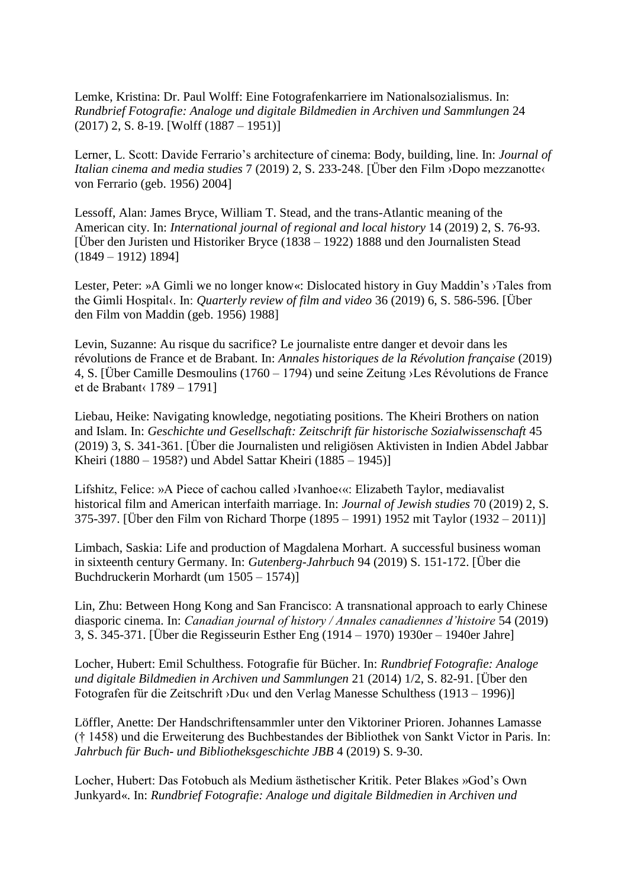Lemke, Kristina: Dr. Paul Wolff: Eine Fotografenkarriere im Nationalsozialismus. In: *Rundbrief Fotografie: Analoge und digitale Bildmedien in Archiven und Sammlungen* 24 (2017) 2, S. 8-19. [Wolff (1887 – 1951)]

Lerner, L. Scott: Davide Ferrario's architecture of cinema: Body, building, line. In: *Journal of Italian cinema and media studies* 7 (2019) 2, S. 233-248. [Über den Film ›Dopo mezzanotte‹ von Ferrario (geb. 1956) 2004]

Lessoff, Alan: James Bryce, William T. Stead, and the trans-Atlantic meaning of the American city. In: *International journal of regional and local history* 14 (2019) 2, S. 76-93. [Über den Juristen und Historiker Bryce (1838 – 1922) 1888 und den Journalisten Stead (1849 – 1912) 1894]

Lester, Peter: »A Gimli we no longer know«: Dislocated history in Guy Maddin's ›Tales from the Gimli Hospital‹. In: *Quarterly review of film and video* 36 (2019) 6, S. 586-596. [Über den Film von Maddin (geb. 1956) 1988]

Levin, Suzanne: Au risque du sacrifice? Le journaliste entre danger et devoir dans les révolutions de France et de Brabant. In: *Annales historiques de la Révolution française* (2019) 4, S. [Über Camille Desmoulins (1760 – 1794) und seine Zeitung ›Les Révolutions de France et de Brabant‹ 1789 – 1791]

Liebau, Heike: Navigating knowledge, negotiating positions. The Kheiri Brothers on nation and Islam. In: *Geschichte und Gesellschaft: Zeitschrift für historische Sozialwissenschaft* 45 (2019) 3, S. 341-361. [Über die Journalisten und religiösen Aktivisten in Indien Abdel Jabbar Kheiri (1880 – 1958?) und Abdel Sattar Kheiri (1885 – 1945)]

Lifshitz, Felice: »A Piece of cachou called ›Ivanhoe‹«: Elizabeth Taylor, mediavalist historical film and American interfaith marriage. In: *Journal of Jewish studies* 70 (2019) 2, S. 375-397. [Über den Film von Richard Thorpe (1895 – 1991) 1952 mit Taylor (1932 – 2011)]

Limbach, Saskia: Life and production of Magdalena Morhart. A successful business woman in sixteenth century Germany. In: *Gutenberg-Jahrbuch* 94 (2019) S. 151-172. [Über die Buchdruckerin Morhardt (um 1505 – 1574)]

Lin, Zhu: Between Hong Kong and San Francisco: A transnational approach to early Chinese diasporic cinema. In: *Canadian journal of history / Annales canadiennes d'histoire* 54 (2019) 3, S. 345-371. [Über die Regisseurin Esther Eng (1914 – 1970) 1930er – 1940er Jahre]

Locher, Hubert: Emil Schulthess. Fotografie für Bücher. In: *Rundbrief Fotografie: Analoge und digitale Bildmedien in Archiven und Sammlungen* 21 (2014) 1/2, S. 82-91. [Über den Fotografen für die Zeitschrift ›Du‹ und den Verlag Manesse Schulthess (1913 – 1996)]

Löffler, Anette: Der Handschriftensammler unter den Viktoriner Prioren. Johannes Lamasse († 1458) und die Erweiterung des Buchbestandes der Bibliothek von Sankt Victor in Paris. In: *Jahrbuch für Buch- und Bibliotheksgeschichte JBB* 4 (2019) S. 9-30.

Locher, Hubert: Das Fotobuch als Medium ästhetischer Kritik. Peter Blakes »God's Own Junkyard«. In: *Rundbrief Fotografie: Analoge und digitale Bildmedien in Archiven und*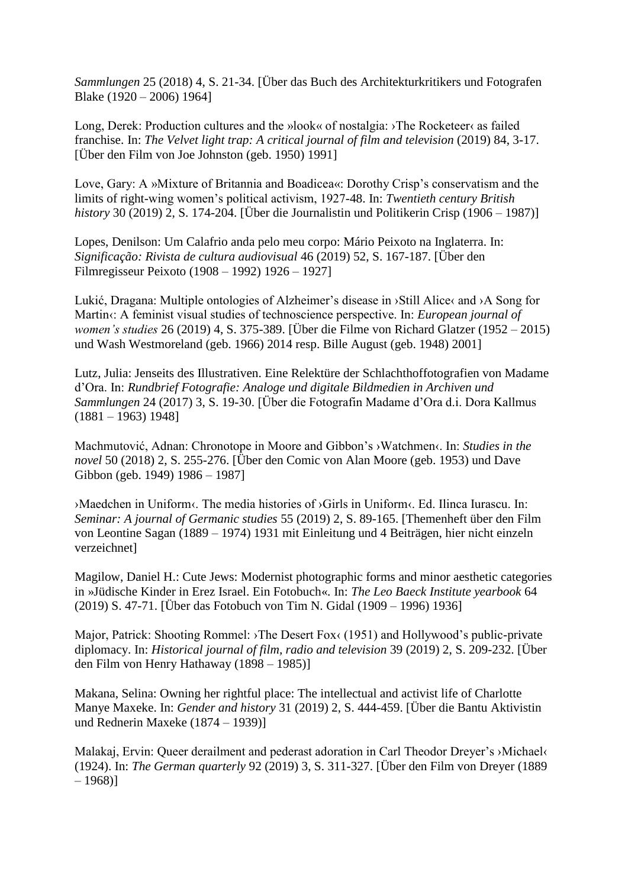*Sammlungen* 25 (2018) 4, S. 21-34. [Über das Buch des Architekturkritikers und Fotografen Blake (1920 – 2006) 1964]

Long, Derek: Production cultures and the »look« of nostalgia: >The Rocketeer< as failed franchise. In: *The Velvet light trap: A critical journal of film and television* (2019) 84, 3-17. [Über den Film von Joe Johnston (geb. 1950) 1991]

Love, Gary: A »Mixture of Britannia and Boadicea«: Dorothy Crisp's conservatism and the limits of right-wing women's political activism, 1927-48. In: *Twentieth century British history* 30 (2019) 2, S. 174-204. [Über die Journalistin und Politikerin Crisp (1906 – 1987)]

Lopes, Denilson: Um Calafrio anda pelo meu corpo: Mário Peixoto na Inglaterra. In: *Significação: Rivista de cultura audiovisual* 46 (2019) 52, S. 167-187. [Über den Filmregisseur Peixoto (1908 – 1992) 1926 – 1927]

Lukić, Dragana: Multiple ontologies of Alzheimer's disease in >Still Alice and >A Song for Martin«: A feminist visual studies of technoscience perspective. In: *European journal of women's studies* 26 (2019) 4, S. 375-389. [Über die Filme von Richard Glatzer (1952 – 2015) und Wash Westmoreland (geb. 1966) 2014 resp. Bille August (geb. 1948) 2001]

Lutz, Julia: Jenseits des Illustrativen. Eine Relektüre der Schlachthoffotografien von Madame d'Ora. In: *Rundbrief Fotografie: Analoge und digitale Bildmedien in Archiven und Sammlungen* 24 (2017) 3, S. 19-30. [Über die Fotografin Madame d'Ora d.i. Dora Kallmus  $(1881 - 1963)$  1948]

Machmutović, Adnan: Chronotope in Moore and Gibbon's ›Watchmen‹. In: *Studies in the novel* 50 (2018) 2, S. 255-276. [Über den Comic von Alan Moore (geb. 1953) und Dave Gibbon (geb. 1949) 1986 – 1987]

›Maedchen in Uniform‹. The media histories of ›Girls in Uniform‹. Ed. Ilinca Iurascu. In: *Seminar: A journal of Germanic studies* 55 (2019) 2, S. 89-165. [Themenheft über den Film von Leontine Sagan (1889 – 1974) 1931 mit Einleitung und 4 Beiträgen, hier nicht einzeln verzeichnet]

Magilow, Daniel H.: Cute Jews: Modernist photographic forms and minor aesthetic categories in »Jüdische Kinder in Erez Israel. Ein Fotobuch«. In: *The Leo Baeck Institute yearbook* 64 (2019) S. 47-71. [Über das Fotobuch von Tim N. Gidal (1909 – 1996) 1936]

Major, Patrick: Shooting Rommel: >The Desert Fox(1951) and Hollywood's public-private diplomacy. In: *Historical journal of film, radio and television* 39 (2019) 2, S. 209-232. [Über den Film von Henry Hathaway (1898 – 1985)]

Makana, Selina: Owning her rightful place: The intellectual and activist life of Charlotte Manye Maxeke. In: *Gender and history* 31 (2019) 2, S. 444-459. [Über die Bantu Aktivistin und Rednerin Maxeke (1874 – 1939)]

Malakaj, Ervin: Queer derailment and pederast adoration in Carl Theodor Dreyer's ›Michael‹ (1924). In: *The German quarterly* 92 (2019) 3, S. 311-327. [Über den Film von Dreyer (1889  $-1968$ ]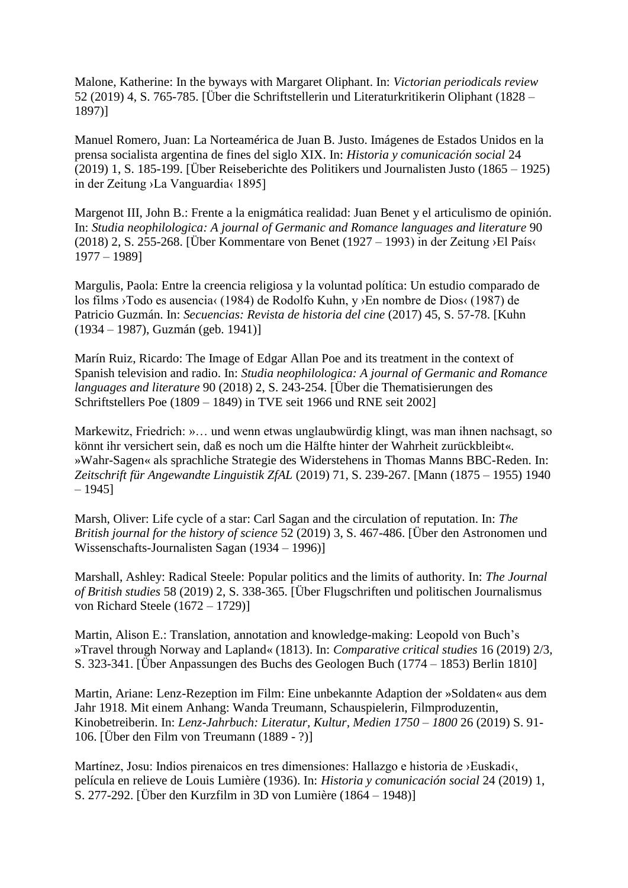Malone, Katherine: In the byways with Margaret Oliphant. In: *Victorian periodicals review* 52 (2019) 4, S. 765-785. [Über die Schriftstellerin und Literaturkritikerin Oliphant (1828 – 1897)]

Manuel Romero, Juan: La Norteamérica de Juan B. Justo. Imágenes de Estados Unidos en la prensa socialista argentina de fines del siglo XIX. In: *Historia y comunicación social* 24 (2019) 1, S. 185-199. [Über Reiseberichte des Politikers und Journalisten Justo (1865 – 1925) in der Zeitung ›La Vanguardia‹ 1895]

Margenot III, John B.: Frente a la enigmática realidad: Juan Benet y el articulismo de opinión. In: *Studia neophilologica: A journal of Germanic and Romance languages and literature* 90 (2018) 2, S. 255-268. [Über Kommentare von Benet (1927 – 1993) in der Zeitung > El País‹ 1977 – 1989]

Margulis, Paola: Entre la creencia religiosa y la voluntad política: Un estudio comparado de los films ›Todo es ausencia‹ (1984) de Rodolfo Kuhn, y ›En nombre de Dios‹ (1987) de Patricio Guzmán. In: *Secuencias: Revista de historia del cine* (2017) 45, S. 57-78. [Kuhn (1934 – 1987), Guzmán (geb. 1941)]

Marín Ruiz, Ricardo: The Image of Edgar Allan Poe and its treatment in the context of Spanish television and radio. In: *Studia neophilologica: A journal of Germanic and Romance languages and literature* 90 (2018) 2, S. 243-254. [Über die Thematisierungen des Schriftstellers Poe (1809 – 1849) in TVE seit 1966 und RNE seit 2002]

Markewitz, Friedrich: »… und wenn etwas unglaubwürdig klingt, was man ihnen nachsagt, so könnt ihr versichert sein, daß es noch um die Hälfte hinter der Wahrheit zurückbleibt«. »Wahr-Sagen« als sprachliche Strategie des Widerstehens in Thomas Manns BBC-Reden. In: *Zeitschrift für Angewandte Linguistik ZfAL* (2019) 71, S. 239-267. [Mann (1875 – 1955) 1940  $-1945$ ]

Marsh, Oliver: Life cycle of a star: Carl Sagan and the circulation of reputation. In: *The British journal for the history of science* 52 (2019) 3, S. 467-486. [Über den Astronomen und Wissenschafts-Journalisten Sagan (1934 – 1996)]

Marshall, Ashley: Radical Steele: Popular politics and the limits of authority. In: *The Journal of British studies* 58 (2019) 2, S. 338-365. [Über Flugschriften und politischen Journalismus von Richard Steele (1672 – 1729)]

Martin, Alison E.: Translation, annotation and knowledge-making: Leopold von Buch's »Travel through Norway and Lapland« (1813). In: *Comparative critical studies* 16 (2019) 2/3, S. 323-341. [Über Anpassungen des Buchs des Geologen Buch (1774 – 1853) Berlin 1810]

Martin, Ariane: Lenz-Rezeption im Film: Eine unbekannte Adaption der »Soldaten« aus dem Jahr 1918. Mit einem Anhang: Wanda Treumann, Schauspielerin, Filmproduzentin, Kinobetreiberin. In: *Lenz-Jahrbuch: Literatur, Kultur, Medien 1750 – 1800* 26 (2019) S. 91- 106. [Über den Film von Treumann (1889 - ?)]

Martínez, Josu: Indios pirenaicos en tres dimensiones: Hallazgo e historia de ›Euskadi‹, película en relieve de Louis Lumière (1936). In: *Historia y comunicación social* 24 (2019) 1, S. 277-292. [Über den Kurzfilm in 3D von Lumière (1864 – 1948)]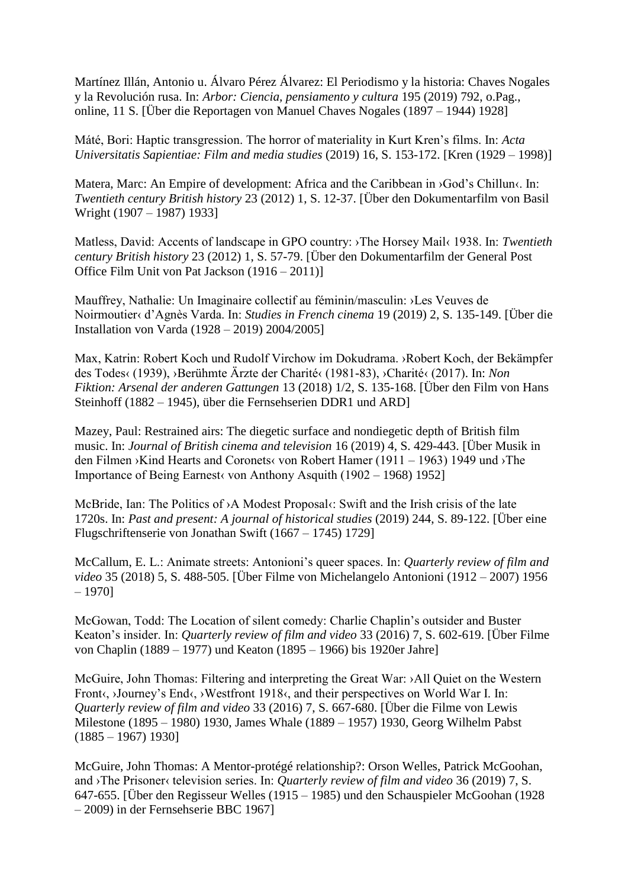Martínez Illán, Antonio u. Álvaro Pérez Álvarez: El Periodismo y la historia: Chaves Nogales y la Revolución rusa. In: *Arbor: Ciencia, pensiamento y cultura* 195 (2019) 792, o.Pag., online, 11 S. [Über die Reportagen von Manuel Chaves Nogales (1897 – 1944) 1928]

Máté, Bori: Haptic transgression. The horror of materiality in Kurt Kren's films. In: *Acta Universitatis Sapientiae: Film and media studies* (2019) 16, S. 153-172. [Kren (1929 – 1998)]

Matera, Marc: An Empire of development: Africa and the Caribbean in >God's Chillun«. In: *Twentieth century British history* 23 (2012) 1, S. 12-37. [Über den Dokumentarfilm von Basil Wright (1907 – 1987) 1933]

Matless, David: Accents of landscape in GPO country: ›The Horsey Mail‹ 1938. In: *Twentieth century British history* 23 (2012) 1, S. 57-79. [Über den Dokumentarfilm der General Post Office Film Unit von Pat Jackson (1916 – 2011)]

Mauffrey, Nathalie: Un Imaginaire collectif au féminin/masculin: ›Les Veuves de Noirmoutier‹ d'Agnès Varda. In: *Studies in French cinema* 19 (2019) 2, S. 135-149. [Über die Installation von Varda (1928 – 2019) 2004/2005]

Max, Katrin: Robert Koch und Rudolf Virchow im Dokudrama. ›Robert Koch, der Bekämpfer des Todes‹ (1939), ›Berühmte Ärzte der Charité‹ (1981-83), ›Charité‹ (2017). In: *Non Fiktion: Arsenal der anderen Gattungen* 13 (2018) 1/2, S. 135-168. [Über den Film von Hans Steinhoff (1882 – 1945), über die Fernsehserien DDR1 und ARD]

Mazey, Paul: Restrained airs: The diegetic surface and nondiegetic depth of British film music. In: *Journal of British cinema and television* 16 (2019) 4, S. 429-443. [Über Musik in den Filmen ›Kind Hearts and Coronets‹ von Robert Hamer (1911 – 1963) 1949 und ›The Importance of Being Earnest von Anthony Asquith  $(1902 - 1968)$  1952]

McBride, Ian: The Politics of ›A Modest Proposal‹: Swift and the Irish crisis of the late 1720s. In: *Past and present: A journal of historical studies* (2019) 244, S. 89-122. [Über eine Flugschriftenserie von Jonathan Swift (1667 – 1745) 1729]

McCallum, E. L.: Animate streets: Antonioni's queer spaces. In: *Quarterly review of film and video* 35 (2018) 5, S. 488-505. [Über Filme von Michelangelo Antonioni (1912 – 2007) 1956 – 1970]

McGowan, Todd: The Location of silent comedy: Charlie Chaplin's outsider and Buster Keaton's insider. In: *Quarterly review of film and video* 33 (2016) 7, S. 602-619. [Über Filme von Chaplin (1889 – 1977) und Keaton (1895 – 1966) bis 1920er Jahre]

McGuire, John Thomas: Filtering and interpreting the Great War: ›All Quiet on the Western Front<, >Journey's End<, >Westfront 1918<, and their perspectives on World War I. In: *Quarterly review of film and video* 33 (2016) 7, S. 667-680. [Über die Filme von Lewis Milestone (1895 – 1980) 1930, James Whale (1889 – 1957) 1930, Georg Wilhelm Pabst  $(1885 - 1967)$  1930]

McGuire, John Thomas: A Mentor-protégé relationship?: Orson Welles, Patrick McGoohan, and ›The Prisoner‹ television series. In: *Quarterly review of film and video* 36 (2019) 7, S. 647-655. [Über den Regisseur Welles (1915 – 1985) und den Schauspieler McGoohan (1928 – 2009) in der Fernsehserie BBC 1967]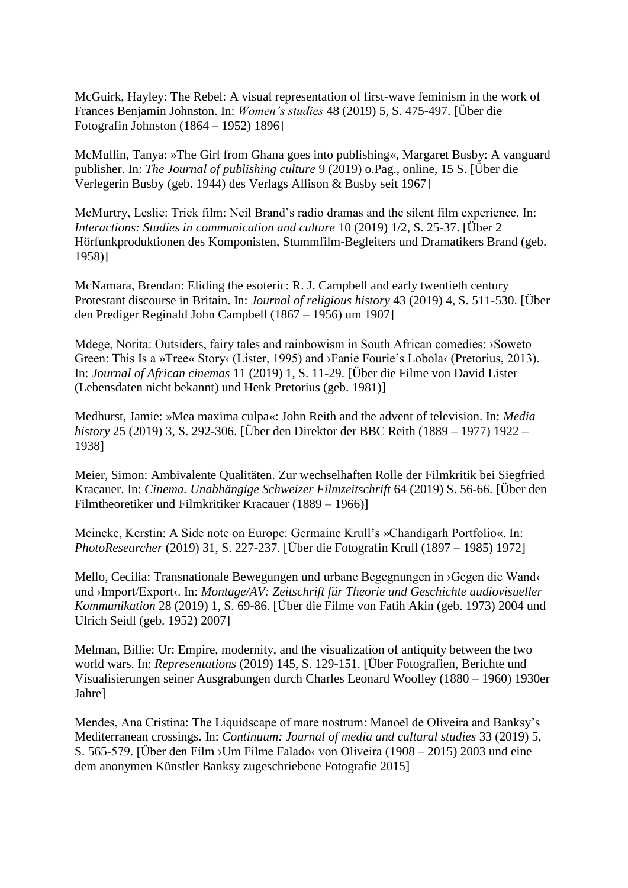McGuirk, Hayley: The Rebel: A visual representation of first-wave feminism in the work of Frances Benjamin Johnston. In: *Women's studies* 48 (2019) 5, S. 475-497. [Über die Fotografin Johnston (1864 – 1952) 1896]

McMullin, Tanya: »The Girl from Ghana goes into publishing«, Margaret Busby: A vanguard publisher. In: *The Journal of publishing culture* 9 (2019) o.Pag., online, 15 S. [Über die Verlegerin Busby (geb. 1944) des Verlags Allison & Busby seit 1967]

McMurtry, Leslie: Trick film: Neil Brand's radio dramas and the silent film experience. In: *Interactions: Studies in communication and culture* 10 (2019) 1/2, S. 25-37. [Über 2 Hörfunkproduktionen des Komponisten, Stummfilm-Begleiters und Dramatikers Brand (geb. 1958)]

McNamara, Brendan: Eliding the esoteric: R. J. Campbell and early twentieth century Protestant discourse in Britain. In: *Journal of religious history* 43 (2019) 4, S. 511-530. [Über den Prediger Reginald John Campbell (1867 – 1956) um 1907]

Mdege, Norita: Outsiders, fairy tales and rainbowism in South African comedies: ›Soweto Green: This Is a »Tree« Story‹ (Lister, 1995) and >Fanie Fourie's Lobola‹ (Pretorius, 2013). In: *Journal of African cinemas* 11 (2019) 1, S. 11-29. [Über die Filme von David Lister (Lebensdaten nicht bekannt) und Henk Pretorius (geb. 1981)]

Medhurst, Jamie: »Mea maxima culpa«: John Reith and the advent of television. In: *Media history* 25 (2019) 3, S. 292-306. [Über den Direktor der BBC Reith (1889 – 1977) 1922 – 1938]

Meier, Simon: Ambivalente Qualitäten. Zur wechselhaften Rolle der Filmkritik bei Siegfried Kracauer. In: *Cinema. Unabhängige Schweizer Filmzeitschrift* 64 (2019) S. 56-66. [Über den Filmtheoretiker und Filmkritiker Kracauer (1889 – 1966)]

Meincke, Kerstin: A Side note on Europe: Germaine Krull's »Chandigarh Portfolio«. In: *PhotoResearcher* (2019) 31, S. 227-237. [Über die Fotografin Krull (1897 – 1985) 1972]

Mello, Cecilia: Transnationale Bewegungen und urbane Begegnungen in ›Gegen die Wand‹ und >Import/Export<. In: *Montage/AV: Zeitschrift für Theorie und Geschichte audiovisueller Kommunikation* 28 (2019) 1, S. 69-86. [Über die Filme von Fatih Akin (geb. 1973) 2004 und Ulrich Seidl (geb. 1952) 2007]

Melman, Billie: Ur: Empire, modernity, and the visualization of antiquity between the two world wars. In: *Representations* (2019) 145, S. 129-151. [Über Fotografien, Berichte und Visualisierungen seiner Ausgrabungen durch Charles Leonard Woolley (1880 – 1960) 1930er Jahre]

Mendes, Ana Cristina: The Liquidscape of mare nostrum: Manoel de Oliveira and Banksy's Mediterranean crossings. In: *Continuum: Journal of media and cultural studies* 33 (2019) 5, S. 565-579. [Über den Film > Um Filme Falado< von Oliveira (1908 – 2015) 2003 und eine dem anonymen Künstler Banksy zugeschriebene Fotografie 2015]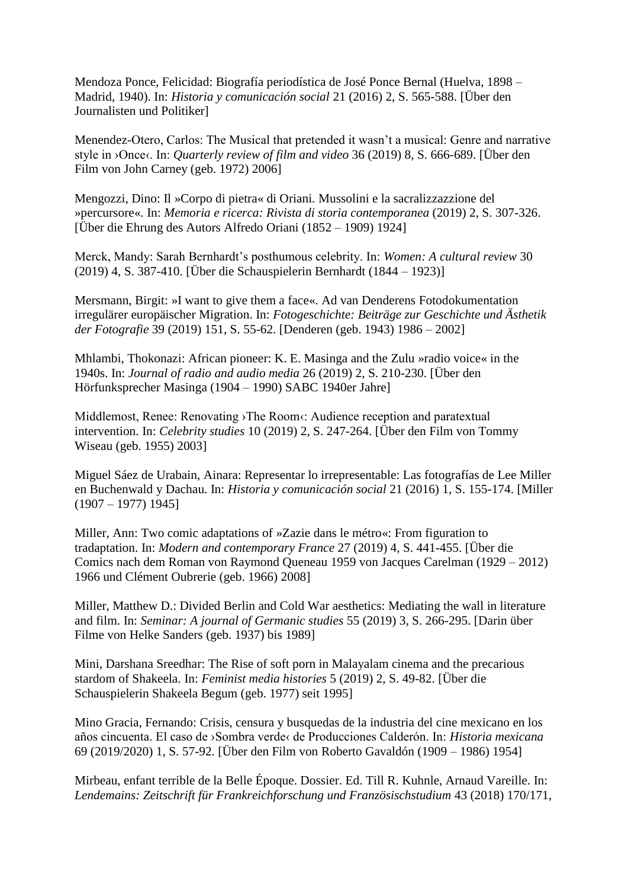Mendoza Ponce, Felicidad: Biografía periodística de José Ponce Bernal (Huelva, 1898 – Madrid, 1940). In: *Historia y comunicación social* 21 (2016) 2, S. 565-588. [Über den Journalisten und Politiker]

Menendez-Otero, Carlos: The Musical that pretended it wasn't a musical: Genre and narrative style in ›Once‹. In: *Quarterly review of film and video* 36 (2019) 8, S. 666-689. [Über den Film von John Carney (geb. 1972) 2006]

Mengozzi, Dino: Il »Corpo di pietra« di Oriani. Mussolini e la sacralizzazzione del »percursore«. In: *Memoria e ricerca: Rivista di storia contemporanea* (2019) 2, S. 307-326. [Über die Ehrung des Autors Alfredo Oriani (1852 – 1909) 1924]

Merck, Mandy: Sarah Bernhardt's posthumous celebrity. In: *Women: A cultural review* 30 (2019) 4, S. 387-410. [Über die Schauspielerin Bernhardt (1844 – 1923)]

Mersmann, Birgit: »I want to give them a face«. Ad van Denderens Fotodokumentation irregulärer europäischer Migration. In: *Fotogeschichte: Beiträge zur Geschichte und Ästhetik der Fotografie* 39 (2019) 151, S. 55-62. [Denderen (geb. 1943) 1986 – 2002]

Mhlambi, Thokonazi: African pioneer: K. E. Masinga and the Zulu »radio voice« in the 1940s. In: *Journal of radio and audio media* 26 (2019) 2, S. 210-230. [Über den Hörfunksprecher Masinga (1904 – 1990) SABC 1940er Jahre]

Middlemost, Renee: Renovating >The Room $\langle$ : Audience reception and paratextual intervention. In: *Celebrity studies* 10 (2019) 2, S. 247-264. [Über den Film von Tommy Wiseau (geb. 1955) 2003]

Miguel Sáez de Urabain, Ainara: Representar lo irrepresentable: Las fotografías de Lee Miller en Buchenwald y Dachau. In: *Historia y comunicación social* 21 (2016) 1, S. 155-174. [Miller  $(1907 - 1977)$  1945]

Miller, Ann: Two comic adaptations of »Zazie dans le métro«: From figuration to tradaptation. In: *Modern and contemporary France* 27 (2019) 4, S. 441-455. [Über die Comics nach dem Roman von Raymond Queneau 1959 von Jacques Carelman (1929 – 2012) 1966 und Clément Oubrerie (geb. 1966) 2008]

Miller, Matthew D.: Divided Berlin and Cold War aesthetics: Mediating the wall in literature and film. In: *Seminar: A journal of Germanic studies* 55 (2019) 3, S. 266-295. [Darin über Filme von Helke Sanders (geb. 1937) bis 1989]

Mini, Darshana Sreedhar: The Rise of soft porn in Malayalam cinema and the precarious stardom of Shakeela. In: *Feminist media histories* 5 (2019) 2, S. 49-82. [Über die Schauspielerin Shakeela Begum (geb. 1977) seit 1995]

Mino Gracia, Fernando: Crisis, censura y busquedas de la industria del cine mexicano en los años cincuenta. El caso de ›Sombra verde‹ de Producciones Calderón. In: *Historia mexicana* 69 (2019/2020) 1, S. 57-92. [Über den Film von Roberto Gavaldón (1909 – 1986) 1954]

Mirbeau, enfant terrible de la Belle Époque. Dossier. Ed. Till R. Kuhnle, Arnaud Vareille. In: *Lendemains: Zeitschrift für Frankreichforschung und Französischstudium* 43 (2018) 170/171,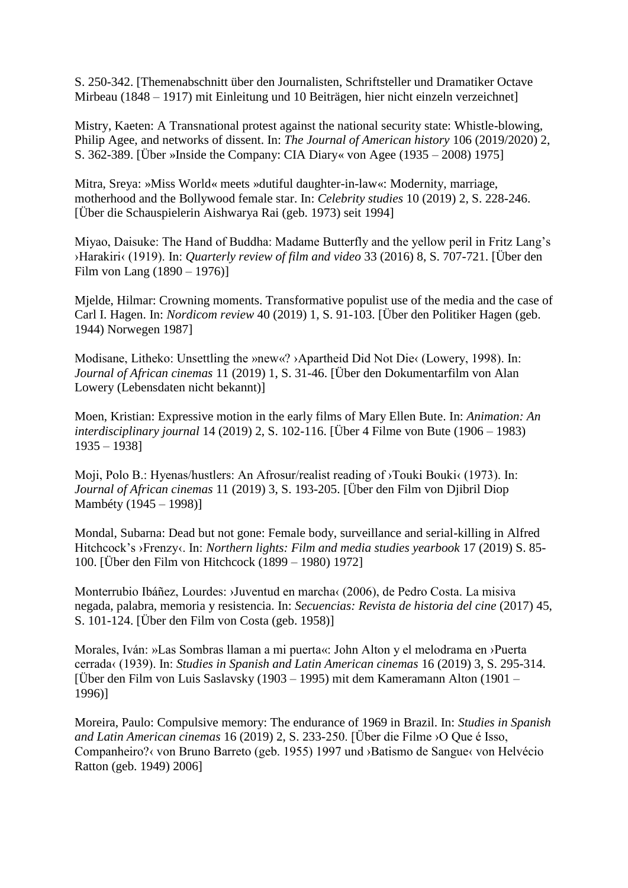S. 250-342. [Themenabschnitt über den Journalisten, Schriftsteller und Dramatiker Octave Mirbeau (1848 – 1917) mit Einleitung und 10 Beiträgen, hier nicht einzeln verzeichnet]

Mistry, Kaeten: A Transnational protest against the national security state: Whistle-blowing, Philip Agee, and networks of dissent. In: *The Journal of American history* 106 (2019/2020) 2, S. 362-389. [Über »Inside the Company: CIA Diary« von Agee (1935 – 2008) 1975]

Mitra, Sreya: »Miss World« meets »dutiful daughter-in-law«: Modernity, marriage, motherhood and the Bollywood female star. In: *Celebrity studies* 10 (2019) 2, S. 228-246. [Über die Schauspielerin Aishwarya Rai (geb. 1973) seit 1994]

Miyao, Daisuke: The Hand of Buddha: Madame Butterfly and the yellow peril in Fritz Lang's ›Harakiri‹ (1919). In: *Quarterly review of film and video* 33 (2016) 8, S. 707-721. [Über den Film von Lang (1890 – 1976)]

Mjelde, Hilmar: Crowning moments. Transformative populist use of the media and the case of Carl I. Hagen. In: *Nordicom review* 40 (2019) 1, S. 91-103. [Über den Politiker Hagen (geb. 1944) Norwegen 1987]

Modisane, Litheko: Unsettling the »new«? ›Apartheid Did Not Die‹ (Lowery, 1998). In: *Journal of African cinemas* 11 (2019) 1, S. 31-46. [Über den Dokumentarfilm von Alan Lowery (Lebensdaten nicht bekannt)]

Moen, Kristian: Expressive motion in the early films of Mary Ellen Bute. In: *Animation: An interdisciplinary journal* 14 (2019) 2, S. 102-116. [Über 4 Filme von Bute (1906 – 1983) 1935 – 1938]

Moji, Polo B.: Hyenas/hustlers: An Afrosur/realist reading of ›Touki Bouki‹ (1973). In: *Journal of African cinemas* 11 (2019) 3, S. 193-205. [Über den Film von Djibril Diop Mambéty (1945 – 1998)]

Mondal, Subarna: Dead but not gone: Female body, surveillance and serial-killing in Alfred Hitchcock's ›Frenzy‹. In: *Northern lights: Film and media studies yearbook* 17 (2019) S. 85- 100. [Über den Film von Hitchcock (1899 – 1980) 1972]

Monterrubio Ibáñez, Lourdes: ›Juventud en marcha‹ (2006), de Pedro Costa. La misiva negada, palabra, memoria y resistencia. In: *Secuencias: Revista de historia del cine* (2017) 45, S. 101-124. [Über den Film von Costa (geb. 1958)]

Morales, Iván: »Las Sombras llaman a mi puerta«: John Alton y el melodrama en ›Puerta cerrada‹ (1939). In: *Studies in Spanish and Latin American cinemas* 16 (2019) 3, S. 295-314. [Über den Film von Luis Saslavsky (1903 – 1995) mit dem Kameramann Alton (1901 – 1996)]

Moreira, Paulo: Compulsive memory: The endurance of 1969 in Brazil. In: *Studies in Spanish and Latin American cinemas* 16 (2019) 2, S. 233-250. [Über die Filme ›O Que é Isso, Companheiro?‹ von Bruno Barreto (geb. 1955) 1997 und ›Batismo de Sangue‹ von Helvécio Ratton (geb. 1949) 2006]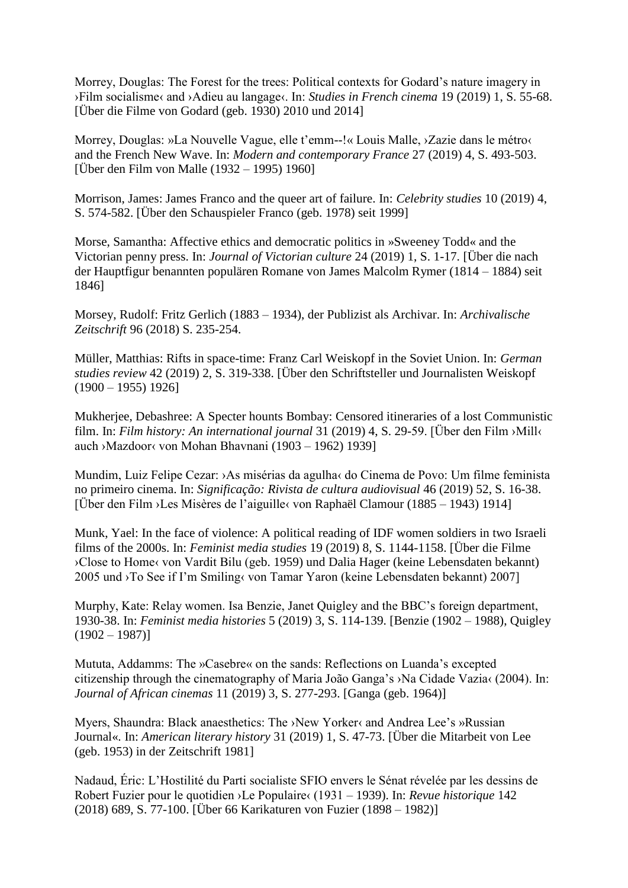Morrey, Douglas: The Forest for the trees: Political contexts for Godard's nature imagery in ›Film socialisme‹ and ›Adieu au langage‹. In: *Studies in French cinema* 19 (2019) 1, S. 55-68. [Über die Filme von Godard (geb. 1930) 2010 und 2014]

Morrey, Douglas: »La Nouvelle Vague, elle t'emm--!« Louis Malle, ›Zazie dans le métro‹ and the French New Wave. In: *Modern and contemporary France* 27 (2019) 4, S. 493-503. [Über den Film von Malle (1932 – 1995) 1960]

Morrison, James: James Franco and the queer art of failure. In: *Celebrity studies* 10 (2019) 4, S. 574-582. [Über den Schauspieler Franco (geb. 1978) seit 1999]

Morse, Samantha: Affective ethics and democratic politics in »Sweeney Todd« and the Victorian penny press. In: *Journal of Victorian culture* 24 (2019) 1, S. 1-17. [Über die nach der Hauptfigur benannten populären Romane von James Malcolm Rymer (1814 – 1884) seit 1846]

Morsey, Rudolf: Fritz Gerlich (1883 – 1934), der Publizist als Archivar. In: *Archivalische Zeitschrift* 96 (2018) S. 235-254.

Müller, Matthias: Rifts in space-time: Franz Carl Weiskopf in the Soviet Union. In: *German studies review* 42 (2019) 2, S. 319-338. [Über den Schriftsteller und Journalisten Weiskopf  $(1900 - 1955)$  1926]

Mukherjee, Debashree: A Specter hounts Bombay: Censored itineraries of a lost Communistic film. In: *Film history: An international journal* 31 (2019) 4, S. 29-59. [Über den Film ›Mill‹ auch ›Mazdoor‹ von Mohan Bhavnani (1903 – 1962) 1939]

Mundim, Luiz Felipe Cezar: ›As misérias da agulha‹ do Cinema de Povo: Um filme feminista no primeiro cinema. In: *Significação: Rivista de cultura audiovisual* 46 (2019) 52, S. 16-38. [Über den Film ›Les Misères de l'aiguille‹ von Raphaël Clamour (1885 – 1943) 1914]

Munk, Yael: In the face of violence: A political reading of IDF women soldiers in two Israeli films of the 2000s. In: *Feminist media studies* 19 (2019) 8, S. 1144-1158. [Über die Filme ›Close to Home‹ von Vardit Bilu (geb. 1959) und Dalia Hager (keine Lebensdaten bekannt) 2005 und ›To See if I'm Smiling‹ von Tamar Yaron (keine Lebensdaten bekannt) 2007]

Murphy, Kate: Relay women. Isa Benzie, Janet Quigley and the BBC's foreign department, 1930-38. In: *Feminist media histories* 5 (2019) 3, S. 114-139. [Benzie (1902 – 1988), Quigley  $(1902 - 1987)$ 

Mututa, Addamms: The »Casebre« on the sands: Reflections on Luanda's excepted citizenship through the cinematography of Maria João Ganga's ›Na Cidade Vazia‹ (2004). In: *Journal of African cinemas* 11 (2019) 3, S. 277-293. [Ganga (geb. 1964)]

Myers, Shaundra: Black anaesthetics: The ›New Yorker‹ and Andrea Lee's »Russian Journal«. In: *American literary history* 31 (2019) 1, S. 47-73. [Über die Mitarbeit von Lee (geb. 1953) in der Zeitschrift 1981]

Nadaud, Éric: L'Hostilité du Parti socialiste SFIO envers le Sénat révelée par les dessins de Robert Fuzier pour le quotidien ›Le Populaire‹ (1931 – 1939). In: *Revue historique* 142 (2018) 689, S. 77-100. [Über 66 Karikaturen von Fuzier (1898 – 1982)]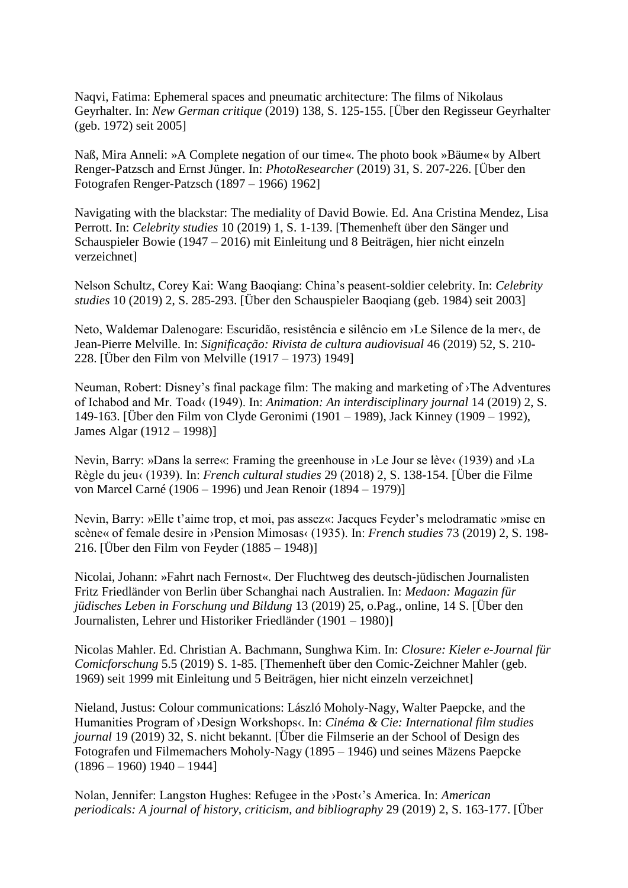Naqvi, Fatima: Ephemeral spaces and pneumatic architecture: The films of Nikolaus Geyrhalter. In: *New German critique* (2019) 138, S. 125-155. [Über den Regisseur Geyrhalter (geb. 1972) seit 2005]

Naß, Mira Anneli: »A Complete negation of our time«. The photo book »Bäume« by Albert Renger-Patzsch and Ernst Jünger. In: *PhotoResearcher* (2019) 31, S. 207-226. [Über den Fotografen Renger-Patzsch (1897 – 1966) 1962]

Navigating with the blackstar: The mediality of David Bowie. Ed. Ana Cristina Mendez, Lisa Perrott. In: *Celebrity studies* 10 (2019) 1, S. 1-139. [Themenheft über den Sänger und Schauspieler Bowie (1947 – 2016) mit Einleitung und 8 Beiträgen, hier nicht einzeln verzeichnet]

Nelson Schultz, Corey Kai: Wang Baoqiang: China's peasent-soldier celebrity. In: *Celebrity studies* 10 (2019) 2, S. 285-293. [Über den Schauspieler Baoqiang (geb. 1984) seit 2003]

Neto, Waldemar Dalenogare: Escuridão, resistência e silêncio em ›Le Silence de la mer‹, de Jean-Pierre Melville. In: *Significação: Rivista de cultura audiovisual* 46 (2019) 52, S. 210- 228. [Über den Film von Melville (1917 – 1973) 1949]

Neuman, Robert: Disney's final package film: The making and marketing of ›The Adventures of Ichabod and Mr. Toad‹ (1949). In: *Animation: An interdisciplinary journal* 14 (2019) 2, S. 149-163. [Über den Film von Clyde Geronimi (1901 – 1989), Jack Kinney (1909 – 1992), James Algar (1912 – 1998)]

Nevin, Barry: »Dans la serre«: Framing the greenhouse in ›Le Jour se lève‹ (1939) and ›La Règle du jeu‹ (1939). In: *French cultural studies* 29 (2018) 2, S. 138-154. [Über die Filme von Marcel Carné (1906 – 1996) und Jean Renoir (1894 – 1979)]

Nevin, Barry: »Elle t'aime trop, et moi, pas assez«: Jacques Feyder's melodramatic »mise en scène« of female desire in ›Pension Mimosas‹ (1935). In: *French studies* 73 (2019) 2, S. 198- 216. [Über den Film von Feyder (1885 – 1948)]

Nicolai, Johann: »Fahrt nach Fernost«. Der Fluchtweg des deutsch-jüdischen Journalisten Fritz Friedländer von Berlin über Schanghai nach Australien. In: *Medaon: Magazin für jüdisches Leben in Forschung und Bildung* 13 (2019) 25, o.Pag., online, 14 S. [Über den Journalisten, Lehrer und Historiker Friedländer (1901 – 1980)]

Nicolas Mahler. Ed. Christian A. Bachmann, Sunghwa Kim. In: *Closure: Kieler e-Journal für Comicforschung* 5.5 (2019) S. 1-85. [Themenheft über den Comic-Zeichner Mahler (geb. 1969) seit 1999 mit Einleitung und 5 Beiträgen, hier nicht einzeln verzeichnet]

Nieland, Justus: Colour communications: László Moholy-Nagy, Walter Paepcke, and the Humanities Program of ›Design Workshops‹. In: *Cinéma & Cie: International film studies journal* 19 (2019) 32, S. nicht bekannt. [Über die Filmserie an der School of Design des Fotografen und Filmemachers Moholy-Nagy (1895 – 1946) und seines Mäzens Paepcke  $(1896 - 1960)$  1940 – 1944]

Nolan, Jennifer: Langston Hughes: Refugee in the ›Post‹'s America. In: *American periodicals: A journal of history, criticism, and bibliography* 29 (2019) 2, S. 163-177. [Über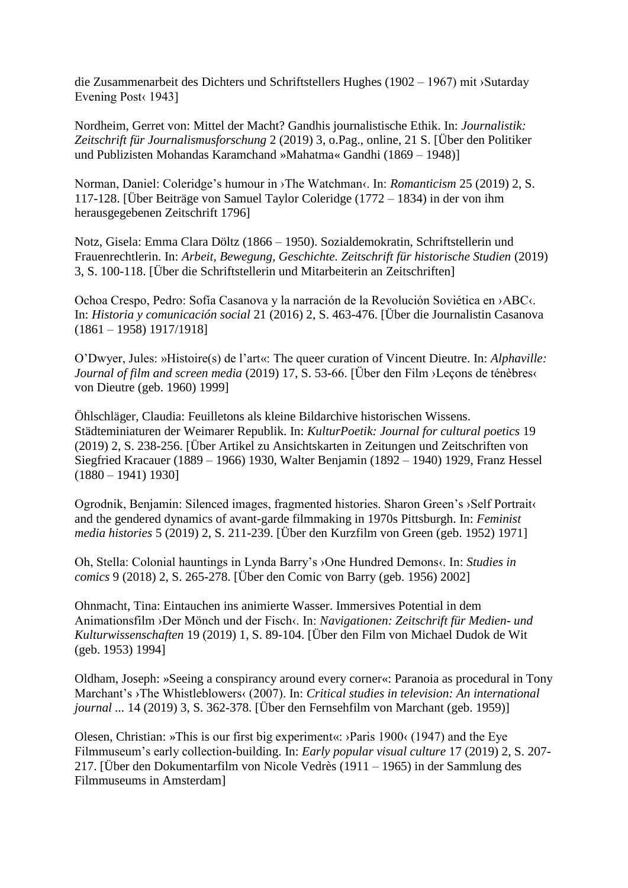die Zusammenarbeit des Dichters und Schriftstellers Hughes (1902 – 1967) mit ›Sutarday Evening Post (1943)

Nordheim, Gerret von: Mittel der Macht? Gandhis journalistische Ethik. In: *Journalistik: Zeitschrift für Journalismusforschung* 2 (2019) 3, o.Pag., online, 21 S. [Über den Politiker und Publizisten Mohandas Karamchand »Mahatma« Gandhi (1869 – 1948)]

Norman, Daniel: Coleridge's humour in ›The Watchman‹. In: *Romanticism* 25 (2019) 2, S. 117-128. [Über Beiträge von Samuel Taylor Coleridge (1772 – 1834) in der von ihm herausgegebenen Zeitschrift 1796]

Notz, Gisela: Emma Clara Döltz (1866 – 1950). Sozialdemokratin, Schriftstellerin und Frauenrechtlerin. In: *Arbeit, Bewegung, Geschichte. Zeitschrift für historische Studien* (2019) 3, S. 100-118. [Über die Schriftstellerin und Mitarbeiterin an Zeitschriften]

Ochoa Crespo, Pedro: Sofía Casanova y la narración de la Revolución Soviética en ›ABC‹. In: *Historia y comunicación social* 21 (2016) 2, S. 463-476. [Über die Journalistin Casanova (1861 – 1958) 1917/1918]

O'Dwyer, Jules: »Histoire(s) de l'art«: The queer curation of Vincent Dieutre. In: *Alphaville: Journal of film and screen media* (2019) 17, S. 53-66. [Über den Film ›Leçons de ténèbres‹ von Dieutre (geb. 1960) 1999]

Öhlschläger, Claudia: Feuilletons als kleine Bildarchive historischen Wissens. Städteminiaturen der Weimarer Republik. In: *KulturPoetik: Journal for cultural poetics* 19 (2019) 2, S. 238-256. [Über Artikel zu Ansichtskarten in Zeitungen und Zeitschriften von Siegfried Kracauer (1889 – 1966) 1930, Walter Benjamin (1892 – 1940) 1929, Franz Hessel  $(1880 - 1941)$  1930]

Ogrodnik, Benjamin: Silenced images, fragmented histories. Sharon Green's ›Self Portrait‹ and the gendered dynamics of avant-garde filmmaking in 1970s Pittsburgh. In: *Feminist media histories* 5 (2019) 2, S. 211-239. [Über den Kurzfilm von Green (geb. 1952) 1971]

Oh, Stella: Colonial hauntings in Lynda Barry's ›One Hundred Demons‹. In: *Studies in comics* 9 (2018) 2, S. 265-278. [Über den Comic von Barry (geb. 1956) 2002]

Ohnmacht, Tina: Eintauchen ins animierte Wasser. Immersives Potential in dem Animationsfilm ›Der Mönch und der Fisch‹. In: *Navigationen: Zeitschrift für Medien- und Kulturwissenschaften* 19 (2019) 1, S. 89-104. [Über den Film von Michael Dudok de Wit (geb. 1953) 1994]

Oldham, Joseph: »Seeing a conspirancy around every corner«: Paranoia as procedural in Tony Marchant's ›The Whistleblowers‹ (2007). In: *Critical studies in television: An international journal ...* 14 (2019) 3, S. 362-378. [Über den Fernsehfilm von Marchant (geb. 1959)]

Olesen, Christian: »This is our first big experiment«: ›Paris 1900‹ (1947) and the Eye Filmmuseum's early collection-building. In: *Early popular visual culture* 17 (2019) 2, S. 207- 217. [Über den Dokumentarfilm von Nicole Vedrès (1911 – 1965) in der Sammlung des Filmmuseums in Amsterdam]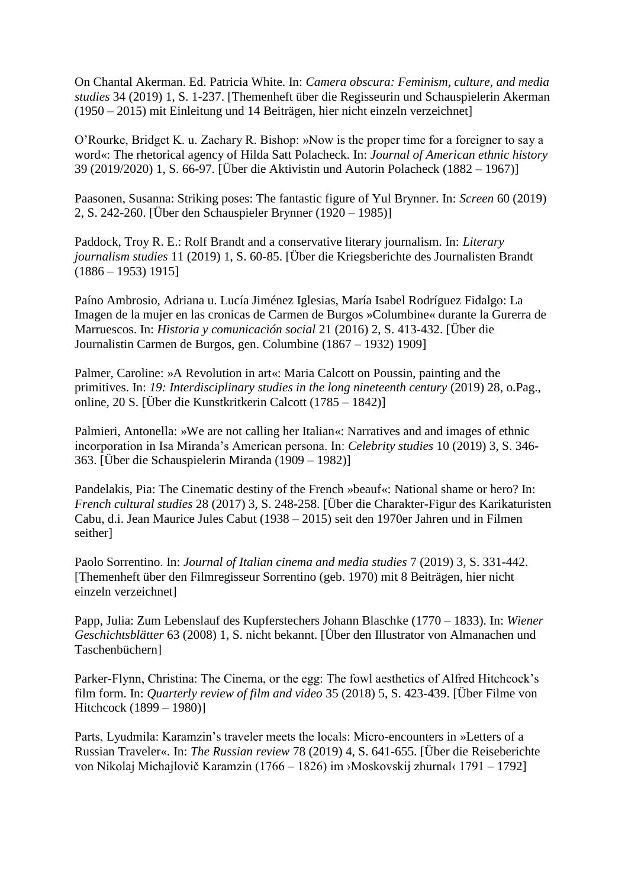On Chantal Akerman. Ed. Patricia White. In: *Camera obscura: Feminism, culture, and media studies* 34 (2019) 1, S. 1-237. [Themenheft über die Regisseurin und Schauspielerin Akerman (1950 – 2015) mit Einleitung und 14 Beiträgen, hier nicht einzeln verzeichnet]

O'Rourke, Bridget K. u. Zachary R. Bishop: »Now is the proper time for a foreigner to say a word«: The rhetorical agency of Hilda Satt Polacheck. In: *Journal of American ethnic history* 39 (2019/2020) 1, S. 66-97. [Über die Aktivistin und Autorin Polacheck (1882 – 1967)]

Paasonen, Susanna: Striking poses: The fantastic figure of Yul Brynner. In: *Screen* 60 (2019) 2, S. 242-260. [Über den Schauspieler Brynner (1920 – 1985)]

Paddock, Troy R. E.: Rolf Brandt and a conservative literary journalism. In: *Literary journalism studies* 11 (2019) 1, S. 60-85. [Über die Kriegsberichte des Journalisten Brandt  $(1886 - 1953)$  1915]

Paíno Ambrosio, Adriana u. Lucía Jiménez Iglesias, María Isabel Rodríguez Fidalgo: La Imagen de la mujer en las cronicas de Carmen de Burgos »Columbine« durante la Gurerra de Marruescos. In: *Historia y comunicación social* 21 (2016) 2, S. 413-432. [Über die Journalistin Carmen de Burgos, gen. Columbine (1867 – 1932) 1909]

Palmer, Caroline: »A Revolution in art«: Maria Calcott on Poussin, painting and the primitives. In: *19: Interdisciplinary studies in the long nineteenth century* (2019) 28, o.Pag., online, 20 S. [Über die Kunstkritkerin Calcott (1785 – 1842)]

Palmieri, Antonella: »We are not calling her Italian«: Narratives and and images of ethnic incorporation in Isa Miranda's American persona. In: *Celebrity studies* 10 (2019) 3, S. 346- 363. [Über die Schauspielerin Miranda (1909 – 1982)]

Pandelakis, Pia: The Cinematic destiny of the French »beauf«: National shame or hero? In: *French cultural studies* 28 (2017) 3, S. 248-258. [Über die Charakter-Figur des Karikaturisten Cabu, d.i. Jean Maurice Jules Cabut (1938 – 2015) seit den 1970er Jahren und in Filmen seither]

Paolo Sorrentino. In: *Journal of Italian cinema and media studies* 7 (2019) 3, S. 331-442. [Themenheft über den Filmregisseur Sorrentino (geb. 1970) mit 8 Beiträgen, hier nicht einzeln verzeichnet]

Papp, Julia: Zum Lebenslauf des Kupferstechers Johann Blaschke (1770 – 1833). In: *Wiener Geschichtsblätter* 63 (2008) 1, S. nicht bekannt. [Über den Illustrator von Almanachen und Taschenbüchern]

Parker-Flynn, Christina: The Cinema, or the egg: The fowl aesthetics of Alfred Hitchcock's film form. In: *Quarterly review of film and video* 35 (2018) 5, S. 423-439. [Über Filme von Hitchcock (1899 – 1980)]

Parts, Lyudmila: Karamzin's traveler meets the locals: Micro-encounters in »Letters of a Russian Traveler«. In: *The Russian review* 78 (2019) 4, S. 641-655. [Über die Reiseberichte von Nikolaj Michajlovič Karamzin (1766 – 1826) im ›Moskovskij zhurnal‹ 1791 – 1792]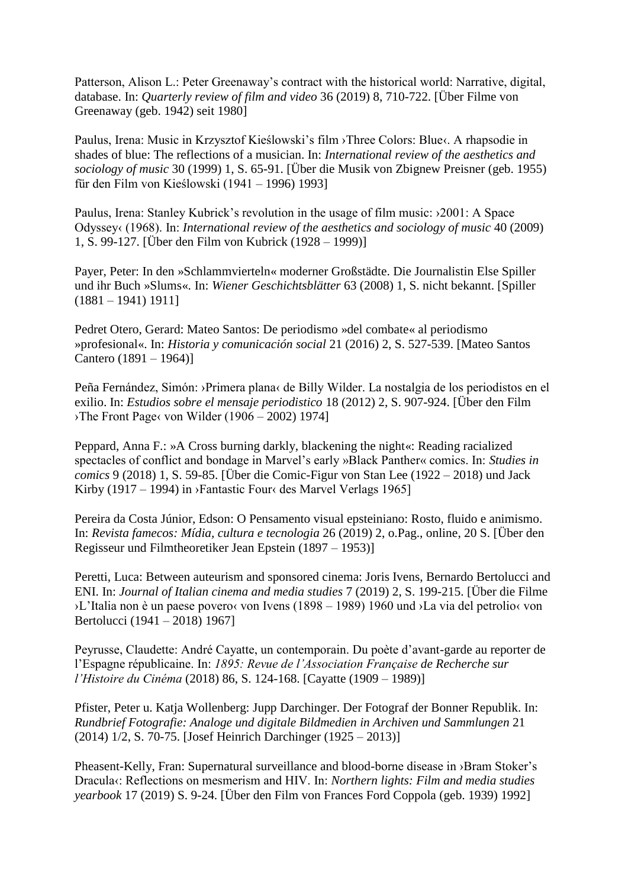Patterson, Alison L.: Peter Greenaway's contract with the historical world: Narrative, digital, database. In: *Quarterly review of film and video* 36 (2019) 8, 710-722. [Über Filme von Greenaway (geb. 1942) seit 1980]

Paulus, Irena: Music in Krzysztof Kieślowski's film ›Three Colors: Blue‹. A rhapsodie in shades of blue: The reflections of a musician. In: *International review of the aesthetics and sociology of music* 30 (1999) 1, S. 65-91. [Über die Musik von Zbignew Preisner (geb. 1955) für den Film von Kieślowski (1941 – 1996) 1993]

Paulus, Irena: Stanley Kubrick's revolution in the usage of film music: ›2001: A Space Odyssey‹ (1968). In: *International review of the aesthetics and sociology of music* 40 (2009) 1, S. 99-127. [Über den Film von Kubrick (1928 – 1999)]

Payer, Peter: In den »Schlammvierteln« moderner Großstädte. Die Journalistin Else Spiller und ihr Buch »Slums«. In: *Wiener Geschichtsblätter* 63 (2008) 1, S. nicht bekannt. [Spiller (1881 – 1941) 1911]

Pedret Otero, Gerard: Mateo Santos: De periodismo »del combate« al periodismo »profesional«. In: *Historia y comunicación social* 21 (2016) 2, S. 527-539. [Mateo Santos Cantero (1891 – 1964)]

Peña Fernández, Simón: ›Primera plana‹ de Billy Wilder. La nostalgia de los periodistos en el exilio. In: *Estudios sobre el mensaje periodistico* 18 (2012) 2, S. 907-924. [Über den Film The Front Page، von Wilder (1906 – 2002) 1974]

Peppard, Anna F.: »A Cross burning darkly, blackening the night«: Reading racialized spectacles of conflict and bondage in Marvel's early »Black Panther« comics. In: *Studies in comics* 9 (2018) 1, S. 59-85. [Über die Comic-Figur von Stan Lee (1922 – 2018) und Jack Kirby (1917 – 1994) in ›Fantastic Four‹ des Marvel Verlags 1965]

Pereira da Costa Júnior, Edson: O Pensamento visual epsteiniano: Rosto, fluido e animismo. In: *Revista famecos: Mídia, cultura e tecnologia* 26 (2019) 2, o.Pag., online, 20 S. [Über den Regisseur und Filmtheoretiker Jean Epstein (1897 – 1953)]

Peretti, Luca: Between auteurism and sponsored cinema: Joris Ivens, Bernardo Bertolucci and ENI. In: *Journal of Italian cinema and media studies* 7 (2019) 2, S. 199-215. [Über die Filme ›L'Italia non è un paese povero‹ von Ivens (1898 – 1989) 1960 und ›La via del petrolio‹ von Bertolucci (1941 – 2018) 1967]

Peyrusse, Claudette: André Cayatte, un contemporain. Du poète d'avant-garde au reporter de l'Espagne républicaine. In: *1895: Revue de l'Association Française de Recherche sur l'Histoire du Cinéma* (2018) 86, S. 124-168. [Cayatte (1909 – 1989)]

Pfister, Peter u. Katja Wollenberg: Jupp Darchinger. Der Fotograf der Bonner Republik. In: *Rundbrief Fotografie: Analoge und digitale Bildmedien in Archiven und Sammlungen* 21 (2014) 1/2, S. 70-75. [Josef Heinrich Darchinger (1925 – 2013)]

Pheasent-Kelly, Fran: Supernatural surveillance and blood-borne disease in ›Bram Stoker's Dracula‹: Reflections on mesmerism and HIV. In: *Northern lights: Film and media studies yearbook* 17 (2019) S. 9-24. [Über den Film von Frances Ford Coppola (geb. 1939) 1992]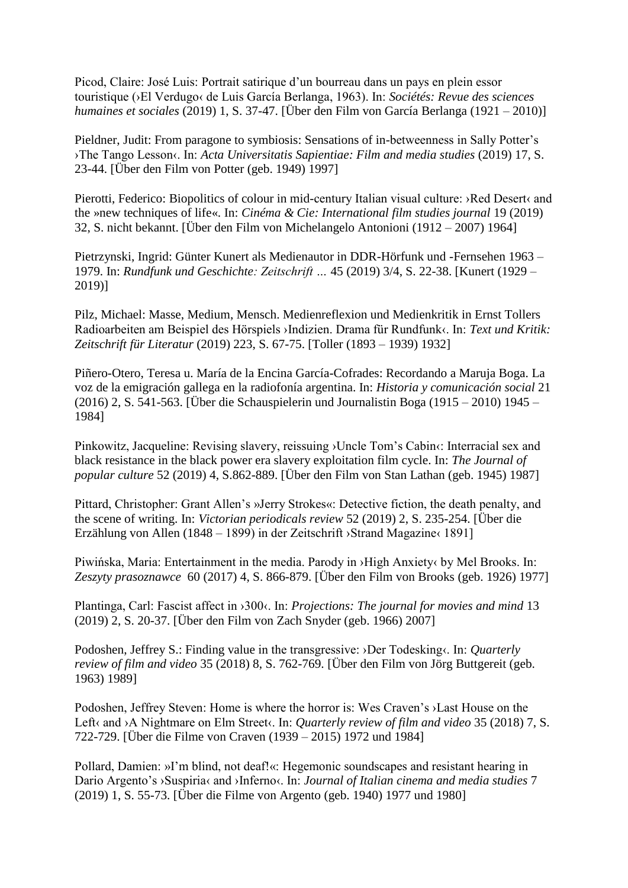Picod, Claire: José Luis: Portrait satirique d'un bourreau dans un pays en plein essor touristique (›El Verdugo‹ de Luis García Berlanga, 1963). In: *Sociétés: Revue des sciences humaines et sociales* (2019) 1, S. 37-47. [Über den Film von García Berlanga (1921 – 2010)]

Pieldner, Judit: From paragone to symbiosis: Sensations of in-betweenness in Sally Potter's ›The Tango Lesson‹. In: *Acta Universitatis Sapientiae: Film and media studies* (2019) 17, S. 23-44. [Über den Film von Potter (geb. 1949) 1997]

Pierotti, Federico: Biopolitics of colour in mid-century Italian visual culture: >Red Desert‹ and the »new techniques of life«. In: *Cinéma & Cie: International film studies journal* 19 (2019) 32, S. nicht bekannt. [Über den Film von Michelangelo Antonioni (1912 – 2007) 1964]

Pietrzynski, Ingrid: Günter Kunert als Medienautor in DDR-Hörfunk und -Fernsehen 1963 – 1979. In: *Rundfunk und Geschichte: Zeitschrift …* 45 (2019) 3/4, S. 22-38. [Kunert (1929 – 2019)]

Pilz, Michael: Masse, Medium, Mensch. Medienreflexion und Medienkritik in Ernst Tollers Radioarbeiten am Beispiel des Hörspiels ›Indizien. Drama für Rundfunk‹. In: *Text und Kritik: Zeitschrift für Literatur* (2019) 223, S. 67-75. [Toller (1893 – 1939) 1932]

Piñero-Otero, Teresa u. María de la Encina García-Cofrades: Recordando a Maruja Boga. La voz de la emigración gallega en la radiofonía argentina. In: *Historia y comunicación social* 21 (2016) 2, S. 541-563. [Über die Schauspielerin und Journalistin Boga (1915 – 2010) 1945 – 1984]

Pinkowitz, Jacqueline: Revising slavery, reissuing >Uncle Tom's Cabin<: Interracial sex and black resistance in the black power era slavery exploitation film cycle. In: *The Journal of popular culture* 52 (2019) 4, S.862-889. [Über den Film von Stan Lathan (geb. 1945) 1987]

Pittard, Christopher: Grant Allen's »Jerry Strokes«: Detective fiction, the death penalty, and the scene of writing. In: *Victorian periodicals review* 52 (2019) 2, S. 235-254. [Über die Erzählung von Allen (1848 – 1899) in der Zeitschrift ›Strand Magazine‹ 1891]

Piwińska, Maria: Entertainment in the media. Parody in ›High Anxiety‹ by Mel Brooks. In: *Zeszyty prasoznawce* 60 (2017) 4, S. 866-879. [Über den Film von Brooks (geb. 1926) 1977]

Plantinga, Carl: Fascist affect in ›300‹. In: *Projections: The journal for movies and mind* 13 (2019) 2, S. 20-37. [Über den Film von Zach Snyder (geb. 1966) 2007]

Podoshen, Jeffrey S.: Finding value in the transgressive: >Der Todesking<. In: *Quarterly review of film and video* 35 (2018) 8, S. 762-769. [Über den Film von Jörg Buttgereit (geb. 1963) 1989]

Podoshen, Jeffrey Steven: Home is where the horror is: Wes Craven's ›Last House on the Left‹ and ›A Nightmare on Elm Street‹. In: *Quarterly review of film and video* 35 (2018) 7, S. 722-729. [Über die Filme von Craven (1939 – 2015) 1972 und 1984]

Pollard, Damien: »I'm blind, not deaf!«: Hegemonic soundscapes and resistant hearing in Dario Argento's >Suspiria< and >Inferno<. In: *Journal of Italian cinema and media studies* 7 (2019) 1, S. 55-73. [Über die Filme von Argento (geb. 1940) 1977 und 1980]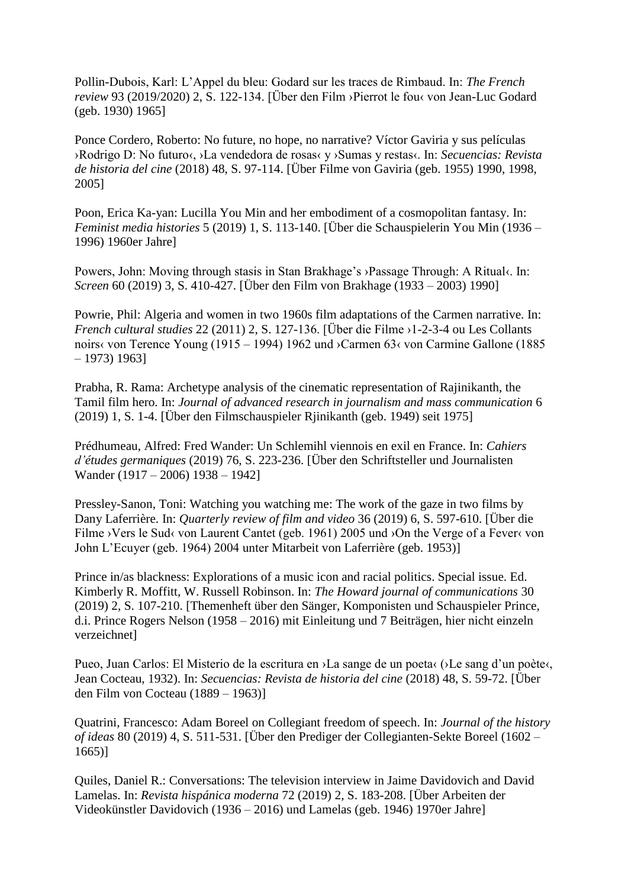Pollin-Dubois, Karl: L'Appel du bleu: Godard sur les traces de Rimbaud. In: *The French review* 93 (2019/2020) 2, S. 122-134. [Über den Film ›Pierrot le fou‹ von Jean-Luc Godard (geb. 1930) 1965]

Ponce Cordero, Roberto: No future, no hope, no narrative? Víctor Gaviria y sus películas ›Rodrigo D: No futuro‹, ›La vendedora de rosas‹ y ›Sumas y restas‹. In: *Secuencias: Revista de historia del cine* (2018) 48, S. 97-114. [Über Filme von Gaviria (geb. 1955) 1990, 1998, 2005]

Poon, Erica Ka-yan: Lucilla You Min and her embodiment of a cosmopolitan fantasy. In: *Feminist media histories* 5 (2019) 1, S. 113-140. [Über die Schauspielerin You Min (1936 – 1996) 1960er Jahre]

Powers, John: Moving through stasis in Stan Brakhage's ›Passage Through: A Ritual‹. In: *Screen* 60 (2019) 3, S. 410-427. [Über den Film von Brakhage (1933 – 2003) 1990]

Powrie, Phil: Algeria and women in two 1960s film adaptations of the Carmen narrative. In: *French cultural studies* 22 (2011) 2, S. 127-136. [Über die Filme ›1-2-3-4 ou Les Collants noirs‹ von Terence Young (1915 – 1994) 1962 und ›Carmen 63‹ von Carmine Gallone (1885 – 1973) 1963]

Prabha, R. Rama: Archetype analysis of the cinematic representation of Rajinikanth, the Tamil film hero. In: *Journal of advanced research in journalism and mass communication* 6 (2019) 1, S. 1-4. [Über den Filmschauspieler Rjinikanth (geb. 1949) seit 1975]

Prédhumeau, Alfred: Fred Wander: Un Schlemihl viennois en exil en France. In: *Cahiers d'études germaniques* (2019) 76, S. 223-236. [Über den Schriftsteller und Journalisten Wander (1917 – 2006) 1938 – 1942]

Pressley-Sanon, Toni: Watching you watching me: The work of the gaze in two films by Dany Laferrière. In: *Quarterly review of film and video* 36 (2019) 6, S. 597-610. [Über die Filme ›Vers le Sud‹ von Laurent Cantet (geb. 1961) 2005 und ›On the Verge of a Fever‹ von John L'Ecuyer (geb. 1964) 2004 unter Mitarbeit von Laferrière (geb. 1953)]

Prince in/as blackness: Explorations of a music icon and racial politics. Special issue. Ed. Kimberly R. Moffitt, W. Russell Robinson. In: *The Howard journal of communications* 30 (2019) 2, S. 107-210. [Themenheft über den Sänger, Komponisten und Schauspieler Prince, d.i. Prince Rogers Nelson (1958 – 2016) mit Einleitung und 7 Beiträgen, hier nicht einzeln verzeichnet]

Pueo, Juan Carlos: El Misterio de la escritura en ›La sange de un poeta‹ (›Le sang d'un poète‹, Jean Cocteau, 1932). In: *Secuencias: Revista de historia del cine* (2018) 48, S. 59-72. [Über den Film von Cocteau (1889 – 1963)]

Quatrini, Francesco: Adam Boreel on Collegiant freedom of speech. In: *Journal of the history of ideas* 80 (2019) 4, S. 511-531. [Über den Prediger der Collegianten-Sekte Boreel (1602 – 1665)]

Quiles, Daniel R.: Conversations: The television interview in Jaime Davidovich and David Lamelas. In: *Revista hispánica moderna* 72 (2019) 2, S. 183-208. [Über Arbeiten der Videokünstler Davidovich (1936 – 2016) und Lamelas (geb. 1946) 1970er Jahre]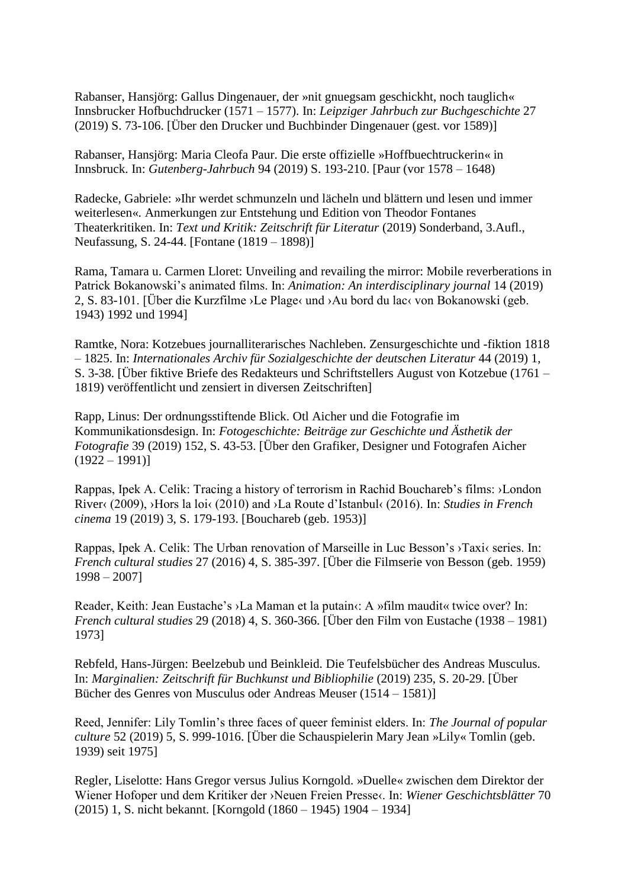Rabanser, Hansjörg: Gallus Dingenauer, der »nit gnuegsam geschickht, noch tauglich« Innsbrucker Hofbuchdrucker (1571 – 1577). In: *Leipziger Jahrbuch zur Buchgeschichte* 27 (2019) S. 73-106. [Über den Drucker und Buchbinder Dingenauer (gest. vor 1589)]

Rabanser, Hansjörg: Maria Cleofa Paur. Die erste offizielle »Hoffbuechtruckerin« in Innsbruck. In: *Gutenberg-Jahrbuch* 94 (2019) S. 193-210. [Paur (vor 1578 – 1648)

Radecke, Gabriele: »Ihr werdet schmunzeln und lächeln und blättern und lesen und immer weiterlesen«. Anmerkungen zur Entstehung und Edition von Theodor Fontanes Theaterkritiken. In: *Text und Kritik: Zeitschrift für Literatur* (2019) Sonderband, 3.Aufl., Neufassung, S. 24-44. [Fontane (1819 – 1898)]

Rama, Tamara u. Carmen Lloret: Unveiling and revailing the mirror: Mobile reverberations in Patrick Bokanowski's animated films. In: *Animation: An interdisciplinary journal* 14 (2019) 2, S. 83-101. [Über die Kurzfilme ›Le Plage‹ und ›Au bord du lac‹ von Bokanowski (geb. 1943) 1992 und 1994]

Ramtke, Nora: Kotzebues journalliterarisches Nachleben. Zensurgeschichte und -fiktion 1818 – 1825. In: *Internationales Archiv für Sozialgeschichte der deutschen Literatur* 44 (2019) 1, S. 3-38. [Über fiktive Briefe des Redakteurs und Schriftstellers August von Kotzebue (1761 – 1819) veröffentlicht und zensiert in diversen Zeitschriften]

Rapp, Linus: Der ordnungsstiftende Blick. Otl Aicher und die Fotografie im Kommunikationsdesign. In: *Fotogeschichte: Beiträge zur Geschichte und Ästhetik der Fotografie* 39 (2019) 152, S. 43-53. [Über den Grafiker, Designer und Fotografen Aicher  $(1922 - 1991)$ 

Rappas, Ipek A. Celik: Tracing a history of terrorism in Rachid Bouchareb's films: ›London River‹ (2009), ›Hors la loi‹ (2010) and ›La Route d'Istanbul‹ (2016). In: *Studies in French cinema* 19 (2019) 3, S. 179-193. [Bouchareb (geb. 1953)]

Rappas, Ipek A. Celik: The Urban renovation of Marseille in Luc Besson's ›Taxi‹ series. In: *French cultural studies* 27 (2016) 4, S. 385-397. [Über die Filmserie von Besson (geb. 1959) 1998 – 2007]

Reader, Keith: Jean Eustache's >La Maman et la putain $\cdot$ : A »film maudit« twice over? In: *French cultural studies* 29 (2018) 4, S. 360-366. [Über den Film von Eustache (1938 – 1981) 1973]

Rebfeld, Hans-Jürgen: Beelzebub und Beinkleid. Die Teufelsbücher des Andreas Musculus. In: *Marginalien: Zeitschrift für Buchkunst und Bibliophilie* (2019) 235, S. 20-29. [Über Bücher des Genres von Musculus oder Andreas Meuser (1514 – 1581)]

Reed, Jennifer: Lily Tomlin's three faces of queer feminist elders. In: *The Journal of popular culture* 52 (2019) 5, S. 999-1016. [Über die Schauspielerin Mary Jean »Lily« Tomlin (geb. 1939) seit 1975]

Regler, Liselotte: Hans Gregor versus Julius Korngold. »Duelle« zwischen dem Direktor der Wiener Hofoper und dem Kritiker der ›Neuen Freien Presse‹. In: *Wiener Geschichtsblätter* 70 (2015) 1, S. nicht bekannt. [Korngold (1860 – 1945) 1904 – 1934]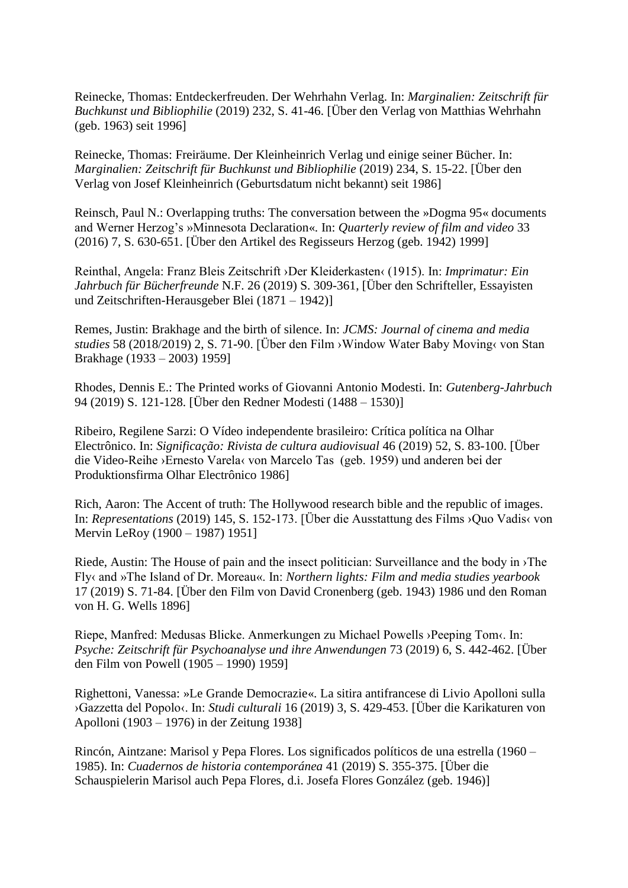Reinecke, Thomas: Entdeckerfreuden. Der Wehrhahn Verlag. In: *Marginalien: Zeitschrift für Buchkunst und Bibliophilie* (2019) 232, S. 41-46. [Über den Verlag von Matthias Wehrhahn (geb. 1963) seit 1996]

Reinecke, Thomas: Freiräume. Der Kleinheinrich Verlag und einige seiner Bücher. In: *Marginalien: Zeitschrift für Buchkunst und Bibliophilie* (2019) 234, S. 15-22. [Über den Verlag von Josef Kleinheinrich (Geburtsdatum nicht bekannt) seit 1986]

Reinsch, Paul N.: Overlapping truths: The conversation between the »Dogma 95« documents and Werner Herzog's »Minnesota Declaration«. In: *Quarterly review of film and video* 33 (2016) 7, S. 630-651. [Über den Artikel des Regisseurs Herzog (geb. 1942) 1999]

Reinthal, Angela: Franz Bleis Zeitschrift ›Der Kleiderkasten‹ (1915). In: *Imprimatur: Ein Jahrbuch für Bücherfreunde* N.F. 26 (2019) S. 309-361, [Über den Schrifteller, Essayisten und Zeitschriften-Herausgeber Blei (1871 – 1942)]

Remes, Justin: Brakhage and the birth of silence. In: *JCMS: Journal of cinema and media studies* 58 (2018/2019) 2, S. 71-90. [Über den Film ›Window Water Baby Moving‹ von Stan Brakhage (1933 – 2003) 1959]

Rhodes, Dennis E.: The Printed works of Giovanni Antonio Modesti. In: *Gutenberg-Jahrbuch* 94 (2019) S. 121-128. [Über den Redner Modesti (1488 – 1530)]

Ribeiro, Regilene Sarzi: O Vídeo independente brasileiro: Crítica política na Olhar Electrônico. In: *Significação: Rivista de cultura audiovisual* 46 (2019) 52, S. 83-100. [Über die Video-Reihe ›Ernesto Varela‹ von Marcelo Tas (geb. 1959) und anderen bei der Produktionsfirma Olhar Electrônico 1986]

Rich, Aaron: The Accent of truth: The Hollywood research bible and the republic of images. In: *Representations* (2019) 145, S. 152-173. [Über die Ausstattung des Films ›Quo Vadis‹ von Mervin LeRoy (1900 – 1987) 1951]

Riede, Austin: The House of pain and the insect politician: Surveillance and the body in ›The Fly‹ and »The Island of Dr. Moreau«. In: *Northern lights: Film and media studies yearbook* 17 (2019) S. 71-84. [Über den Film von David Cronenberg (geb. 1943) 1986 und den Roman von H. G. Wells 1896]

Riepe, Manfred: Medusas Blicke. Anmerkungen zu Michael Powells > Peeping Tom<. In: *Psyche: Zeitschrift für Psychoanalyse und ihre Anwendungen* 73 (2019) 6, S. 442-462. [Über den Film von Powell (1905 – 1990) 1959]

Righettoni, Vanessa: »Le Grande Democrazie«. La sitira antifrancese di Livio Apolloni sulla ›Gazzetta del Popolo‹. In: *Studi culturali* 16 (2019) 3, S. 429-453. [Über die Karikaturen von Apolloni (1903 – 1976) in der Zeitung 1938]

Rincón, Aintzane: Marisol y Pepa Flores. Los significados políticos de una estrella (1960 – 1985). In: *Cuadernos de historia contemporánea* 41 (2019) S. 355-375. [Über die Schauspielerin Marisol auch Pepa Flores, d.i. Josefa Flores González (geb. 1946)]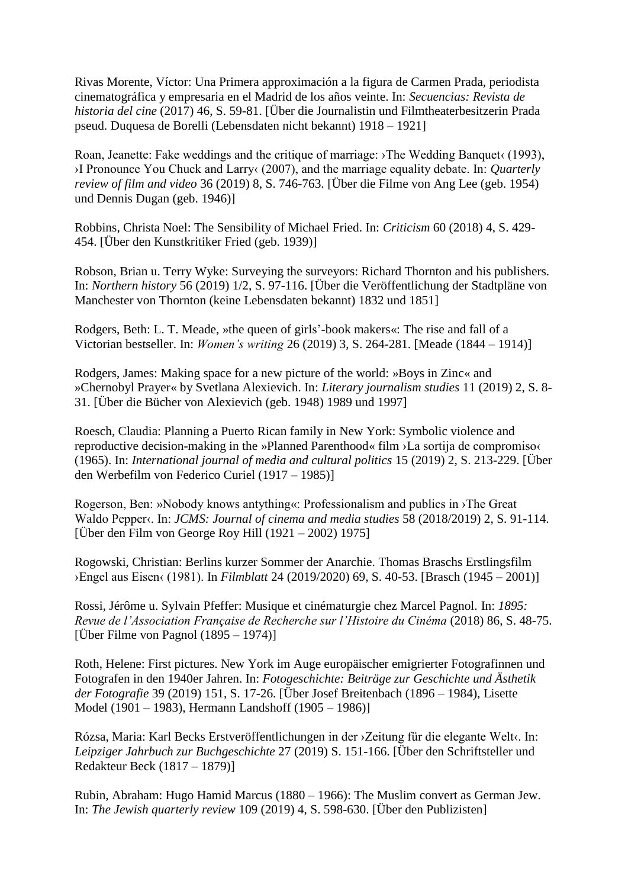Rivas Morente, Víctor: Una Primera approximación a la figura de Carmen Prada, periodista cinematográfica y empresaria en el Madrid de los años veinte. In: *Secuencias: Revista de historia del cine* (2017) 46, S. 59-81. [Über die Journalistin und Filmtheaterbesitzerin Prada pseud. Duquesa de Borelli (Lebensdaten nicht bekannt) 1918 – 1921]

Roan, Jeanette: Fake weddings and the critique of marriage:  $\theta$ The Wedding Banquet $\theta$  (1993), ›I Pronounce You Chuck and Larry‹ (2007), and the marriage equality debate. In: *Quarterly review of film and video* 36 (2019) 8, S. 746-763. [Über die Filme von Ang Lee (geb. 1954) und Dennis Dugan (geb. 1946)]

Robbins, Christa Noel: The Sensibility of Michael Fried. In: *Criticism* 60 (2018) 4, S. 429- 454. [Über den Kunstkritiker Fried (geb. 1939)]

Robson, Brian u. Terry Wyke: Surveying the surveyors: Richard Thornton and his publishers. In: *Northern history* 56 (2019) 1/2, S. 97-116. [Über die Veröffentlichung der Stadtpläne von Manchester von Thornton (keine Lebensdaten bekannt) 1832 und 1851]

Rodgers, Beth: L. T. Meade, »the queen of girls'-book makers«: The rise and fall of a Victorian bestseller. In: *Women's writing* 26 (2019) 3, S. 264-281. [Meade (1844 – 1914)]

Rodgers, James: Making space for a new picture of the world: »Boys in Zinc« and »Chernobyl Prayer« by Svetlana Alexievich. In: *Literary journalism studies* 11 (2019) 2, S. 8- 31. [Über die Bücher von Alexievich (geb. 1948) 1989 und 1997]

Roesch, Claudia: Planning a Puerto Rican family in New York: Symbolic violence and reproductive decision-making in the »Planned Parenthood« film ›La sortija de compromiso‹ (1965). In: *International journal of media and cultural politics* 15 (2019) 2, S. 213-229. [Über den Werbefilm von Federico Curiel (1917 – 1985)]

Rogerson, Ben: »Nobody knows antything«: Professionalism and publics in ›The Great Waldo Pepper‹. In: *JCMS: Journal of cinema and media studies* 58 (2018/2019) 2, S. 91-114. [Über den Film von George Roy Hill (1921 – 2002) 1975]

Rogowski, Christian: Berlins kurzer Sommer der Anarchie. Thomas Braschs Erstlingsfilm ›Engel aus Eisen‹ (1981). In *Filmblatt* 24 (2019/2020) 69, S. 40-53. [Brasch (1945 – 2001)]

Rossi, Jérôme u. Sylvain Pfeffer: Musique et cinématurgie chez Marcel Pagnol. In: *1895: Revue de l'Association Française de Recherche sur l'Histoire du Cinéma* (2018) 86, S. 48-75. [Über Filme von Pagnol  $(1895 - 1974)$ ]

Roth, Helene: First pictures. New York im Auge europäischer emigrierter Fotografinnen und Fotografen in den 1940er Jahren. In: *Fotogeschichte: Beiträge zur Geschichte und Ästhetik der Fotografie* 39 (2019) 151, S. 17-26. [Über Josef Breitenbach (1896 – 1984), Lisette Model (1901 – 1983), Hermann Landshoff (1905 – 1986)]

Rózsa, Maria: Karl Becks Erstveröffentlichungen in der ›Zeitung für die elegante Welt‹. In: *Leipziger Jahrbuch zur Buchgeschichte* 27 (2019) S. 151-166. [Über den Schriftsteller und Redakteur Beck (1817 – 1879)]

Rubin, Abraham: Hugo Hamid Marcus (1880 – 1966): The Muslim convert as German Jew. In: *The Jewish quarterly review* 109 (2019) 4, S. 598-630. [Über den Publizisten]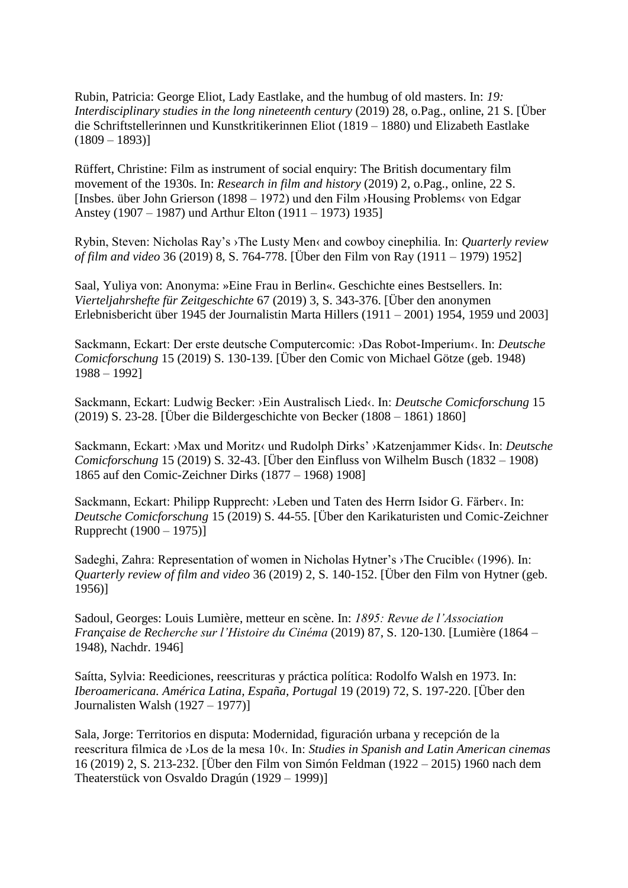Rubin, Patricia: George Eliot, Lady Eastlake, and the humbug of old masters. In: *19: Interdisciplinary studies in the long nineteenth century* (2019) 28, o.Pag., online, 21 S. [Über die Schriftstellerinnen und Kunstkritikerinnen Eliot (1819 – 1880) und Elizabeth Eastlake  $(1809 - 1893)$ 

Rüffert, Christine: Film as instrument of social enquiry: The British documentary film movement of the 1930s. In: *Research in film and history* (2019) 2, o.Pag., online, 22 S. [Insbes. über John Grierson (1898 – 1972) und den Film ›Housing Problems‹ von Edgar Anstey (1907 – 1987) und Arthur Elton (1911 – 1973) 1935]

Rybin, Steven: Nicholas Ray's ›The Lusty Men‹ and cowboy cinephilia. In: *Quarterly review of film and video* 36 (2019) 8, S. 764-778. [Über den Film von Ray (1911 – 1979) 1952]

Saal, Yuliya von: Anonyma: »Eine Frau in Berlin«. Geschichte eines Bestsellers. In: *Vierteljahrshefte für Zeitgeschichte* 67 (2019) 3, S. 343-376. [Über den anonymen Erlebnisbericht über 1945 der Journalistin Marta Hillers (1911 – 2001) 1954, 1959 und 2003]

Sackmann, Eckart: Der erste deutsche Computercomic: ›Das Robot-Imperium‹. In: *Deutsche Comicforschung* 15 (2019) S. 130-139. [Über den Comic von Michael Götze (geb. 1948) 1988 – 1992]

Sackmann, Eckart: Ludwig Becker: ›Ein Australisch Lied‹. In: *Deutsche Comicforschung* 15 (2019) S. 23-28. [Über die Bildergeschichte von Becker (1808 – 1861) 1860]

Sackmann, Eckart: ›Max und Moritz‹ und Rudolph Dirks' ›Katzenjammer Kids‹. In: *Deutsche Comicforschung* 15 (2019) S. 32-43. [Über den Einfluss von Wilhelm Busch (1832 – 1908) 1865 auf den Comic-Zeichner Dirks (1877 – 1968) 1908]

Sackmann, Eckart: Philipp Rupprecht: ›Leben und Taten des Herrn Isidor G. Färber‹. In: *Deutsche Comicforschung* 15 (2019) S. 44-55. [Über den Karikaturisten und Comic-Zeichner Rupprecht (1900 – 1975)]

Sadeghi, Zahra: Representation of women in Nicholas Hytner's ›The Crucible‹ (1996). In: *Quarterly review of film and video* 36 (2019) 2, S. 140-152. [Über den Film von Hytner (geb. 1956)]

Sadoul, Georges: Louis Lumière, metteur en scène. In: *1895: Revue de l'Association Française de Recherche sur l'Histoire du Cinéma* (2019) 87, S. 120-130. [Lumière (1864 – 1948), Nachdr. 1946]

Saítta, Sylvia: Reediciones, reescrituras y práctica política: Rodolfo Walsh en 1973. In: *Iberoamericana. América Latina, España, Portugal* 19 (2019) 72, S. 197-220. [Über den Journalisten Walsh (1927 – 1977)]

Sala, Jorge: Territorios en disputa: Modernidad, figuración urbana y recepción de la reescritura filmica de ›Los de la mesa 10‹. In: *Studies in Spanish and Latin American cinemas* 16 (2019) 2, S. 213-232. [Über den Film von Simón Feldman (1922 – 2015) 1960 nach dem Theaterstück von Osvaldo Dragún (1929 – 1999)]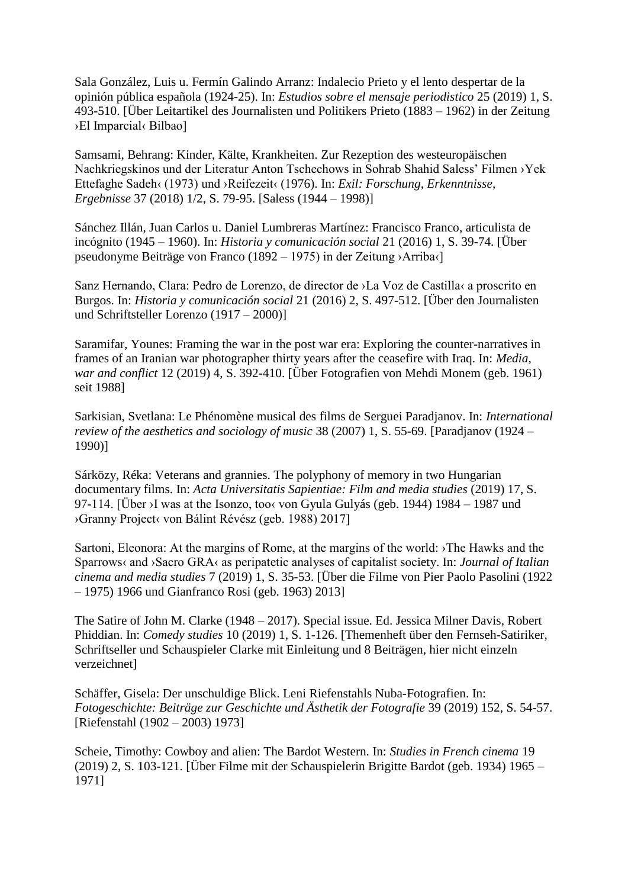Sala González, Luis u. Fermín Galindo Arranz: Indalecio Prieto y el lento despertar de la opinión pública española (1924-25). In: *Estudios sobre el mensaje periodistico* 25 (2019) 1, S. 493-510. [Über Leitartikel des Journalisten und Politikers Prieto (1883 – 1962) in der Zeitung ›El Imparcial‹ Bilbao]

Samsami, Behrang: Kinder, Kälte, Krankheiten. Zur Rezeption des westeuropäischen Nachkriegskinos und der Literatur Anton Tschechows in Sohrab Shahid Saless' Filmen ›Yek Ettefaghe Sadeh‹ (1973) und ›Reifezeit‹ (1976). In: *Exil: Forschung, Erkenntnisse, Ergebnisse* 37 (2018) 1/2, S. 79-95. [Saless (1944 – 1998)]

Sánchez Illán, Juan Carlos u. Daniel Lumbreras Martínez: Francisco Franco, articulista de incógnito (1945 – 1960). In: *Historia y comunicación social* 21 (2016) 1, S. 39-74. [Über pseudonyme Beiträge von Franco (1892 – 1975) in der Zeitung ›Arriba‹]

Sanz Hernando, Clara: Pedro de Lorenzo, de director de ›La Voz de Castilla‹ a proscrito en Burgos. In: *Historia y comunicación social* 21 (2016) 2, S. 497-512. [Über den Journalisten und Schriftsteller Lorenzo (1917 – 2000)]

Saramifar, Younes: Framing the war in the post war era: Exploring the counter-narratives in frames of an Iranian war photographer thirty years after the ceasefire with Iraq. In: *Media, war and conflict* 12 (2019) 4, S. 392-410. [Über Fotografien von Mehdi Monem (geb. 1961) seit 1988]

Sarkisian, Svetlana: Le Phénomène musical des films de Serguei Paradjanov. In: *International review of the aesthetics and sociology of music* 38 (2007) 1, S. 55-69. [Paradjanov (1924 – 1990)]

Sárközy, Réka: Veterans and grannies. The polyphony of memory in two Hungarian documentary films. In: *Acta Universitatis Sapientiae: Film and media studies* (2019) 17, S. 97-114. [Über >I was at the Isonzo, too< von Gyula Gulyás (geb. 1944) 1984 – 1987 und ›Granny Project‹ von Bálint Révész (geb. 1988) 2017]

Sartoni, Eleonora: At the margins of Rome, at the margins of the world: ›The Hawks and the Sparrows‹ and ›Sacro GRA‹ as peripatetic analyses of capitalist society. In: *Journal of Italian cinema and media studies* 7 (2019) 1, S. 35-53. [Über die Filme von Pier Paolo Pasolini (1922 – 1975) 1966 und Gianfranco Rosi (geb. 1963) 2013]

The Satire of John M. Clarke (1948 – 2017). Special issue. Ed. Jessica Milner Davis, Robert Phiddian. In: *Comedy studies* 10 (2019) 1, S. 1-126. [Themenheft über den Fernseh-Satiriker, Schriftseller und Schauspieler Clarke mit Einleitung und 8 Beiträgen, hier nicht einzeln verzeichnet]

Schäffer, Gisela: Der unschuldige Blick. Leni Riefenstahls Nuba-Fotografien. In: *Fotogeschichte: Beiträge zur Geschichte und Ästhetik der Fotografie* 39 (2019) 152, S. 54-57. [Riefenstahl (1902 – 2003) 1973]

Scheie, Timothy: Cowboy and alien: The Bardot Western. In: *Studies in French cinema* 19 (2019) 2, S. 103-121. [Über Filme mit der Schauspielerin Brigitte Bardot (geb. 1934) 1965 – 1971]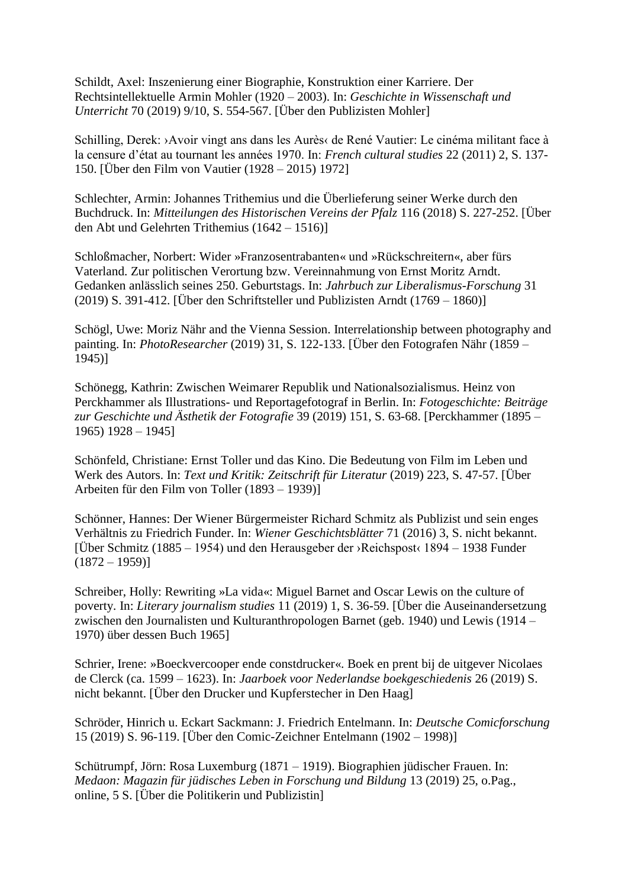Schildt, Axel: Inszenierung einer Biographie, Konstruktion einer Karriere. Der Rechtsintellektuelle Armin Mohler (1920 – 2003). In: *Geschichte in Wissenschaft und Unterricht* 70 (2019) 9/10, S. 554-567. [Über den Publizisten Mohler]

Schilling, Derek: >Avoir vingt ans dans les Aurès< de René Vautier: Le cinéma militant face à la censure d'état au tournant les années 1970. In: *French cultural studies* 22 (2011) 2, S. 137- 150. [Über den Film von Vautier (1928 – 2015) 1972]

Schlechter, Armin: Johannes Trithemius und die Überlieferung seiner Werke durch den Buchdruck. In: *Mitteilungen des Historischen Vereins der Pfalz* 116 (2018) S. 227-252. [Über den Abt und Gelehrten Trithemius (1642 – 1516)]

Schloßmacher, Norbert: Wider »Franzosentrabanten« und »Rückschreitern«, aber fürs Vaterland. Zur politischen Verortung bzw. Vereinnahmung von Ernst Moritz Arndt. Gedanken anlässlich seines 250. Geburtstags. In: *Jahrbuch zur Liberalismus-Forschung* 31 (2019) S. 391-412. [Über den Schriftsteller und Publizisten Arndt (1769 – 1860)]

Schögl, Uwe: Moriz Nähr and the Vienna Session. Interrelationship between photography and painting. In: *PhotoResearcher* (2019) 31, S. 122-133. [Über den Fotografen Nähr (1859 – 1945)]

Schönegg, Kathrin: Zwischen Weimarer Republik und Nationalsozialismus. Heinz von Perckhammer als Illustrations- und Reportagefotograf in Berlin. In: *Fotogeschichte: Beiträge zur Geschichte und Ästhetik der Fotografie* 39 (2019) 151, S. 63-68. [Perckhammer (1895 – 1965) 1928 – 1945]

Schönfeld, Christiane: Ernst Toller und das Kino. Die Bedeutung von Film im Leben und Werk des Autors. In: *Text und Kritik: Zeitschrift für Literatur* (2019) 223, S. 47-57. [Über Arbeiten für den Film von Toller (1893 – 1939)]

Schönner, Hannes: Der Wiener Bürgermeister Richard Schmitz als Publizist und sein enges Verhältnis zu Friedrich Funder. In: *Wiener Geschichtsblätter* 71 (2016) 3, S. nicht bekannt. [Über Schmitz (1885 – 1954) und den Herausgeber der ›Reichspost‹ 1894 – 1938 Funder  $(1872 - 1959)$ 

Schreiber, Holly: Rewriting »La vida«: Miguel Barnet and Oscar Lewis on the culture of poverty. In: *Literary journalism studies* 11 (2019) 1, S. 36-59. [Über die Auseinandersetzung zwischen den Journalisten und Kulturanthropologen Barnet (geb. 1940) und Lewis (1914 – 1970) über dessen Buch 1965]

Schrier, Irene: »Boeckvercooper ende constdrucker«. Boek en prent bij de uitgever Nicolaes de Clerck (ca. 1599 – 1623). In: *Jaarboek voor Nederlandse boekgeschiedenis* 26 (2019) S. nicht bekannt. [Über den Drucker und Kupferstecher in Den Haag]

Schröder, Hinrich u. Eckart Sackmann: J. Friedrich Entelmann. In: *Deutsche Comicforschung* 15 (2019) S. 96-119. [Über den Comic-Zeichner Entelmann (1902 – 1998)]

Schütrumpf, Jörn: Rosa Luxemburg (1871 – 1919). Biographien jüdischer Frauen. In: *Medaon: Magazin für jüdisches Leben in Forschung und Bildung* 13 (2019) 25, o.Pag., online, 5 S. [Über die Politikerin und Publizistin]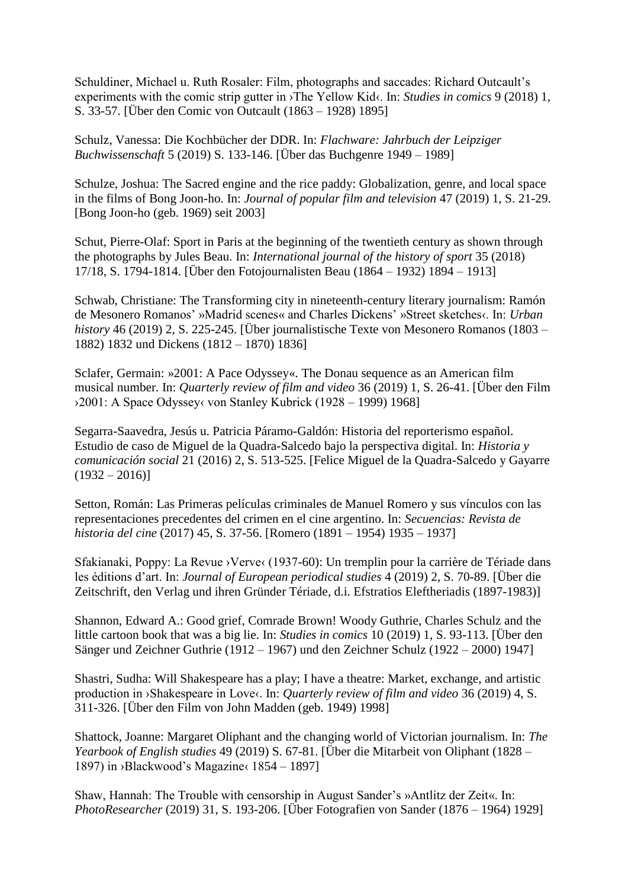Schuldiner, Michael u. Ruth Rosaler: Film, photographs and saccades: Richard Outcault's experiments with the comic strip gutter in ›The Yellow Kid‹. In: *Studies in comics* 9 (2018) 1, S. 33-57. [Über den Comic von Outcault (1863 – 1928) 1895]

Schulz, Vanessa: Die Kochbücher der DDR. In: *Flachware: Jahrbuch der Leipziger Buchwissenschaft* 5 (2019) S. 133-146. [Über das Buchgenre 1949 – 1989]

Schulze, Joshua: The Sacred engine and the rice paddy: Globalization, genre, and local space in the films of Bong Joon-ho. In: *Journal of popular film and television* 47 (2019) 1, S. 21-29. [Bong Joon-ho (geb. 1969) seit 2003]

Schut, Pierre-Olaf: Sport in Paris at the beginning of the twentieth century as shown through the photographs by Jules Beau. In: *International journal of the history of sport* 35 (2018) 17/18, S. 1794-1814. [Über den Fotojournalisten Beau (1864 – 1932) 1894 – 1913]

Schwab, Christiane: The Transforming city in nineteenth-century literary journalism: Ramón de Mesonero Romanos' »Madrid scenes« and Charles Dickens' »Street sketches‹. In: *Urban history* 46 (2019) 2, S. 225-245. [Über journalistische Texte von Mesonero Romanos (1803 – 1882) 1832 und Dickens (1812 – 1870) 1836]

Sclafer, Germain: »2001: A Pace Odyssey«. The Donau sequence as an American film musical number. In: *Quarterly review of film and video* 36 (2019) 1, S. 26-41. [Über den Film ›2001: A Space Odyssey‹ von Stanley Kubrick (1928 – 1999) 1968]

Segarra-Saavedra, Jesús u. Patricia Páramo-Galdón: Historia del reporterismo español. Estudio de caso de Miguel de la Quadra-Salcedo bajo la perspectiva digital. In: *Historia y comunicación social* 21 (2016) 2, S. 513-525. [Felice Miguel de la Quadra-Salcedo y Gayarre  $(1932 - 2016)$ 

Setton, Román: Las Primeras películas criminales de Manuel Romero y sus vínculos con las representaciones precedentes del crimen en el cine argentino. In: *Secuencias: Revista de historia del cine* (2017) 45, S. 37-56. [Romero (1891 – 1954) 1935 – 1937]

Sfakianaki, Poppy: La Revue > Verve (1937-60): Un tremplin pour la carrière de Tériade dans les éditions d'art. In: *Journal of European periodical studies* 4 (2019) 2, S. 70-89. [Über die Zeitschrift, den Verlag und ihren Gründer Tériade, d.i. Efstratios Eleftheriadis (1897-1983)]

Shannon, Edward A.: Good grief, Comrade Brown! Woody Guthrie, Charles Schulz and the little cartoon book that was a big lie. In: *Studies in comics* 10 (2019) 1, S. 93-113. [Über den Sänger und Zeichner Guthrie (1912 – 1967) und den Zeichner Schulz (1922 – 2000) 1947]

Shastri, Sudha: Will Shakespeare has a play; I have a theatre: Market, exchange, and artistic production in >Shakespeare in Love<. In: *Quarterly review of film and video* 36 (2019) 4, S. 311-326. [Über den Film von John Madden (geb. 1949) 1998]

Shattock, Joanne: Margaret Oliphant and the changing world of Victorian journalism. In: *The Yearbook of English studies* 49 (2019) S. 67-81. [Über die Mitarbeit von Oliphant (1828 – 1897) in ›Blackwood's Magazine‹ 1854 – 1897]

Shaw, Hannah: The Trouble with censorship in August Sander's »Antlitz der Zeit«. In: *PhotoResearcher* (2019) 31, S. 193-206. [Über Fotografien von Sander (1876 – 1964) 1929]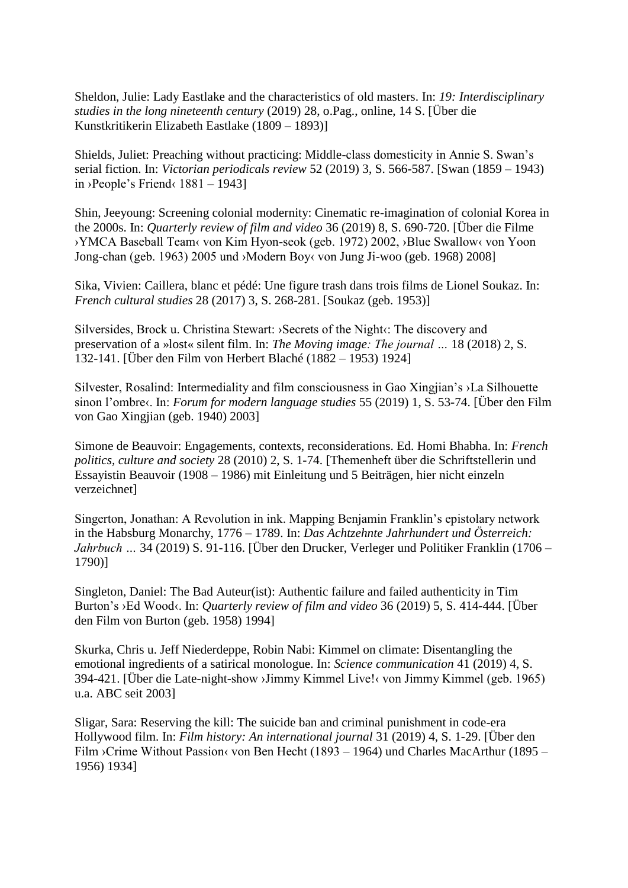Sheldon, Julie: Lady Eastlake and the characteristics of old masters. In: *19: Interdisciplinary studies in the long nineteenth century* (2019) 28, o.Pag., online, 14 S. [Über die Kunstkritikerin Elizabeth Eastlake (1809 – 1893)]

Shields, Juliet: Preaching without practicing: Middle-class domesticity in Annie S. Swan's serial fiction. In: *Victorian periodicals review* 52 (2019) 3, S. 566-587. [Swan (1859 – 1943) in ›People's Friend $\langle 1881 - 1943 \rangle$ 

Shin, Jeeyoung: Screening colonial modernity: Cinematic re-imagination of colonial Korea in the 2000s. In: *Quarterly review of film and video* 36 (2019) 8, S. 690-720. [Über die Filme ›YMCA Baseball Team‹ von Kim Hyon-seok (geb. 1972) 2002, ›Blue Swallow‹ von Yoon Jong-chan (geb. 1963) 2005 und ›Modern Boy‹ von Jung Ji-woo (geb. 1968) 2008]

Sika, Vivien: Caillera, blanc et pédé: Une figure trash dans trois films de Lionel Soukaz. In: *French cultural studies* 28 (2017) 3, S. 268-281. [Soukaz (geb. 1953)]

Silversides, Brock u. Christina Stewart: > Secrets of the Night <a>
t</a>
The discovery and preservation of a »lost« silent film. In: *The Moving image: The journal …* 18 (2018) 2, S. 132-141. [Über den Film von Herbert Blaché (1882 – 1953) 1924]

Silvester, Rosalind: Intermediality and film consciousness in Gao Xingjian's ›La Silhouette sinon l'ombre‹. In: *Forum for modern language studies* 55 (2019) 1, S. 53-74. [Über den Film von Gao Xingjian (geb. 1940) 2003]

Simone de Beauvoir: Engagements, contexts, reconsiderations. Ed. Homi Bhabha. In: *French politics, culture and society* 28 (2010) 2, S. 1-74. [Themenheft über die Schriftstellerin und Essayistin Beauvoir (1908 – 1986) mit Einleitung und 5 Beiträgen, hier nicht einzeln verzeichnet]

Singerton, Jonathan: A Revolution in ink. Mapping Benjamin Franklin's epistolary network in the Habsburg Monarchy, 1776 – 1789. In: *Das Achtzehnte Jahrhundert und Österreich: Jahrbuch …* 34 (2019) S. 91-116. [Über den Drucker, Verleger und Politiker Franklin (1706 – 1790)]

Singleton, Daniel: The Bad Auteur(ist): Authentic failure and failed authenticity in Tim Burton's ›Ed Wood‹. In: *Quarterly review of film and video* 36 (2019) 5, S. 414-444. [Über den Film von Burton (geb. 1958) 1994]

Skurka, Chris u. Jeff Niederdeppe, Robin Nabi: Kimmel on climate: Disentangling the emotional ingredients of a satirical monologue. In: *Science communication* 41 (2019) 4, S. 394-421. [Über die Late-night-show ›Jimmy Kimmel Live!‹ von Jimmy Kimmel (geb. 1965) u.a. ABC seit 2003]

Sligar, Sara: Reserving the kill: The suicide ban and criminal punishment in code-era Hollywood film. In: *Film history: An international journal* 31 (2019) 4, S. 1-29. [Über den Film ›Crime Without Passion‹ von Ben Hecht (1893 – 1964) und Charles MacArthur (1895 – 1956) 1934]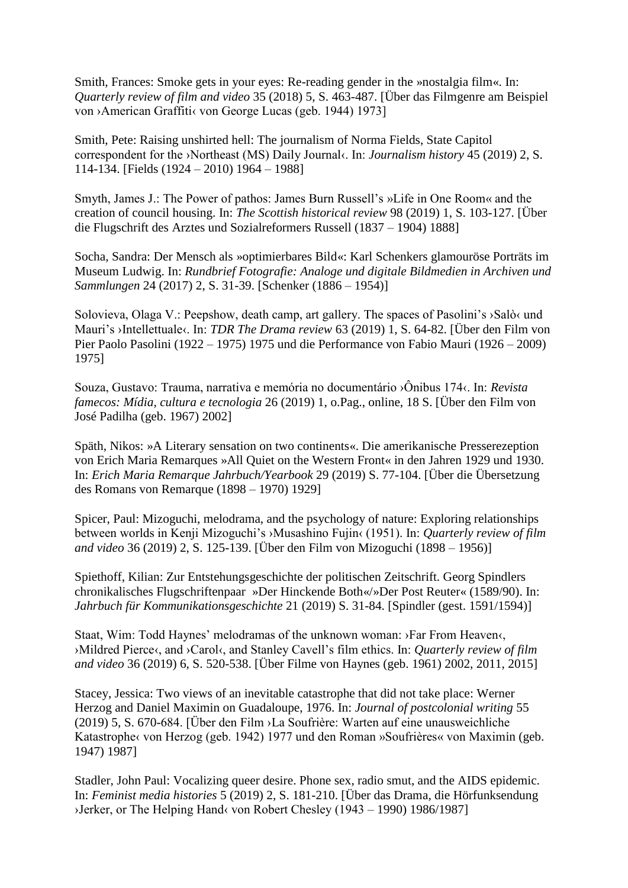Smith, Frances: Smoke gets in your eyes: Re-reading gender in the »nostalgia film«. In: *Quarterly review of film and video* 35 (2018) 5, S. 463-487. [Über das Filmgenre am Beispiel von ›American Graffiti‹ von George Lucas (geb. 1944) 1973]

Smith, Pete: Raising unshirted hell: The journalism of Norma Fields, State Capitol correspondent for the ›Northeast (MS) Daily Journal‹. In: *Journalism history* 45 (2019) 2, S. 114-134. [Fields (1924 – 2010) 1964 – 1988]

Smyth, James J.: The Power of pathos: James Burn Russell's »Life in One Room« and the creation of council housing. In: *The Scottish historical review* 98 (2019) 1, S. 103-127. [Über die Flugschrift des Arztes und Sozialreformers Russell (1837 – 1904) 1888]

Socha, Sandra: Der Mensch als »optimierbares Bild«: Karl Schenkers glamouröse Porträts im Museum Ludwig. In: *Rundbrief Fotografie: Analoge und digitale Bildmedien in Archiven und Sammlungen* 24 (2017) 2, S. 31-39. [Schenker (1886 – 1954)]

Solovieva, Olaga V.: Peepshow, death camp, art gallery. The spaces of Pasolini's ›Salò‹ und Mauri's >Intellettuale<. In: *TDR The Drama review* 63 (2019) 1, S. 64-82. [Über den Film von Pier Paolo Pasolini (1922 – 1975) 1975 und die Performance von Fabio Mauri (1926 – 2009) 1975]

Souza, Gustavo: Trauma, narrativa e memória no documentário ›Ônibus 174‹. In: *Revista famecos: Mídia, cultura e tecnologia* 26 (2019) 1, o.Pag., online, 18 S. [Über den Film von José Padilha (geb. 1967) 2002]

Späth, Nikos: »A Literary sensation on two continents«. Die amerikanische Presserezeption von Erich Maria Remarques »All Quiet on the Western Front« in den Jahren 1929 und 1930. In: *Erich Maria Remarque Jahrbuch/Yearbook* 29 (2019) S. 77-104. [Über die Übersetzung des Romans von Remarque (1898 – 1970) 1929]

Spicer, Paul: Mizoguchi, melodrama, and the psychology of nature: Exploring relationships between worlds in Kenji Mizoguchi's ›Musashino Fujin‹ (1951). In: *Quarterly review of film and video* 36 (2019) 2, S. 125-139. [Über den Film von Mizoguchi (1898 – 1956)]

Spiethoff, Kilian: Zur Entstehungsgeschichte der politischen Zeitschrift. Georg Spindlers chronikalisches Flugschriftenpaar »Der Hinckende Both«/»Der Post Reuter« (1589/90). In: *Jahrbuch für Kommunikationsgeschichte* 21 (2019) S. 31-84. [Spindler (gest. 1591/1594)]

Staat, Wim: Todd Haynes' melodramas of the unknown woman: ›Far From Heaven‹, ›Mildred Pierce‹, and ›Carol‹, and Stanley Cavell's film ethics. In: *Quarterly review of film and video* 36 (2019) 6, S. 520-538. [Über Filme von Haynes (geb. 1961) 2002, 2011, 2015]

Stacey, Jessica: Two views of an inevitable catastrophe that did not take place: Werner Herzog and Daniel Maximin on Guadaloupe, 1976. In: *Journal of postcolonial writing* 55 (2019) 5, S. 670-684. [Über den Film ›La Soufrière: Warten auf eine unausweichliche Katastrophe‹ von Herzog (geb. 1942) 1977 und den Roman »Soufrières« von Maximin (geb. 1947) 1987]

Stadler, John Paul: Vocalizing queer desire. Phone sex, radio smut, and the AIDS epidemic. In: *Feminist media histories* 5 (2019) 2, S. 181-210. [Über das Drama, die Hörfunksendung ›Jerker, or The Helping Hand‹ von Robert Chesley (1943 – 1990) 1986/1987]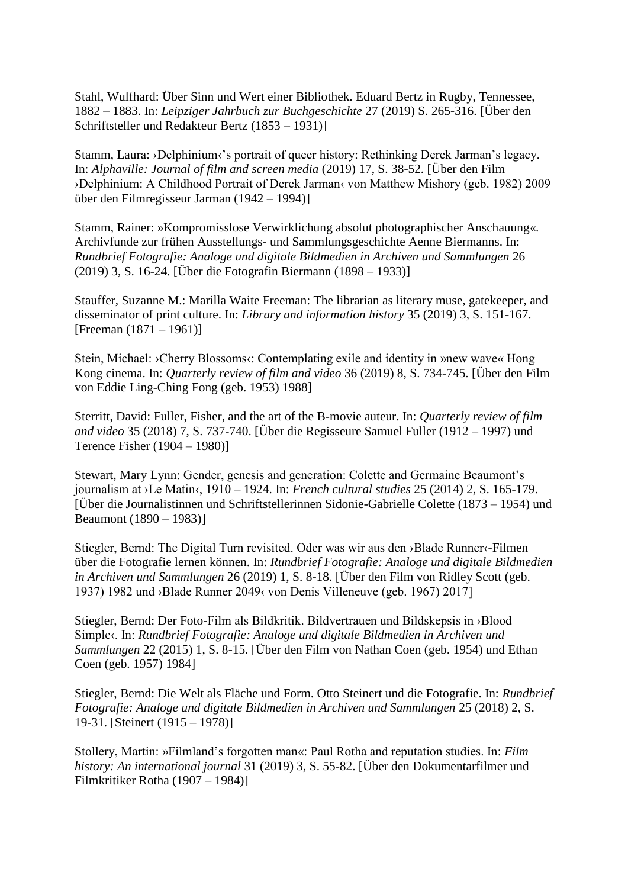Stahl, Wulfhard: Über Sinn und Wert einer Bibliothek. Eduard Bertz in Rugby, Tennessee, 1882 – 1883. In: *Leipziger Jahrbuch zur Buchgeschichte* 27 (2019) S. 265-316. [Über den Schriftsteller und Redakteur Bertz (1853 – 1931)]

Stamm, Laura: ›Delphinium‹'s portrait of queer history: Rethinking Derek Jarman's legacy. In: *Alphaville: Journal of film and screen media* (2019) 17, S. 38-52. [Über den Film ›Delphinium: A Childhood Portrait of Derek Jarman‹ von Matthew Mishory (geb. 1982) 2009 über den Filmregisseur Jarman (1942 – 1994)]

Stamm, Rainer: »Kompromisslose Verwirklichung absolut photographischer Anschauung«. Archivfunde zur frühen Ausstellungs- und Sammlungsgeschichte Aenne Biermanns. In: *Rundbrief Fotografie: Analoge und digitale Bildmedien in Archiven und Sammlungen* 26 (2019) 3, S. 16-24. [Über die Fotografin Biermann (1898 – 1933)]

Stauffer, Suzanne M.: Marilla Waite Freeman: The librarian as literary muse, gatekeeper, and disseminator of print culture. In: *Library and information history* 35 (2019) 3, S. 151-167. [Freeman (1871 – 1961)]

Stein, Michael: >Cherry Blossoms<: Contemplating exile and identity in »new wave« Hong Kong cinema. In: *Quarterly review of film and video* 36 (2019) 8, S. 734-745. [Über den Film von Eddie Ling-Ching Fong (geb. 1953) 1988]

Sterritt, David: Fuller, Fisher, and the art of the B-movie auteur. In: *Quarterly review of film and video* 35 (2018) 7, S. 737-740. [Über die Regisseure Samuel Fuller (1912 – 1997) und Terence Fisher (1904 – 1980)]

Stewart, Mary Lynn: Gender, genesis and generation: Colette and Germaine Beaumont's journalism at ›Le Matin‹, 1910 – 1924. In: *French cultural studies* 25 (2014) 2, S. 165-179. [Über die Journalistinnen und Schriftstellerinnen Sidonie-Gabrielle Colette (1873 – 1954) und Beaumont (1890 – 1983)]

Stiegler, Bernd: The Digital Turn revisited. Oder was wir aus den ›Blade Runner‹-Filmen über die Fotografie lernen können. In: *Rundbrief Fotografie: Analoge und digitale Bildmedien in Archiven und Sammlungen* 26 (2019) 1, S. 8-18. [Über den Film von Ridley Scott (geb. 1937) 1982 und ›Blade Runner 2049‹ von Denis Villeneuve (geb. 1967) 2017]

Stiegler, Bernd: Der Foto-Film als Bildkritik. Bildvertrauen und Bildskepsis in ›Blood Simple‹. In: *Rundbrief Fotografie: Analoge und digitale Bildmedien in Archiven und Sammlungen* 22 (2015) 1, S. 8-15. [Über den Film von Nathan Coen (geb. 1954) und Ethan Coen (geb. 1957) 1984]

Stiegler, Bernd: Die Welt als Fläche und Form. Otto Steinert und die Fotografie. In: *Rundbrief Fotografie: Analoge und digitale Bildmedien in Archiven und Sammlungen* 25 (2018) 2, S. 19-31. [Steinert (1915 – 1978)]

Stollery, Martin: »Filmland's forgotten man«: Paul Rotha and reputation studies. In: *Film history: An international journal* 31 (2019) 3, S. 55-82. [Über den Dokumentarfilmer und Filmkritiker Rotha (1907 – 1984)]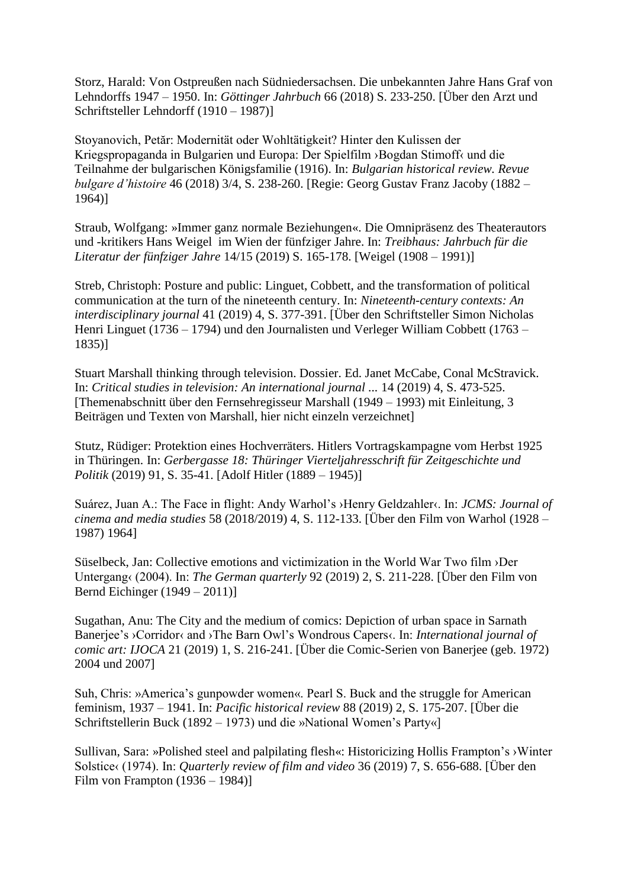Storz, Harald: Von Ostpreußen nach Südniedersachsen. Die unbekannten Jahre Hans Graf von Lehndorffs 1947 – 1950. In: *Göttinger Jahrbuch* 66 (2018) S. 233-250. [Über den Arzt und Schriftsteller Lehndorff (1910 – 1987)]

Stoyanovich, Petăr: Modernität oder Wohltätigkeit? Hinter den Kulissen der Kriegspropaganda in Bulgarien und Europa: Der Spielfilm ›Bogdan Stimoff‹ und die Teilnahme der bulgarischen Königsfamilie (1916). In: *Bulgarian historical review. Revue bulgare d'histoire* 46 (2018) 3/4, S. 238-260. [Regie: Georg Gustav Franz Jacoby (1882 – 1964)]

Straub, Wolfgang: »Immer ganz normale Beziehungen«. Die Omnipräsenz des Theaterautors und -kritikers Hans Weigel im Wien der fünfziger Jahre. In: *Treibhaus: Jahrbuch für die Literatur der fünfziger Jahre* 14/15 (2019) S. 165-178. [Weigel (1908 – 1991)]

Streb, Christoph: Posture and public: Linguet, Cobbett, and the transformation of political communication at the turn of the nineteenth century. In: *Nineteenth-century contexts: An interdisciplinary journal* 41 (2019) 4, S. 377-391. [Über den Schriftsteller Simon Nicholas Henri Linguet (1736 – 1794) und den Journalisten und Verleger William Cobbett (1763 – 1835)]

Stuart Marshall thinking through television. Dossier. Ed. Janet McCabe, Conal McStravick. In: *Critical studies in television: An international journal ...* 14 (2019) 4, S. 473-525. [Themenabschnitt über den Fernsehregisseur Marshall (1949 – 1993) mit Einleitung, 3 Beiträgen und Texten von Marshall, hier nicht einzeln verzeichnet]

Stutz, Rüdiger: Protektion eines Hochverräters. Hitlers Vortragskampagne vom Herbst 1925 in Thüringen. In: *Gerbergasse 18: Thüringer Vierteljahresschrift für Zeitgeschichte und Politik* (2019) 91, S. 35-41. [Adolf Hitler (1889 – 1945)]

Suárez, Juan A.: The Face in flight: Andy Warhol's ›Henry Geldzahler‹. In: *JCMS: Journal of cinema and media studies* 58 (2018/2019) 4, S. 112-133. [Über den Film von Warhol (1928 – 1987) 1964]

Süselbeck, Jan: Collective emotions and victimization in the World War Two film ›Der Untergang‹ (2004). In: *The German quarterly* 92 (2019) 2, S. 211-228. [Über den Film von Bernd Eichinger (1949 – 2011)]

Sugathan, Anu: The City and the medium of comics: Depiction of urban space in Sarnath Banerjee's ›Corridor‹ and ›The Barn Owl's Wondrous Capers‹. In: *International journal of comic art: IJOCA* 21 (2019) 1, S. 216-241. [Über die Comic-Serien von Banerjee (geb. 1972) 2004 und 2007]

Suh, Chris: »America's gunpowder women«. Pearl S. Buck and the struggle for American feminism, 1937 – 1941. In: *Pacific historical review* 88 (2019) 2, S. 175-207. [Über die Schriftstellerin Buck (1892 – 1973) und die »National Women's Party«]

Sullivan, Sara: »Polished steel and palpilating flesh«: Historicizing Hollis Frampton's ›Winter Solstice‹ (1974). In: *Quarterly review of film and video* 36 (2019) 7, S. 656-688. [Über den Film von Frampton (1936 – 1984)]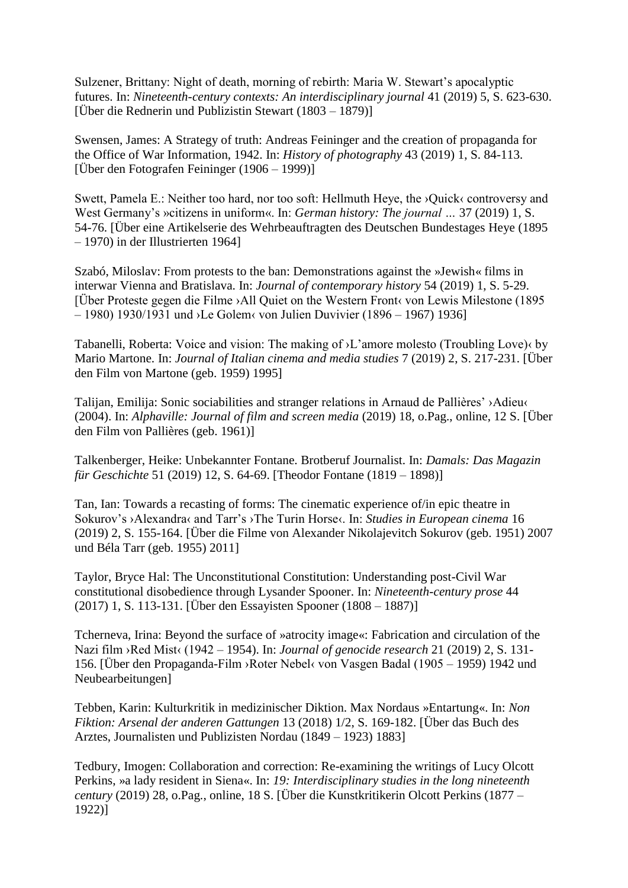Sulzener, Brittany: Night of death, morning of rebirth: Maria W. Stewart's apocalyptic futures. In: *Nineteenth-century contexts: An interdisciplinary journal* 41 (2019) 5, S. 623-630. [Über die Rednerin und Publizistin Stewart (1803 – 1879)]

Swensen, James: A Strategy of truth: Andreas Feininger and the creation of propaganda for the Office of War Information, 1942. In: *History of photography* 43 (2019) 1, S. 84-113. [Über den Fotografen Feininger (1906 – 1999)]

Swett, Pamela E.: Neither too hard, nor too soft: Hellmuth Heye, the ›Quick‹ controversy and West Germany's »citizens in uniform«. In: *German history: The journal …* 37 (2019) 1, S. 54-76. [Über eine Artikelserie des Wehrbeauftragten des Deutschen Bundestages Heye (1895 – 1970) in der Illustrierten 1964]

Szabó, Miloslav: From protests to the ban: Demonstrations against the »Jewish« films in interwar Vienna and Bratislava. In: *Journal of contemporary history* 54 (2019) 1, S. 5-29. [Über Proteste gegen die Filme ›All Quiet on the Western Front‹ von Lewis Milestone (1895 – 1980) 1930/1931 und ›Le Golem‹ von Julien Duvivier (1896 – 1967) 1936]

Tabanelli, Roberta: Voice and vision: The making of ›L'amore molesto (Troubling Love)‹ by Mario Martone. In: *Journal of Italian cinema and media studies* 7 (2019) 2, S. 217-231. [Über den Film von Martone (geb. 1959) 1995]

Talijan, Emilija: Sonic sociabilities and stranger relations in Arnaud de Pallières' ›Adieu‹ (2004). In: *Alphaville: Journal of film and screen media* (2019) 18, o.Pag., online, 12 S. [Über den Film von Pallières (geb. 1961)]

Talkenberger, Heike: Unbekannter Fontane. Brotberuf Journalist. In: *Damals: Das Magazin für Geschichte* 51 (2019) 12, S. 64-69. [Theodor Fontane (1819 – 1898)]

Tan, Ian: Towards a recasting of forms: The cinematic experience of/in epic theatre in Sokurov's >Alexandra< and Tarr's >The Turin Horse<. In: *Studies in European cinema* 16 (2019) 2, S. 155-164. [Über die Filme von Alexander Nikolajevitch Sokurov (geb. 1951) 2007 und Béla Tarr (geb. 1955) 2011]

Taylor, Bryce Hal: The Unconstitutional Constitution: Understanding post-Civil War constitutional disobedience through Lysander Spooner. In: *Nineteenth-century prose* 44 (2017) 1, S. 113-131. [Über den Essayisten Spooner (1808 – 1887)]

Tcherneva, Irina: Beyond the surface of »atrocity image«: Fabrication and circulation of the Nazi film ›Red Mist‹ (1942 – 1954). In: *Journal of genocide research* 21 (2019) 2, S. 131- 156. [Über den Propaganda-Film ›Roter Nebel‹ von Vasgen Badal (1905 – 1959) 1942 und Neubearbeitungen]

Tebben, Karin: Kulturkritik in medizinischer Diktion. Max Nordaus »Entartung«. In: *Non Fiktion: Arsenal der anderen Gattungen* 13 (2018) 1/2, S. 169-182. [Über das Buch des Arztes, Journalisten und Publizisten Nordau (1849 – 1923) 1883]

Tedbury, Imogen: Collaboration and correction: Re-examining the writings of Lucy Olcott Perkins, »a lady resident in Siena«. In: *19: Interdisciplinary studies in the long nineteenth century* (2019) 28, o.Pag., online, 18 S. [Über die Kunstkritikerin Olcott Perkins (1877 – 1922)]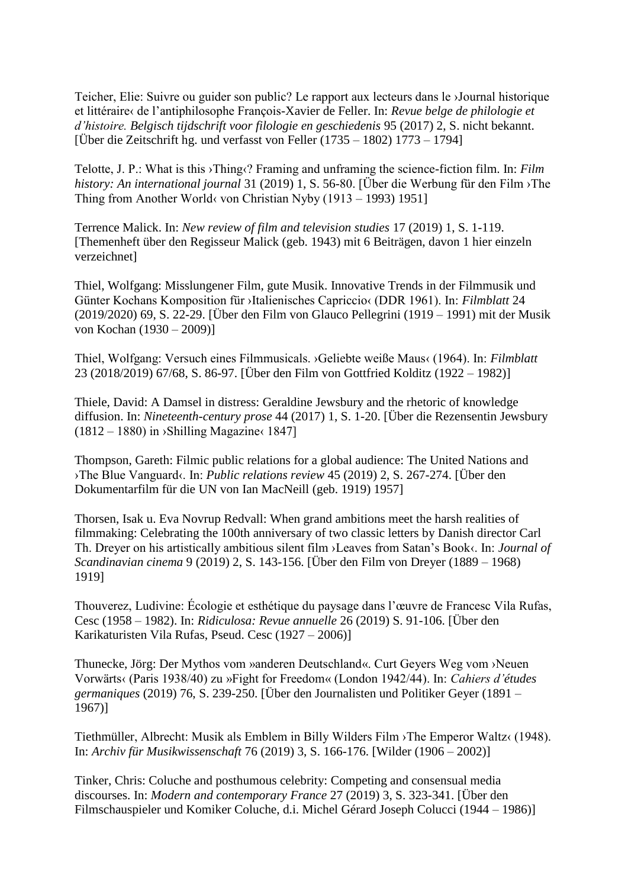Teicher, Elie: Suivre ou guider son public? Le rapport aux lecteurs dans le ›Journal historique et littéraire‹ de l'antiphilosophe François-Xavier de Feller. In: *Revue belge de philologie et d'histoire. Belgisch tijdschrift voor filologie en geschiedenis* 95 (2017) 2, S. nicht bekannt. [Über die Zeitschrift hg. und verfasst von Feller (1735 – 1802) 1773 – 1794]

Telotte, J. P.: What is this ›Thing‹? Framing and unframing the science-fiction film. In: *Film history: An international journal* 31 (2019) 1, S. 56-80. [Über die Werbung für den Film ›The Thing from Another World‹ von Christian Nyby (1913 – 1993) 1951]

Terrence Malick. In: *New review of film and television studies* 17 (2019) 1, S. 1-119. [Themenheft über den Regisseur Malick (geb. 1943) mit 6 Beiträgen, davon 1 hier einzeln verzeichnet]

Thiel, Wolfgang: Misslungener Film, gute Musik. Innovative Trends in der Filmmusik und Günter Kochans Komposition für ›Italienisches Capriccio‹ (DDR 1961). In: *Filmblatt* 24 (2019/2020) 69, S. 22-29. [Über den Film von Glauco Pellegrini (1919 – 1991) mit der Musik von Kochan (1930 – 2009)]

Thiel, Wolfgang: Versuch eines Filmmusicals. ›Geliebte weiße Maus‹ (1964). In: *Filmblatt* 23 (2018/2019) 67/68, S. 86-97. [Über den Film von Gottfried Kolditz (1922 – 1982)]

Thiele, David: A Damsel in distress: Geraldine Jewsbury and the rhetoric of knowledge diffusion. In: *Nineteenth-century prose* 44 (2017) 1, S. 1-20. [Über die Rezensentin Jewsbury  $(1812 – 1880)$  in >Shilling Magazine $\langle 1847 \rangle$ 

Thompson, Gareth: Filmic public relations for a global audience: The United Nations and ›The Blue Vanguard‹. In: *Public relations review* 45 (2019) 2, S. 267-274. [Über den Dokumentarfilm für die UN von Ian MacNeill (geb. 1919) 1957]

Thorsen, Isak u. Eva Novrup Redvall: When grand ambitions meet the harsh realities of filmmaking: Celebrating the 100th anniversary of two classic letters by Danish director Carl Th. Dreyer on his artistically ambitious silent film ›Leaves from Satan's Book‹. In: *Journal of Scandinavian cinema* 9 (2019) 2, S. 143-156. [Über den Film von Dreyer (1889 – 1968) 1919]

Thouverez, Ludivine: Écologie et esthétique du paysage dans l'œuvre de Francesc Vila Rufas, Cesc (1958 – 1982). In: *Ridiculosa: Revue annuelle* 26 (2019) S. 91-106. [Über den Karikaturisten Vila Rufas, Pseud. Cesc (1927 – 2006)]

Thunecke, Jörg: Der Mythos vom »anderen Deutschland«. Curt Geyers Weg vom ›Neuen Vorwärts‹ (Paris 1938/40) zu »Fight for Freedom« (London 1942/44). In: *Cahiers d'études germaniques* (2019) 76, S. 239-250. [Über den Journalisten und Politiker Geyer (1891 – 1967)]

Tiethmüller, Albrecht: Musik als Emblem in Billy Wilders Film ›The Emperor Waltz‹ (1948). In: *Archiv für Musikwissenschaft* 76 (2019) 3, S. 166-176. [Wilder (1906 – 2002)]

Tinker, Chris: Coluche and posthumous celebrity: Competing and consensual media discourses. In: *Modern and contemporary France* 27 (2019) 3, S. 323-341. [Über den Filmschauspieler und Komiker Coluche, d.i. Michel Gérard Joseph Colucci (1944 – 1986)]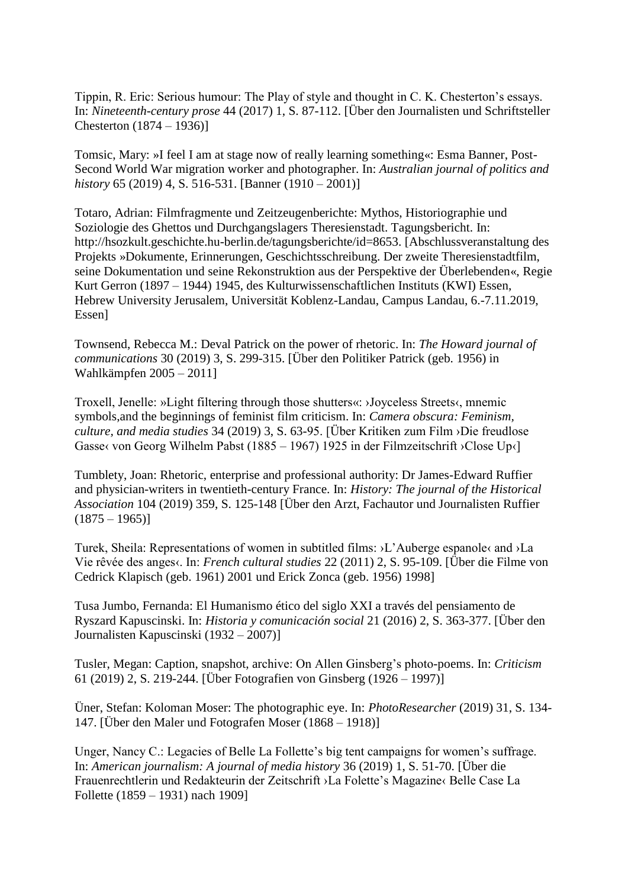Tippin, R. Eric: Serious humour: The Play of style and thought in C. K. Chesterton's essays. In: *Nineteenth-century prose* 44 (2017) 1, S. 87-112. [Über den Journalisten und Schriftsteller Chesterton (1874 – 1936)]

Tomsic, Mary: »I feel I am at stage now of really learning something«: Esma Banner, Post-Second World War migration worker and photographer. In: *Australian journal of politics and history* 65 (2019) 4, S. 516-531. [Banner (1910 – 2001)]

Totaro, Adrian: Filmfragmente und Zeitzeugenberichte: Mythos, Historiographie und Soziologie des Ghettos und Durchgangslagers Theresienstadt. Tagungsbericht. In: http://hsozkult.geschichte.hu-berlin.de/tagungsberichte/id=8653. [Abschlussveranstaltung des Projekts »Dokumente, Erinnerungen, Geschichtsschreibung. Der zweite Theresienstadtfilm, seine Dokumentation und seine Rekonstruktion aus der Perspektive der Überlebenden«, Regie Kurt Gerron (1897 – 1944) 1945, des Kulturwissenschaftlichen Instituts (KWI) Essen, Hebrew University Jerusalem, Universität Koblenz-Landau, Campus Landau, 6.-7.11.2019, Essen]

Townsend, Rebecca M.: Deval Patrick on the power of rhetoric. In: *The Howard journal of communications* 30 (2019) 3, S. 299-315. [Über den Politiker Patrick (geb. 1956) in Wahlkämpfen 2005 – 2011]

Troxell, Jenelle: »Light filtering through those shutters«: ›Joyceless Streets‹, mnemic symbols,and the beginnings of feminist film criticism. In: *Camera obscura: Feminism, culture, and media studies* 34 (2019) 3, S. 63-95. [Über Kritiken zum Film ›Die freudlose Gasse‹ von Georg Wilhelm Pabst (1885 – 1967) 1925 in der Filmzeitschrift ›Close Up‹]

Tumblety, Joan: Rhetoric, enterprise and professional authority: Dr James-Edward Ruffier and physician-writers in twentieth-century France. In: *History: The journal of the Historical Association* 104 (2019) 359, S. 125-148 [Über den Arzt, Fachautor und Journalisten Ruffier  $(1875 - 1965)$ 

Turek, Sheila: Representations of women in subtitled films: ›L'Auberge espanole‹ and ›La Vie rêvée des anges‹. In: *French cultural studies* 22 (2011) 2, S. 95-109. [Über die Filme von Cedrick Klapisch (geb. 1961) 2001 und Erick Zonca (geb. 1956) 1998]

Tusa Jumbo, Fernanda: El Humanismo ético del siglo XXI a través del pensiamento de Ryszard Kapuscinski. In: *Historia y comunicación social* 21 (2016) 2, S. 363-377. [Über den Journalisten Kapuscinski (1932 – 2007)]

Tusler, Megan: Caption, snapshot, archive: On Allen Ginsberg's photo-poems. In: *Criticism* 61 (2019) 2, S. 219-244. [Über Fotografien von Ginsberg (1926 – 1997)]

Üner, Stefan: Koloman Moser: The photographic eye. In: *PhotoResearcher* (2019) 31, S. 134- 147. [Über den Maler und Fotografen Moser (1868 – 1918)]

Unger, Nancy C.: Legacies of Belle La Follette's big tent campaigns for women's suffrage. In: *American journalism: A journal of media history* 36 (2019) 1, S. 51-70. [Über die Frauenrechtlerin und Redakteurin der Zeitschrift ›La Folette's Magazine‹ Belle Case La Follette (1859 – 1931) nach 1909]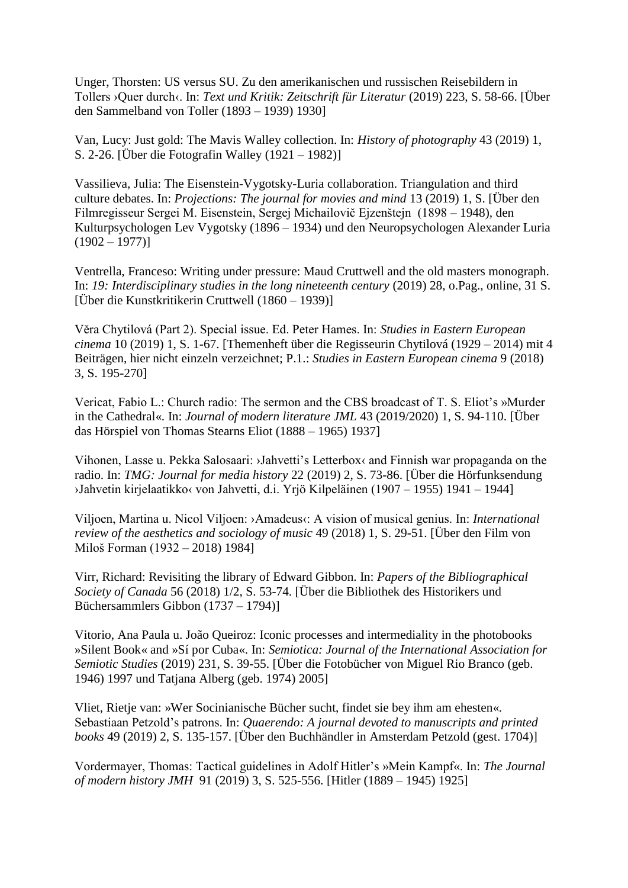Unger, Thorsten: US versus SU. Zu den amerikanischen und russischen Reisebildern in Tollers ›Quer durch‹. In: *Text und Kritik: Zeitschrift für Literatur* (2019) 223, S. 58-66. [Über den Sammelband von Toller (1893 – 1939) 1930]

Van, Lucy: Just gold: The Mavis Walley collection. In: *History of photography* 43 (2019) 1, S. 2-26. [Über die Fotografin Walley (1921 – 1982)]

Vassilieva, Julia: The Eisenstein-Vygotsky-Luria collaboration. Triangulation and third culture debates. In: *Projections: The journal for movies and mind* 13 (2019) 1, S. [Über den Filmregisseur Sergei M. Eisenstein, Sergej Michailovič Ejzenštejn (1898 – 1948), den Kulturpsychologen Lev Vygotsky (1896 – 1934) und den Neuropsychologen Alexander Luria  $(1902 - 1977)$ 

Ventrella, Franceso: Writing under pressure: Maud Cruttwell and the old masters monograph. In: *19: Interdisciplinary studies in the long nineteenth century* (2019) 28, o.Pag., online, 31 S. [Über die Kunstkritikerin Cruttwell (1860 – 1939)]

Vĕra Chytilová (Part 2). Special issue. Ed. Peter Hames. In: *Studies in Eastern European cinema* 10 (2019) 1, S. 1-67. [Themenheft über die Regisseurin Chytilová (1929 – 2014) mit 4 Beiträgen, hier nicht einzeln verzeichnet; P.1.: *Studies in Eastern European cinema* 9 (2018) 3, S. 195-270]

Vericat, Fabio L.: Church radio: The sermon and the CBS broadcast of T. S. Eliot's »Murder in the Cathedral«. In: *Journal of modern literature JML* 43 (2019/2020) 1, S. 94-110. [Über das Hörspiel von Thomas Stearns Eliot (1888 – 1965) 1937]

Vihonen, Lasse u. Pekka Salosaari: ›Jahvetti's Letterbox‹ and Finnish war propaganda on the radio. In: *TMG: Journal for media history* 22 (2019) 2, S. 73-86. [Über die Hörfunksendung ›Jahvetin kirjelaatikko‹ von Jahvetti, d.i. Yrjö Kilpeläinen (1907 – 1955) 1941 – 1944]

Viljoen, Martina u. Nicol Viljoen: ›Amadeus‹: A vision of musical genius. In: *International review of the aesthetics and sociology of music* 49 (2018) 1, S. 29-51. [Über den Film von Miloš Forman (1932 – 2018) 1984]

Virr, Richard: Revisiting the library of Edward Gibbon. In: *Papers of the Bibliographical Society of Canada* 56 (2018) 1/2, S. 53-74. [Über die Bibliothek des Historikers und Büchersammlers Gibbon (1737 – 1794)]

Vitorio, Ana Paula u. João Queiroz: Iconic processes and intermediality in the photobooks »Silent Book« and »Sí por Cuba«. In: *Semiotica: Journal of the International Association for Semiotic Studies* (2019) 231, S. 39-55. [Über die Fotobücher von Miguel Rio Branco (geb. 1946) 1997 und Tatjana Alberg (geb. 1974) 2005]

Vliet, Rietje van: »Wer Socinianische Bücher sucht, findet sie bey ihm am ehesten«. Sebastiaan Petzold's patrons. In: *Quaerendo: A journal devoted to manuscripts and printed books* 49 (2019) 2, S. 135-157. [Über den Buchhändler in Amsterdam Petzold (gest. 1704)]

Vordermayer, Thomas: Tactical guidelines in Adolf Hitler's »Mein Kampf«. In: *The Journal of modern history JMH* 91 (2019) 3, S. 525-556. [Hitler (1889 – 1945) 1925]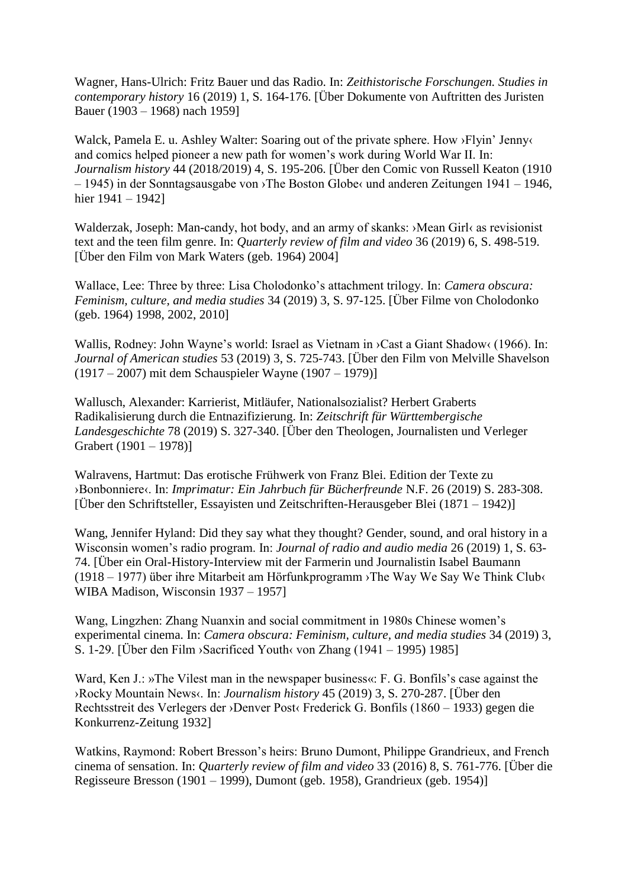Wagner, Hans-Ulrich: Fritz Bauer und das Radio. In: *Zeithistorische Forschungen. Studies in contemporary history* 16 (2019) 1, S. 164-176. [Über Dokumente von Auftritten des Juristen Bauer (1903 – 1968) nach 1959]

Walck, Pamela E. u. Ashley Walter: Soaring out of the private sphere. How >Flyin' Jenny‹ and comics helped pioneer a new path for women's work during World War II. In: *Journalism history* 44 (2018/2019) 4, S. 195-206. [Über den Comic von Russell Keaton (1910 – 1945) in der Sonntagsausgabe von ›The Boston Globe‹ und anderen Zeitungen 1941 – 1946, hier 1941 – 1942]

Walderzak, Joseph: Man-candy, hot body, and an army of skanks: ›Mean Girl‹ as revisionist text and the teen film genre. In: *Quarterly review of film and video* 36 (2019) 6, S. 498-519. [Über den Film von Mark Waters (geb. 1964) 2004]

Wallace, Lee: Three by three: Lisa Cholodonko's attachment trilogy. In: *Camera obscura: Feminism, culture, and media studies* 34 (2019) 3, S. 97-125. [Über Filme von Cholodonko (geb. 1964) 1998, 2002, 2010]

Wallis, Rodney: John Wayne's world: Israel as Vietnam in ›Cast a Giant Shadow‹ (1966). In: *Journal of American studies* 53 (2019) 3, S. 725-743. [Über den Film von Melville Shavelson (1917 – 2007) mit dem Schauspieler Wayne (1907 – 1979)]

Wallusch, Alexander: Karrierist, Mitläufer, Nationalsozialist? Herbert Graberts Radikalisierung durch die Entnazifizierung. In: *Zeitschrift für Württembergische Landesgeschichte* 78 (2019) S. 327-340. [Über den Theologen, Journalisten und Verleger Grabert (1901 – 1978)]

Walravens, Hartmut: Das erotische Frühwerk von Franz Blei. Edition der Texte zu ›Bonbonniere‹. In: *Imprimatur: Ein Jahrbuch für Bücherfreunde* N.F. 26 (2019) S. 283-308. [Über den Schriftsteller, Essayisten und Zeitschriften-Herausgeber Blei (1871 – 1942)]

Wang, Jennifer Hyland: Did they say what they thought? Gender, sound, and oral history in a Wisconsin women's radio program. In: *Journal of radio and audio media* 26 (2019) 1, S. 63- 74. [Über ein Oral-History-Interview mit der Farmerin und Journalistin Isabel Baumann (1918 – 1977) über ihre Mitarbeit am Hörfunkprogramm ›The Way We Say We Think Club‹ WIBA Madison, Wisconsin 1937 – 1957]

Wang, Lingzhen: Zhang Nuanxin and social commitment in 1980s Chinese women's experimental cinema. In: *Camera obscura: Feminism, culture, and media studies* 34 (2019) 3, S. 1-29. [Über den Film ›Sacrificed Youth‹ von Zhang (1941 – 1995) 1985]

Ward, Ken J.: »The Vilest man in the newspaper business  $\ll$ : F. G. Bonfils's case against the ›Rocky Mountain News‹. In: *Journalism history* 45 (2019) 3, S. 270-287. [Über den Rechtsstreit des Verlegers der ›Denver Post‹ Frederick G. Bonfils (1860 – 1933) gegen die Konkurrenz-Zeitung 1932]

Watkins, Raymond: Robert Bresson's heirs: Bruno Dumont, Philippe Grandrieux, and French cinema of sensation. In: *Quarterly review of film and video* 33 (2016) 8, S. 761-776. [Über die Regisseure Bresson (1901 – 1999), Dumont (geb. 1958), Grandrieux (geb. 1954)]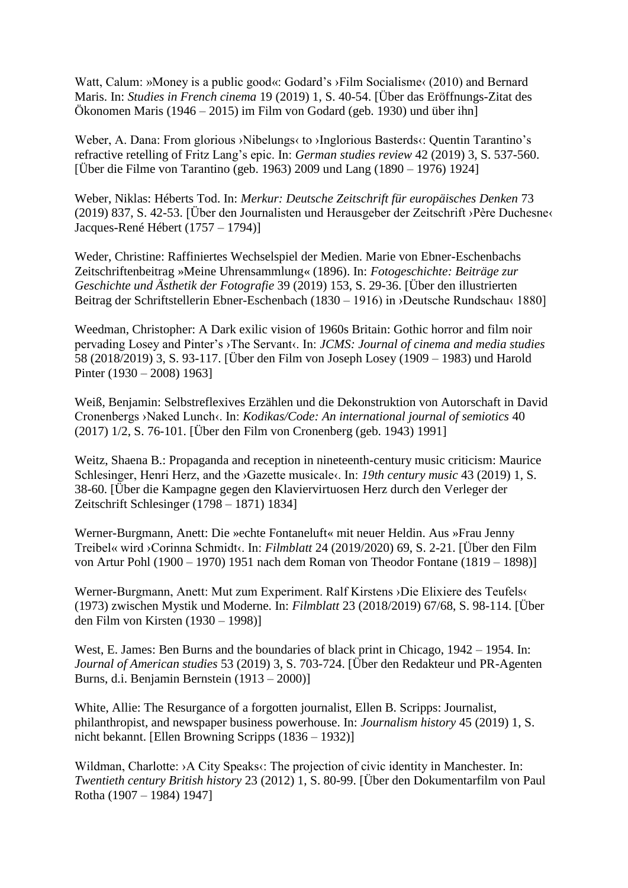Watt, Calum: »Money is a public good«: Godard's >Film Socialisme< (2010) and Bernard Maris. In: *Studies in French cinema* 19 (2019) 1, S. 40-54. [Über das Eröffnungs-Zitat des Ökonomen Maris (1946 – 2015) im Film von Godard (geb. 1930) und über ihn]

Weber, A. Dana: From glorious >Nibelungs< to >Inglorious Basterds<: Quentin Tarantino's refractive retelling of Fritz Lang's epic. In: *German studies review* 42 (2019) 3, S. 537-560. [Über die Filme von Tarantino (geb. 1963) 2009 und Lang (1890 – 1976) 1924]

Weber, Niklas: Héberts Tod. In: *Merkur: Deutsche Zeitschrift für europäisches Denken* 73 (2019) 837, S. 42-53. [Über den Journalisten und Herausgeber der Zeitschrift ›Père Duchesne‹ Jacques-René Hébert (1757 – 1794)]

Weder, Christine: Raffiniertes Wechselspiel der Medien. Marie von Ebner-Eschenbachs Zeitschriftenbeitrag »Meine Uhrensammlung« (1896). In: *Fotogeschichte: Beiträge zur Geschichte und Ästhetik der Fotografie* 39 (2019) 153, S. 29-36. [Über den illustrierten Beitrag der Schriftstellerin Ebner-Eschenbach (1830 – 1916) in ›Deutsche Rundschau‹ 1880]

Weedman, Christopher: A Dark exilic vision of 1960s Britain: Gothic horror and film noir pervading Losey and Pinter's ›The Servant‹. In: *JCMS: Journal of cinema and media studies* 58 (2018/2019) 3, S. 93-117. [Über den Film von Joseph Losey (1909 – 1983) und Harold Pinter (1930 – 2008) 1963]

Weiß, Benjamin: Selbstreflexives Erzählen und die Dekonstruktion von Autorschaft in David Cronenbergs ›Naked Lunch‹. In: *Kodikas/Code: An international journal of semiotics* 40 (2017) 1/2, S. 76-101. [Über den Film von Cronenberg (geb. 1943) 1991]

Weitz, Shaena B.: Propaganda and reception in nineteenth-century music criticism: Maurice Schlesinger, Henri Herz, and the *>Gazette musicale* (*In: 19th century music* 43 (2019) 1, S. 38-60. [Über die Kampagne gegen den Klaviervirtuosen Herz durch den Verleger der Zeitschrift Schlesinger (1798 – 1871) 1834]

Werner-Burgmann, Anett: Die »echte Fontaneluft« mit neuer Heldin. Aus »Frau Jenny Treibel« wird ›Corinna Schmidt‹. In: *Filmblatt* 24 (2019/2020) 69, S. 2-21. [Über den Film von Artur Pohl (1900 – 1970) 1951 nach dem Roman von Theodor Fontane (1819 – 1898)]

Werner-Burgmann, Anett: Mut zum Experiment. Ralf Kirstens ›Die Elixiere des Teufels‹ (1973) zwischen Mystik und Moderne. In: *Filmblatt* 23 (2018/2019) 67/68, S. 98-114. [Über den Film von Kirsten (1930 – 1998)]

West, E. James: Ben Burns and the boundaries of black print in Chicago, 1942 – 1954. In: *Journal of American studies* 53 (2019) 3, S. 703-724. [Über den Redakteur und PR-Agenten Burns, d.i. Benjamin Bernstein (1913 – 2000)]

White, Allie: The Resurgance of a forgotten journalist, Ellen B. Scripps: Journalist, philanthropist, and newspaper business powerhouse. In: *Journalism history* 45 (2019) 1, S. nicht bekannt. [Ellen Browning Scripps (1836 – 1932)]

Wildman, Charlotte: >A City Speaks<: The projection of civic identity in Manchester. In: *Twentieth century British history* 23 (2012) 1, S. 80-99. [Über den Dokumentarfilm von Paul Rotha (1907 – 1984) 1947]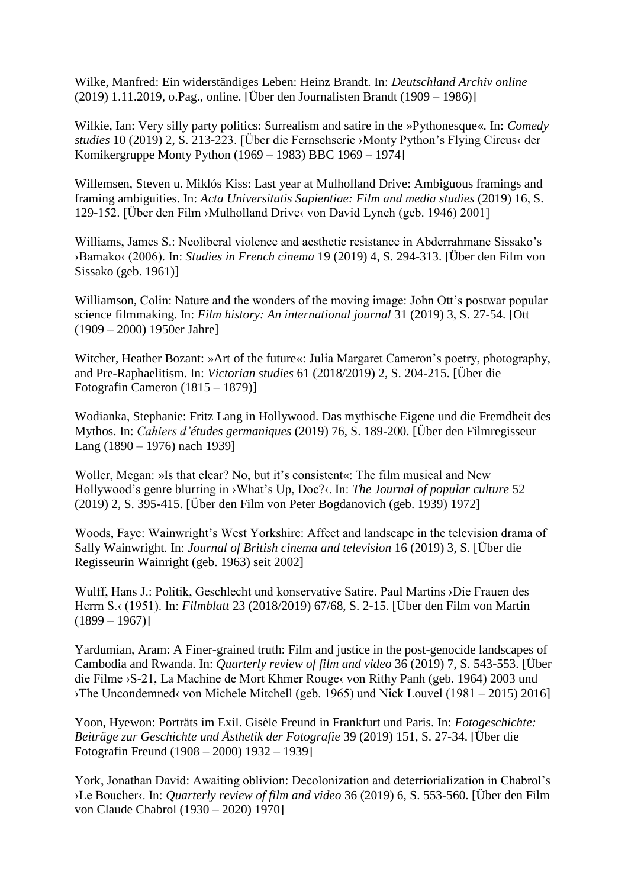Wilke, Manfred: Ein widerständiges Leben: Heinz Brandt. In: *Deutschland Archiv online* (2019) 1.11.2019, o.Pag., online. [Über den Journalisten Brandt (1909 – 1986)]

Wilkie, Ian: Very silly party politics: Surrealism and satire in the »Pythonesque«. In: *Comedy studies* 10 (2019) 2, S. 213-223. [Über die Fernsehserie ›Monty Python's Flying Circus‹ der Komikergruppe Monty Python (1969 – 1983) BBC 1969 – 1974]

Willemsen, Steven u. Miklós Kiss: Last year at Mulholland Drive: Ambiguous framings and framing ambiguities. In: *Acta Universitatis Sapientiae: Film and media studies* (2019) 16, S. 129-152. [Über den Film ›Mulholland Drive‹ von David Lynch (geb. 1946) 2001]

Williams, James S.: Neoliberal violence and aesthetic resistance in Abderrahmane Sissako's ›Bamako‹ (2006). In: *Studies in French cinema* 19 (2019) 4, S. 294-313. [Über den Film von Sissako (geb. 1961)]

Williamson, Colin: Nature and the wonders of the moving image: John Ott's postwar popular science filmmaking. In: *Film history: An international journal* 31 (2019) 3, S. 27-54. [Ott (1909 – 2000) 1950er Jahre]

Witcher, Heather Bozant: »Art of the future«: Julia Margaret Cameron's poetry, photography, and Pre-Raphaelitism. In: *Victorian studies* 61 (2018/2019) 2, S. 204-215. [Über die Fotografin Cameron (1815 – 1879)]

Wodianka, Stephanie: Fritz Lang in Hollywood. Das mythische Eigene und die Fremdheit des Mythos. In: *Cahiers d'études germaniques* (2019) 76, S. 189-200. [Über den Filmregisseur Lang (1890 – 1976) nach 1939]

Woller, Megan: »Is that clear? No, but it's consistent«: The film musical and New Hollywood's genre blurring in ›What's Up, Doc?‹. In: *The Journal of popular culture* 52 (2019) 2, S. 395-415. [Über den Film von Peter Bogdanovich (geb. 1939) 1972]

Woods, Faye: Wainwright's West Yorkshire: Affect and landscape in the television drama of Sally Wainwright. In: *Journal of British cinema and television* 16 (2019) 3, S. [Über die Regisseurin Wainright (geb. 1963) seit 2002]

Wulff, Hans J.: Politik, Geschlecht und konservative Satire. Paul Martins ›Die Frauen des Herrn S.‹ (1951). In: *Filmblatt* 23 (2018/2019) 67/68, S. 2-15. [Über den Film von Martin  $(1899 - 1967)$ 

Yardumian, Aram: A Finer-grained truth: Film and justice in the post-genocide landscapes of Cambodia and Rwanda. In: *Quarterly review of film and video* 36 (2019) 7, S. 543-553. [Über die Filme ›S-21, La Machine de Mort Khmer Rouge‹ von Rithy Panh (geb. 1964) 2003 und ›The Uncondemned‹ von Michele Mitchell (geb. 1965) und Nick Louvel (1981 – 2015) 2016]

Yoon, Hyewon: Porträts im Exil. Gisèle Freund in Frankfurt und Paris. In: *Fotogeschichte: Beiträge zur Geschichte und Ästhetik der Fotografie* 39 (2019) 151, S. 27-34. [Über die Fotografin Freund (1908 – 2000) 1932 – 1939]

York, Jonathan David: Awaiting oblivion: Decolonization and deterriorialization in Chabrol's ›Le Boucher‹. In: *Quarterly review of film and video* 36 (2019) 6, S. 553-560. [Über den Film von Claude Chabrol (1930 – 2020) 1970]